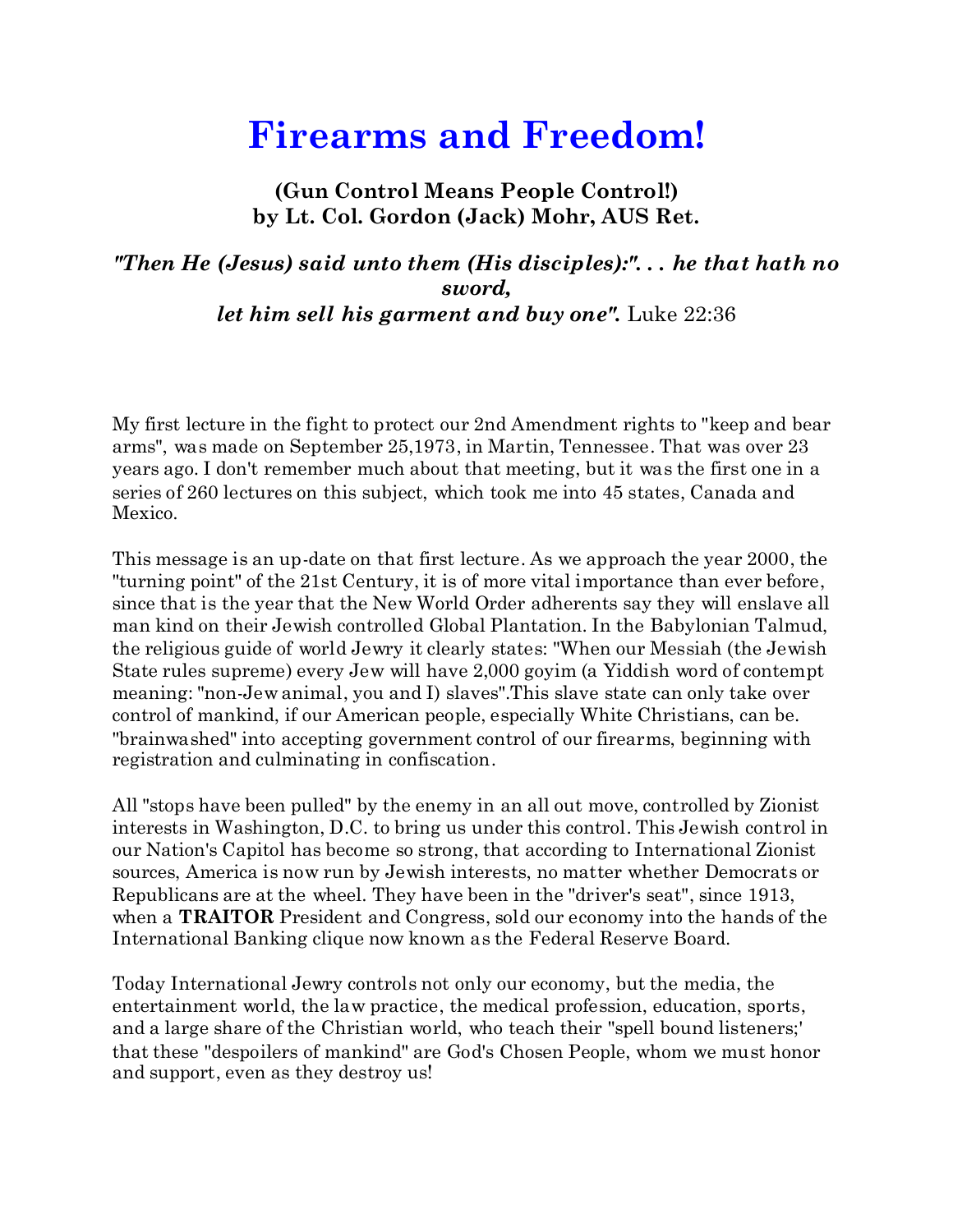# **Firearms and Freedom!**

## **(Gun Control Means People Control!) by Lt. Col. Gordon (Jack) Mohr, AUS Ret.**

### *"Then He (Jesus) said unto them (His disciples):". . . he that hath no sword, let him sell his garment and buy one".* Luke 22:36

My first lecture in the fight to protect our 2nd Amendment rights to "keep and bear arms", was made on September 25,1973, in Martin, Tennessee. That was over 23 years ago. I don't remember much about that meeting, but it was the first one in a series of 260 lectures on this subject, which took me into 45 states, Canada and Mexico.

This message is an up-date on that first lecture. As we approach the year 2000, the "turning point" of the 21st Century, it is of more vital importance than ever before, since that is the year that the New World Order adherents say they will enslave all man kind on their Jewish controlled Global Plantation. In the Babylonian Talmud, the religious guide of world Jewry it clearly states: "When our Messiah (the Jewish State rules supreme) every Jew will have 2,000 goyim (a Yiddish word of contempt meaning: "non-Jew animal, you and I) slaves".This slave state can only take over control of mankind, if our American people, especially White Christians, can be. "brainwashed" into accepting government control of our firearms, beginning with registration and culminating in confiscation.

All "stops have been pulled" by the enemy in an all out move, controlled by Zionist interests in Washington, D.C. to bring us under this control. This Jewish control in our Nation's Capitol has become so strong, that according to International Zionist sources, America is now run by Jewish interests, no matter whether Democrats or Republicans are at the wheel. They have been in the "driver's seat", since 1913, when a **TRAITOR** President and Congress, sold our economy into the hands of the International Banking clique now known as the Federal Reserve Board.

Today International Jewry controls not only our economy, but the media, the entertainment world, the law practice, the medical profession, education, sports, and a large share of the Christian world, who teach their "spell bound listeners;' that these "despoilers of mankind" are God's Chosen People, whom we must honor and support, even as they destroy us!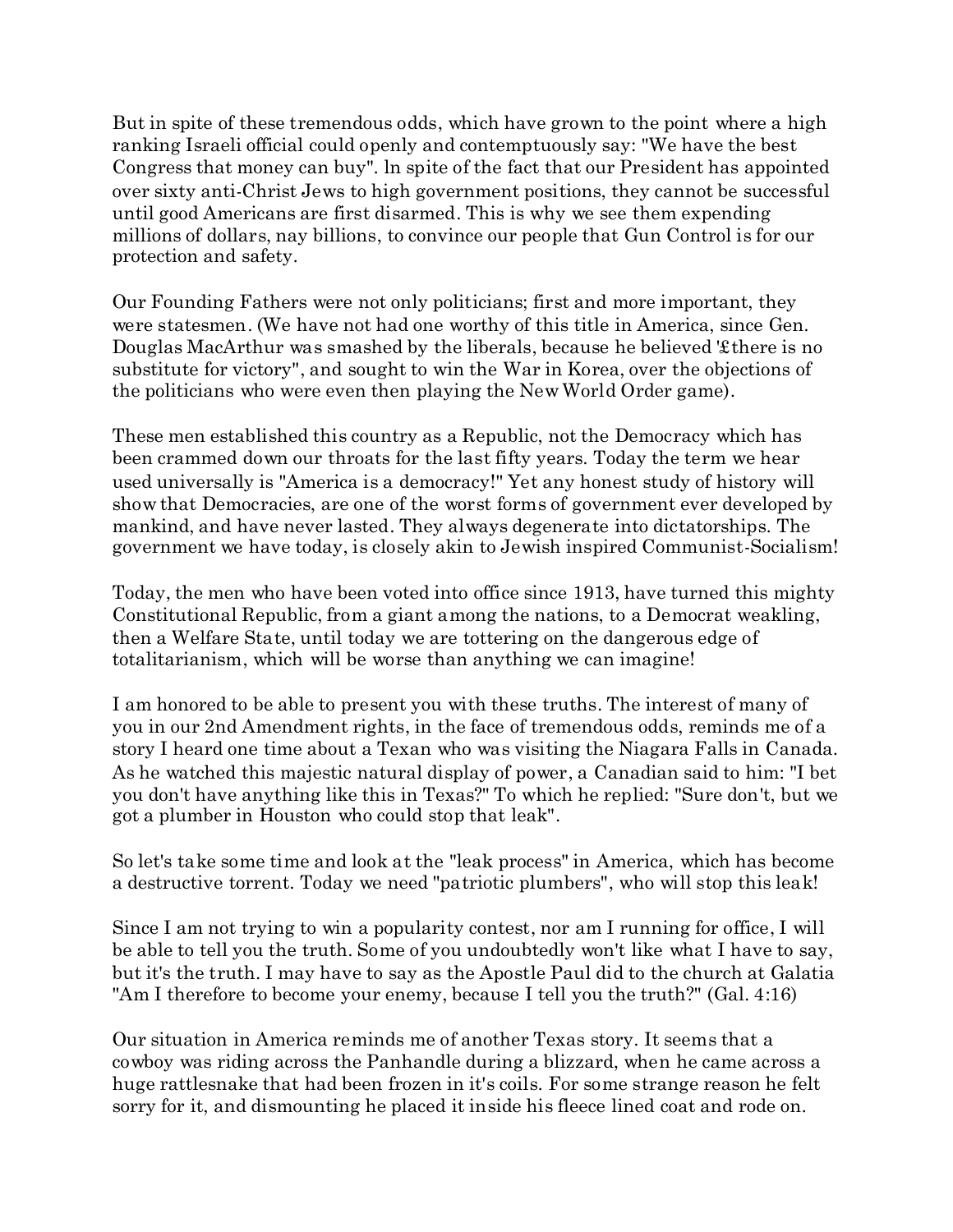But in spite of these tremendous odds, which have grown to the point where a high ranking Israeli official could openly and contemptuously say: "We have the best Congress that money can buy". ln spite of the fact that our President has appointed over sixty anti-Christ Jews to high government positions, they cannot be successful until good Americans are first disarmed. This is why we see them expending millions of dollars, nay billions, to convince our people that Gun Control is for our protection and safety.

Our Founding Fathers were not only politicians; first and more important, they were statesmen. (We have not had one worthy of this title in America, since Gen. Douglas MacArthur was smashed by the liberals, because he believed '£there is no substitute for victory", and sought to win the War in Korea, over the objections of the politicians who were even then playing the New World Order game).

These men established this country as a Republic, not the Democracy which has been crammed down our throats for the last fifty years. Today the term we hear used universally is "America is a democracy!" Yet any honest study of history will show that Democracies, are one of the worst forms of government ever developed by mankind, and have never lasted. They always degenerate into dictatorships. The government we have today, is closely akin to Jewish inspired Communist-Socialism!

Today, the men who have been voted into office since 1913, have turned this mighty Constitutional Republic, from a giant among the nations, to a Democrat weakling, then a Welfare State, until today we are tottering on the dangerous edge of totalitarianism, which will be worse than anything we can imagine!

I am honored to be able to present you with these truths. The interest of many of you in our 2nd Amendment rights, in the face of tremendous odds, reminds me of a story I heard one time about a Texan who was visiting the Niagara Falls in Canada. As he watched this majestic natural display of power, a Canadian said to him: "I bet you don't have anything like this in Texas?" To which he replied: "Sure don't, but we got a plumber in Houston who could stop that leak".

So let's take some time and look at the "leak process" in America, which has become a destructive torrent. Today we need "patriotic plumbers", who will stop this leak!

Since I am not trying to win a popularity contest, nor am I running for office, I will be able to tell you the truth. Some of you undoubtedly won't like what I have to say, but it's the truth. I may have to say as the Apostle Paul did to the church at Galatia "Am I therefore to become your enemy, because I tell you the truth?" (Gal. 4:16)

Our situation in America reminds me of another Texas story. It seems that a cowboy was riding across the Panhandle during a blizzard, when he came across a huge rattlesnake that had been frozen in it's coils. For some strange reason he felt sorry for it, and dismounting he placed it inside his fleece lined coat and rode on.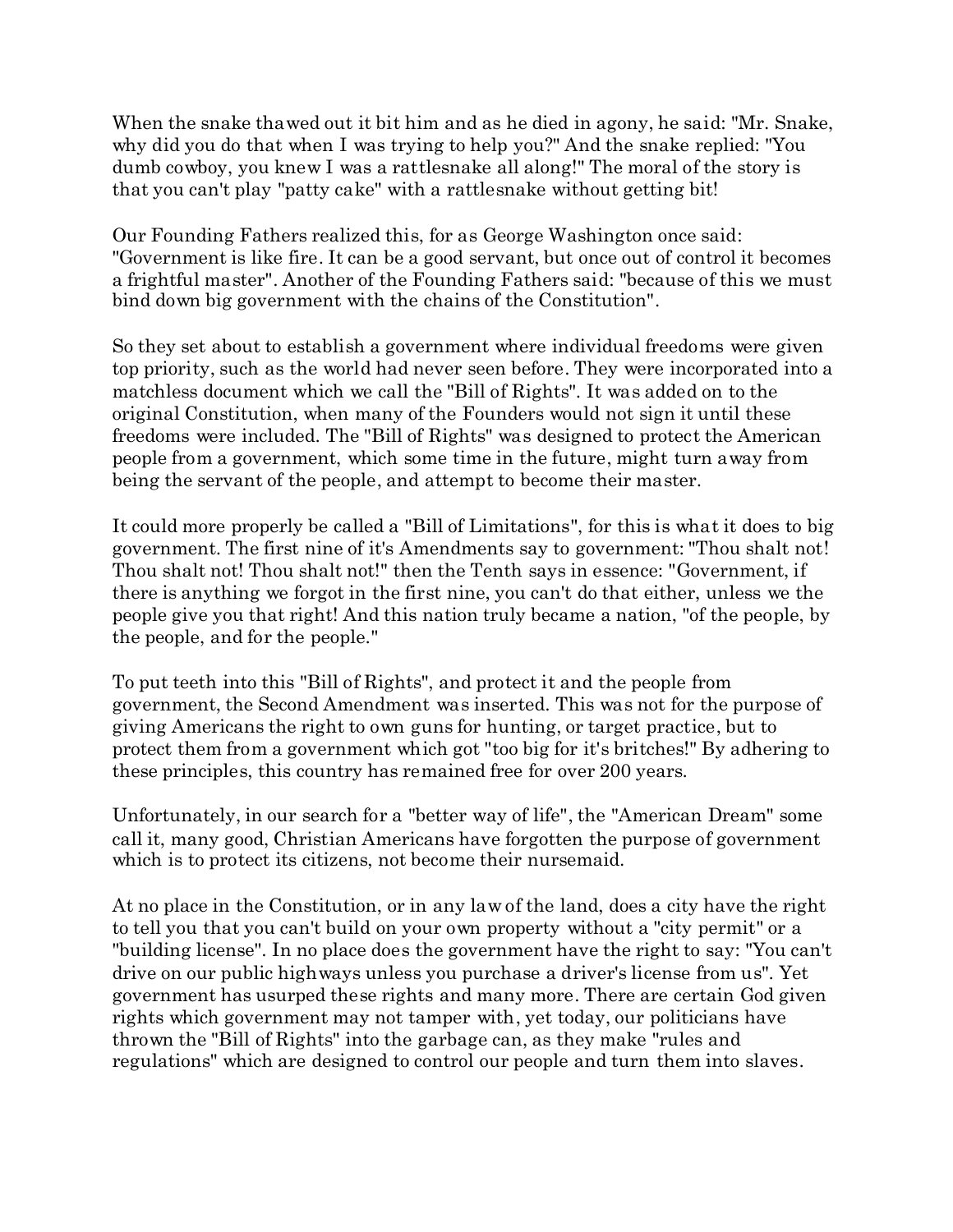When the snake thawed out it bit him and as he died in agony, he said: "Mr. Snake, why did you do that when I was trying to help you?" And the snake replied: "You dumb cowboy, you knew I was a rattlesnake all along!" The moral of the story is that you can't play "patty cake" with a rattlesnake without getting bit!

Our Founding Fathers realized this, for as George Washington once said: "Government is like fire. It can be a good servant, but once out of control it becomes a frightful master". Another of the Founding Fathers said: "because of this we must bind down big government with the chains of the Constitution".

So they set about to establish a government where individual freedoms were given top priority, such as the world had never seen before. They were incorporated into a matchless document which we call the "Bill of Rights". It was added on to the original Constitution, when many of the Founders would not sign it until these freedoms were included. The "Bill of Rights" was designed to protect the American people from a government, which some time in the future, might turn away from being the servant of the people, and attempt to become their master.

It could more properly be called a "Bill of Limitations", for this is what it does to big government. The first nine of it's Amendments say to government: "Thou shalt not! Thou shalt not! Thou shalt not!" then the Tenth says in essence: "Government, if there is anything we forgot in the first nine, you can't do that either, unless we the people give you that right! And this nation truly became a nation, "of the people, by the people, and for the people."

To put teeth into this "Bill of Rights", and protect it and the people from government, the Second Amendment was inserted. This was not for the purpose of giving Americans the right to own guns for hunting, or target practice, but to protect them from a government which got "too big for it's britches!" By adhering to these principles, this country has remained free for over 200 years.

Unfortunately, in our search for a "better way of life", the "American Dream" some call it, many good, Christian Americans have forgotten the purpose of government which is to protect its citizens, not become their nursemaid.

At no place in the Constitution, or in any law of the land, does a city have the right to tell you that you can't build on your own property without a "city permit" or a "building license". In no place does the government have the right to say: "You can't drive on our public highways unless you purchase a driver's license from us". Yet government has usurped these rights and many more. There are certain God given rights which government may not tamper with, yet today, our politicians have thrown the "Bill of Rights" into the garbage can, as they make "rules and regulations" which are designed to control our people and turn them into slaves.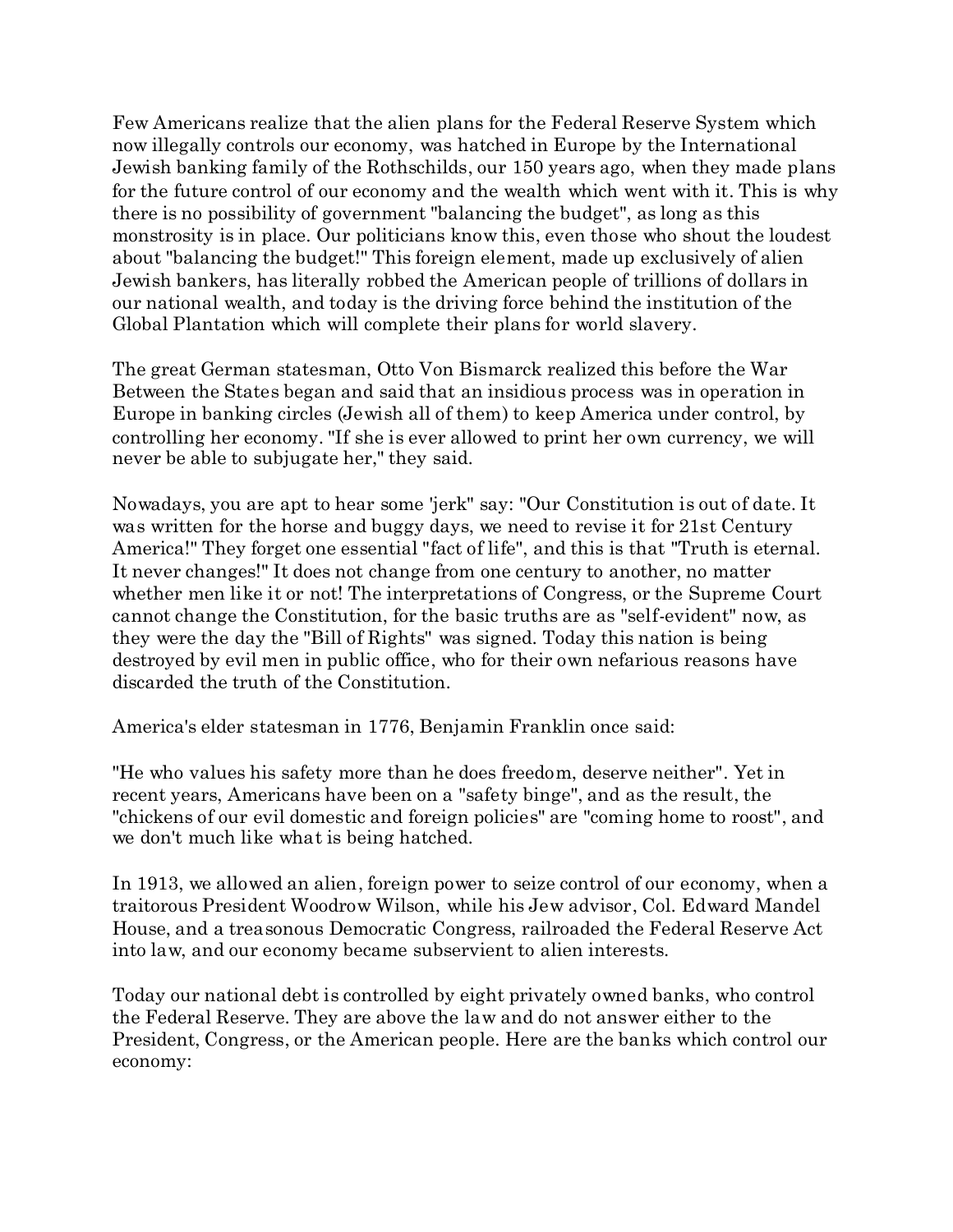Few Americans realize that the alien plans for the Federal Reserve System which now illegally controls our economy, was hatched in Europe by the International Jewish banking family of the Rothschilds, our 150 years ago, when they made plans for the future control of our economy and the wealth which went with it. This is why there is no possibility of government "balancing the budget", as long as this monstrosity is in place. Our politicians know this, even those who shout the loudest about "balancing the budget!" This foreign element, made up exclusively of alien Jewish bankers, has literally robbed the American people of trillions of dollars in our national wealth, and today is the driving force behind the institution of the Global Plantation which will complete their plans for world slavery.

The great German statesman, Otto Von Bismarck realized this before the War Between the States began and said that an insidious process was in operation in Europe in banking circles (Jewish all of them) to keep America under control, by controlling her economy. "If she is ever allowed to print her own currency, we will never be able to subjugate her," they said.

Nowadays, you are apt to hear some 'jerk" say: "Our Constitution is out of date. It was written for the horse and buggy days, we need to revise it for 21st Century America!" They forget one essential "fact of life", and this is that "Truth is eternal. It never changes!" It does not change from one century to another, no matter whether men like it or not! The interpretations of Congress, or the Supreme Court cannot change the Constitution, for the basic truths are as "self-evident" now, as they were the day the "Bill of Rights" was signed. Today this nation is being destroyed by evil men in public office, who for their own nefarious reasons have discarded the truth of the Constitution.

America's elder statesman in 1776, Benjamin Franklin once said:

"He who values his safety more than he does freedom, deserve neither". Yet in recent years, Americans have been on a "safety binge", and as the result, the "chickens of our evil domestic and foreign policies" are "coming home to roost", and we don't much like what is being hatched.

In 1913, we allowed an alien, foreign power to seize control of our economy, when a traitorous President Woodrow Wilson, while his Jew advisor, Col. Edward Mandel House, and a treasonous Democratic Congress, railroaded the Federal Reserve Act into law, and our economy became subservient to alien interests.

Today our national debt is controlled by eight privately owned banks, who control the Federal Reserve. They are above the law and do not answer either to the President, Congress, or the American people. Here are the banks which control our economy: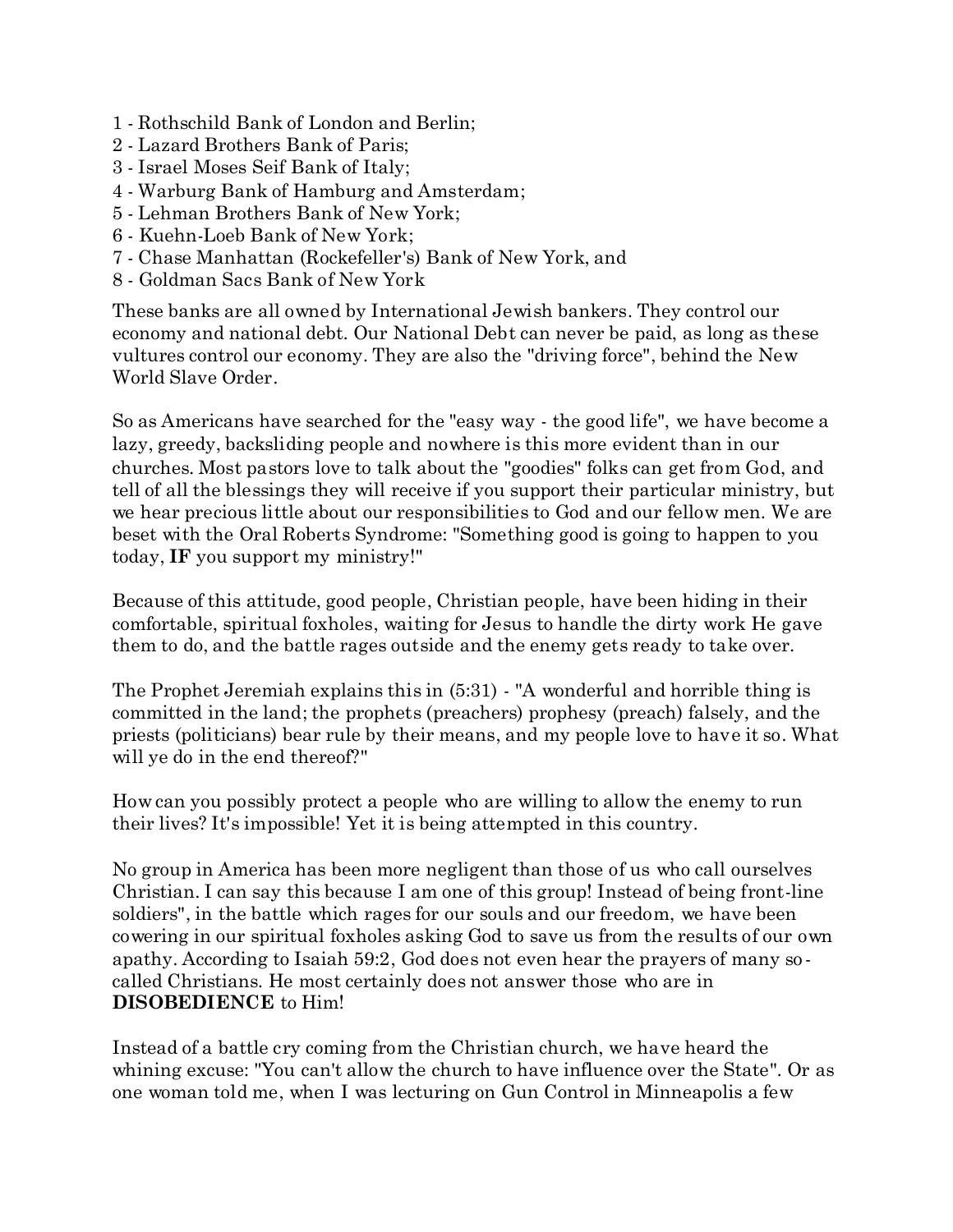- 1 Rothschild Bank of London and Berlin;
- 2 Lazard Brothers Bank of Paris;
- 3 Israel Moses Seif Bank of Italy;
- 4 Warburg Bank of Hamburg and Amsterdam;
- 5 Lehman Brothers Bank of New York;
- 6 Kuehn-Loeb Bank of New York;
- 7 Chase Manhattan (Rockefeller's) Bank of New York, and
- 8 Goldman Sacs Bank of New York

These banks are all owned by International Jewish bankers. They control our economy and national debt. Our National Debt can never be paid, as long as these vultures control our economy. They are also the "driving force", behind the New World Slave Order.

So as Americans have searched for the "easy way - the good life", we have become a lazy, greedy, backsliding people and nowhere is this more evident than in our churches. Most pastors love to talk about the "goodies" folks can get from God, and tell of all the blessings they will receive if you support their particular ministry, but we hear precious little about our responsibilities to God and our fellow men. We are beset with the Oral Roberts Syndrome: "Something good is going to happen to you today, **IF** you support my ministry!"

Because of this attitude, good people, Christian people, have been hiding in their comfortable, spiritual foxholes, waiting for Jesus to handle the dirty work He gave them to do, and the battle rages outside and the enemy gets ready to take over.

The Prophet Jeremiah explains this in (5:31) - "A wonderful and horrible thing is committed in the land; the prophets (preachers) prophesy (preach) falsely, and the priests (politicians) bear rule by their means, and my people love to have it so. What will ye do in the end thereof?"

How can you possibly protect a people who are willing to allow the enemy to run their lives? It's impossible! Yet it is being attempted in this country.

No group in America has been more negligent than those of us who call ourselves Christian. I can say this because I am one of this group! Instead of being front-line soldiers", in the battle which rages for our souls and our freedom, we have been cowering in our spiritual foxholes asking God to save us from the results of our own apathy. According to Isaiah 59:2, God does not even hear the prayers of many so called Christians. He most certainly does not answer those who are in **DISOBEDIENCE** to Him!

Instead of a battle cry coming from the Christian church, we have heard the whining excuse: "You can't allow the church to have influence over the State". Or as one woman told me, when I was lecturing on Gun Control in Minneapolis a few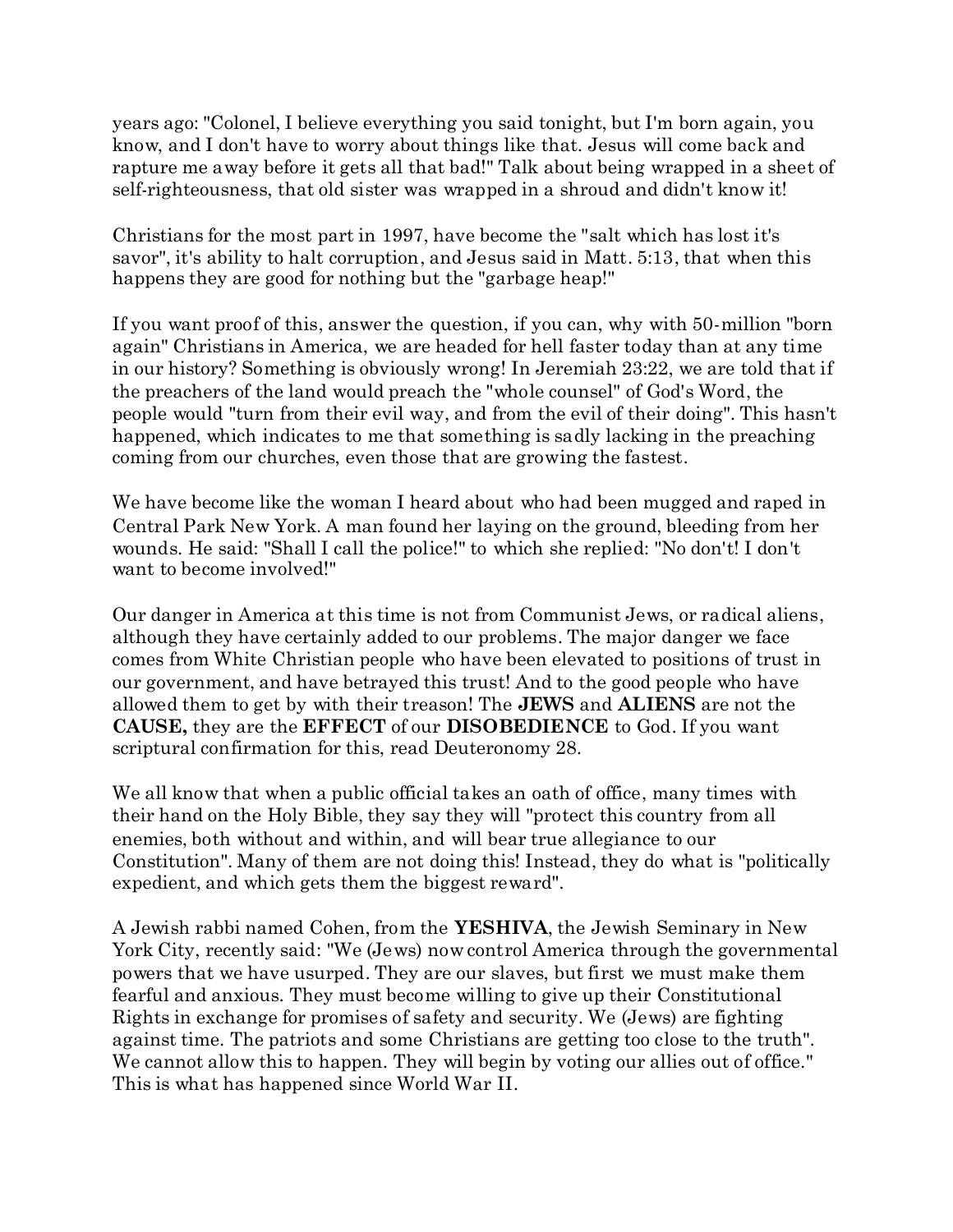years ago: "Colonel, I believe everything you said tonight, but I'm born again, you know, and I don't have to worry about things like that. Jesus will come back and rapture me away before it gets all that bad!" Talk about being wrapped in a sheet of self-righteousness, that old sister was wrapped in a shroud and didn't know it!

Christians for the most part in 1997, have become the "salt which has lost it's savor", it's ability to halt corruption, and Jesus said in Matt. 5:13, that when this happens they are good for nothing but the "garbage heap!"

If you want proof of this, answer the question, if you can, why with 50-million "born again" Christians in America, we are headed for hell faster today than at any time in our history? Something is obviously wrong! In Jeremiah 23:22, we are told that if the preachers of the land would preach the "whole counsel" of God's Word, the people would "turn from their evil way, and from the evil of their doing". This hasn't happened, which indicates to me that something is sadly lacking in the preaching coming from our churches, even those that are growing the fastest.

We have become like the woman I heard about who had been mugged and raped in Central Park New York. A man found her laying on the ground, bleeding from her wounds. He said: "Shall I call the police!" to which she replied: "No don't! I don't want to become involved!"

Our danger in America at this time is not from Communist Jews, or radical aliens, although they have certainly added to our problems. The major danger we face comes from White Christian people who have been elevated to positions of trust in our government, and have betrayed this trust! And to the good people who have allowed them to get by with their treason! The **JEWS** and **ALIENS** are not the **CAUSE,** they are the **EFFECT** of our **DISOBEDIENCE** to God. If you want scriptural confirmation for this, read Deuteronomy 28.

We all know that when a public official takes an oath of office, many times with their hand on the Holy Bible, they say they will "protect this country from all enemies, both without and within, and will bear true allegiance to our Constitution". Many of them are not doing this! Instead, they do what is "politically expedient, and which gets them the biggest reward".

A Jewish rabbi named Cohen, from the **YESHIVA**, the Jewish Seminary in New York City, recently said: "We (Jews) now control America through the governmental powers that we have usurped. They are our slaves, but first we must make them fearful and anxious. They must become willing to give up their Constitutional Rights in exchange for promises of safety and security. We (Jews) are fighting against time. The patriots and some Christians are getting too close to the truth". We cannot allow this to happen. They will begin by voting our allies out of office." This is what has happened since World War II.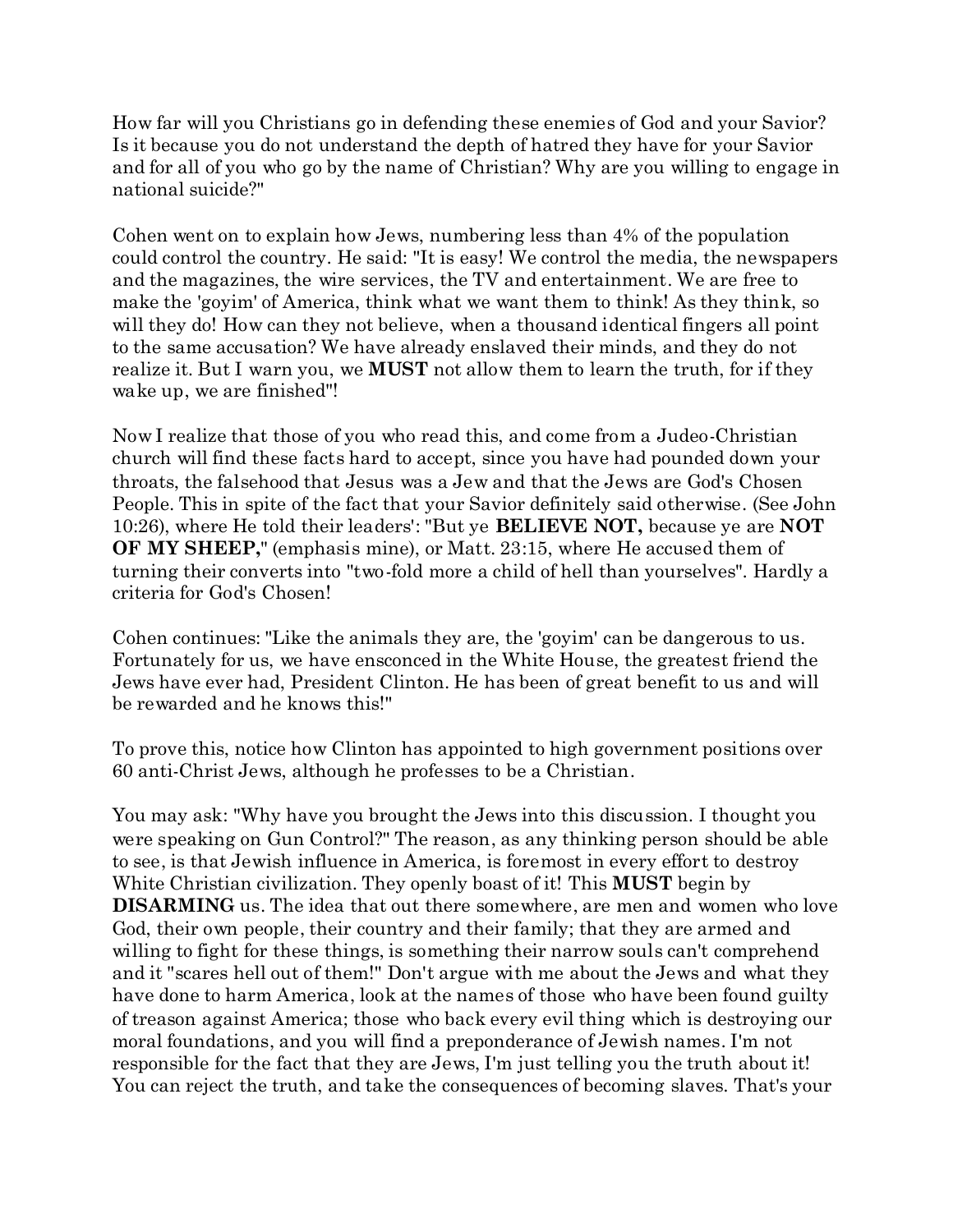How far will you Christians go in defending these enemies of God and your Savior? Is it because you do not understand the depth of hatred they have for your Savior and for all of you who go by the name of Christian? Why are you willing to engage in national suicide?"

Cohen went on to explain how Jews, numbering less than 4% of the population could control the country. He said: "It is easy! We control the media, the newspapers and the magazines, the wire services, the TV and entertainment. We are free to make the 'goyim' of America, think what we want them to think! As they think, so will they do! How can they not believe, when a thousand identical fingers all point to the same accusation? We have already enslaved their minds, and they do not realize it. But I warn you, we **MUST** not allow them to learn the truth, for if they wake up, we are finished"!

Now I realize that those of you who read this, and come from a Judeo-Christian church will find these facts hard to accept, since you have had pounded down your throats, the falsehood that Jesus was a Jew and that the Jews are God's Chosen People. This in spite of the fact that your Savior definitely said otherwise. (See John 10:26), where He told their leaders': "But ye **BELIEVE NOT,** because ye are **NOT OF MY SHEEP,**" (emphasis mine), or Matt. 23:15, where He accused them of turning their converts into "two-fold more a child of hell than yourselves". Hardly a criteria for God's Chosen!

Cohen continues: "Like the animals they are, the 'goyim' can be dangerous to us. Fortunately for us, we have ensconced in the White House, the greatest friend the Jews have ever had, President Clinton. He has been of great benefit to us and will be rewarded and he knows this!"

To prove this, notice how Clinton has appointed to high government positions over 60 anti-Christ Jews, although he professes to be a Christian.

You may ask: "Why have you brought the Jews into this discussion. I thought you were speaking on Gun Control?" The reason, as any thinking person should be able to see, is that Jewish influence in America, is foremost in every effort to destroy White Christian civilization. They openly boast of it! This **MUST** begin by **DISARMING** us. The idea that out there somewhere, are men and women who love God, their own people, their country and their family; that they are armed and willing to fight for these things, is something their narrow souls can't comprehend and it "scares hell out of them!" Don't argue with me about the Jews and what they have done to harm America, look at the names of those who have been found guilty of treason against America; those who back every evil thing which is destroying our moral foundations, and you will find a preponderance of Jewish names. I'm not responsible for the fact that they are Jews, I'm just telling you the truth about it! You can reject the truth, and take the consequences of becoming slaves. That's your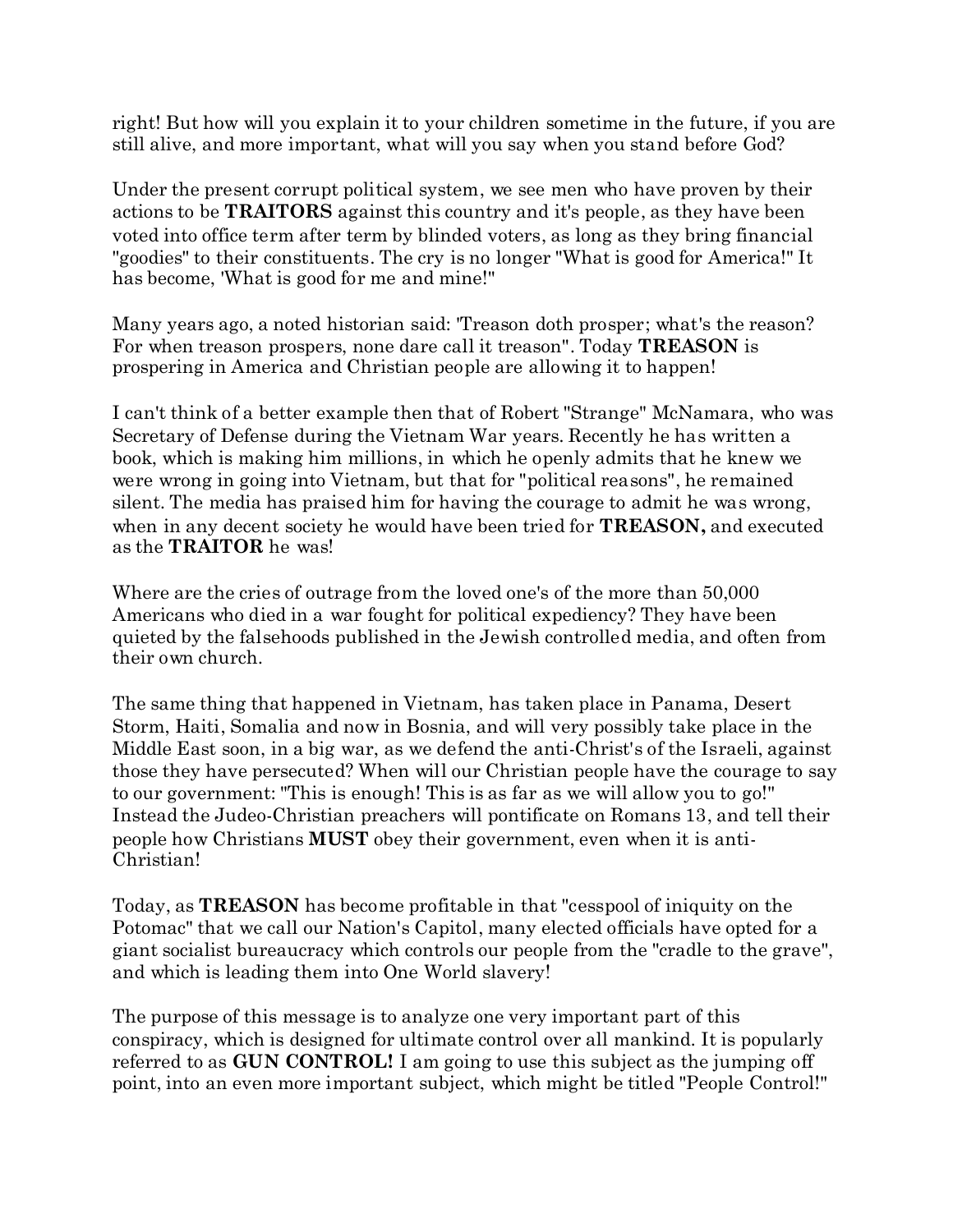right! But how will you explain it to your children sometime in the future, if you are still alive, and more important, what will you say when you stand before God?

Under the present corrupt political system, we see men who have proven by their actions to be **TRAITORS** against this country and it's people, as they have been voted into office term after term by blinded voters, as long as they bring financial "goodies" to their constituents. The cry is no longer "What is good for America!" It has become, 'What is good for me and mine!"

Many years ago, a noted historian said: 'Treason doth prosper; what's the reason? For when treason prospers, none dare call it treason". Today **TREASON** is prospering in America and Christian people are allowing it to happen!

I can't think of a better example then that of Robert "Strange" McNamara, who was Secretary of Defense during the Vietnam War years. Recently he has written a book, which is making him millions, in which he openly admits that he knew we were wrong in going into Vietnam, but that for "political reasons", he remained silent. The media has praised him for having the courage to admit he was wrong, when in any decent society he would have been tried for **TREASON,** and executed as the **TRAITOR** he was!

Where are the cries of outrage from the loved one's of the more than 50,000 Americans who died in a war fought for political expediency? They have been quieted by the falsehoods published in the Jewish controlled media, and often from their own church.

The same thing that happened in Vietnam, has taken place in Panama, Desert Storm, Haiti, Somalia and now in Bosnia, and will very possibly take place in the Middle East soon, in a big war, as we defend the anti-Christ's of the Israeli, against those they have persecuted? When will our Christian people have the courage to say to our government: "This is enough! This is as far as we will allow you to go!" Instead the Judeo-Christian preachers will pontificate on Romans 13, and tell their people how Christians **MUST** obey their government, even when it is anti-Christian!

Today, as **TREASON** has become profitable in that "cesspool of iniquity on the Potomac" that we call our Nation's Capitol, many elected officials have opted for a giant socialist bureaucracy which controls our people from the "cradle to the grave", and which is leading them into One World slavery!

The purpose of this message is to analyze one very important part of this conspiracy, which is designed for ultimate control over all mankind. It is popularly referred to as **GUN CONTROL!** I am going to use this subject as the jumping off point, into an even more important subject, which might be titled "People Control!"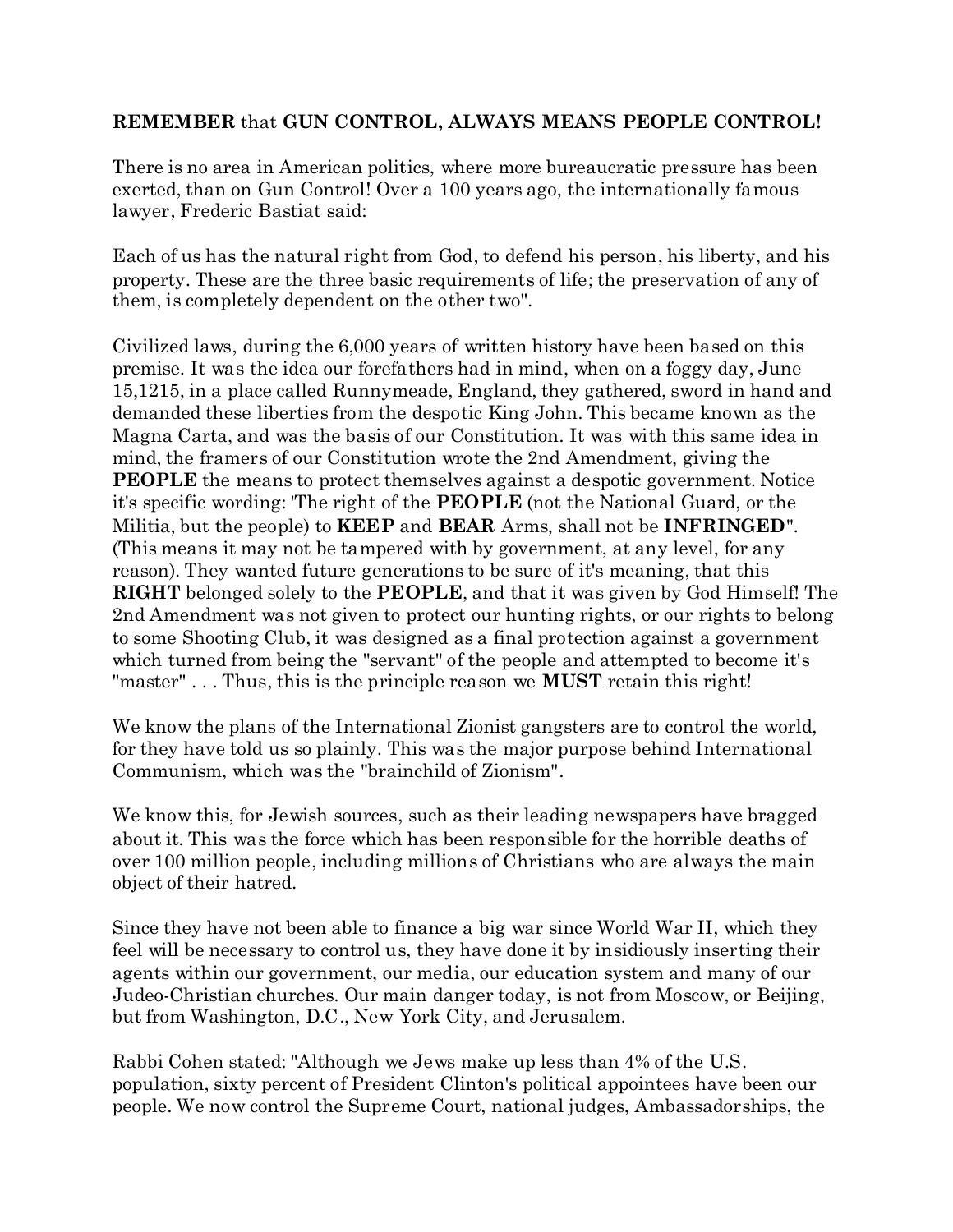#### **REMEMBER** that **GUN CONTROL, ALWAYS MEANS PEOPLE CONTROL!**

There is no area in American politics, where more bureaucratic pressure has been exerted, than on Gun Control! Over a 100 years ago, the internationally famous lawyer, Frederic Bastiat said:

Each of us has the natural right from God, to defend his person, his liberty, and his property. These are the three basic requirements of life; the preservation of any of them, is completely dependent on the other two".

Civilized laws, during the 6,000 years of written history have been based on this premise. It was the idea our forefathers had in mind, when on a foggy day, June 15,1215, in a place called Runnymeade, England, they gathered, sword in hand and demanded these liberties from the despotic King John. This became known as the Magna Carta, and was the basis of our Constitution. It was with this same idea in mind, the framers of our Constitution wrote the 2nd Amendment, giving the **PEOPLE** the means to protect themselves against a despotic government. Notice it's specific wording: 'The right of the **PEOPLE** (not the National Guard, or the Militia, but the people) to **KEEP** and **BEAR** Arms, shall not be **INFRINGED**". (This means it may not be tampered with by government, at any level, for any reason). They wanted future generations to be sure of it's meaning, that this **RIGHT** belonged solely to the **PEOPLE**, and that it was given by God Himself! The 2nd Amendment was not given to protect our hunting rights, or our rights to belong to some Shooting Club, it was designed as a final protection against a government which turned from being the "servant" of the people and attempted to become it's "master" . . . Thus, this is the principle reason we **MUST** retain this right!

We know the plans of the International Zionist gangsters are to control the world, for they have told us so plainly. This was the major purpose behind International Communism, which was the "brainchild of Zionism".

We know this, for Jewish sources, such as their leading newspapers have bragged about it. This was the force which has been responsible for the horrible deaths of over 100 million people, including millions of Christians who are always the main object of their hatred.

Since they have not been able to finance a big war since World War II, which they feel will be necessary to control us, they have done it by insidiously inserting their agents within our government, our media, our education system and many of our Judeo-Christian churches. Our main danger today, is not from Moscow, or Beijing, but from Washington, D.C., New York City, and Jerusalem.

Rabbi Cohen stated: "Although we Jews make up less than 4% of the U.S. population, sixty percent of President Clinton's political appointees have been our people. We now control the Supreme Court, national judges, Ambassadorships, the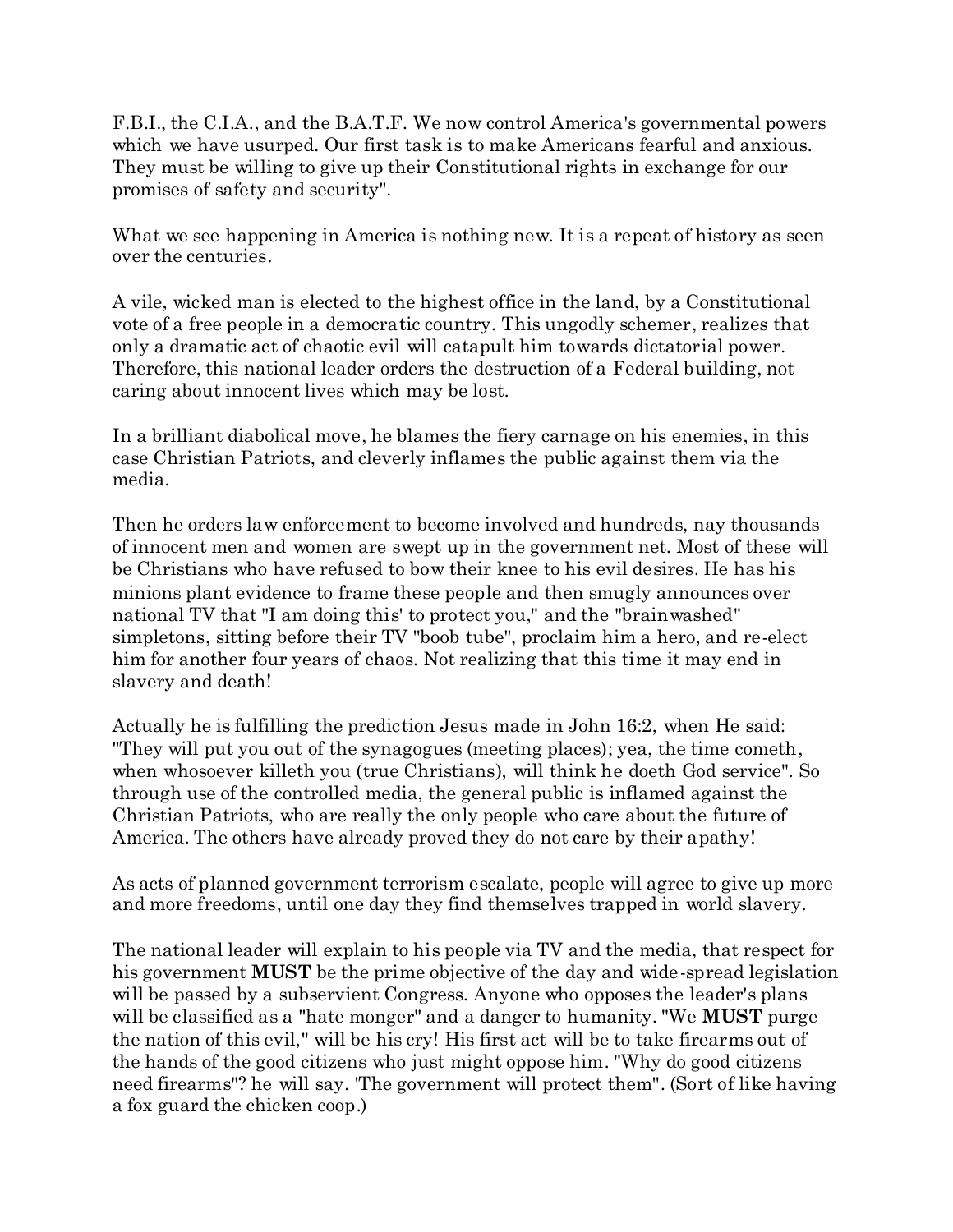F.B.I., the C.I.A., and the B.A.T.F. We now control America's governmental powers which we have usurped. Our first task is to make Americans fearful and anxious. They must be willing to give up their Constitutional rights in exchange for our promises of safety and security".

What we see happening in America is nothing new. It is a repeat of history as seen over the centuries.

A vile, wicked man is elected to the highest office in the land, by a Constitutional vote of a free people in a democratic country. This ungodly schemer, realizes that only a dramatic act of chaotic evil will catapult him towards dictatorial power. Therefore, this national leader orders the destruction of a Federal building, not caring about innocent lives which may be lost.

In a brilliant diabolical move, he blames the fiery carnage on his enemies, in this case Christian Patriots, and cleverly inflames the public against them via the media.

Then he orders law enforcement to become involved and hundreds, nay thousands of innocent men and women are swept up in the government net. Most of these will be Christians who have refused to bow their knee to his evil desires. He has his minions plant evidence to frame these people and then smugly announces over national TV that "I am doing this' to protect you," and the "brainwashed" simpletons, sitting before their TV "boob tube", proclaim him a hero, and re-elect him for another four years of chaos. Not realizing that this time it may end in slavery and death!

Actually he is fulfilling the prediction Jesus made in John 16:2, when He said: "They will put you out of the synagogues (meeting places); yea, the time cometh, when whosoever killeth you (true Christians), will think he doeth God service". So through use of the controlled media, the general public is inflamed against the Christian Patriots, who are really the only people who care about the future of America. The others have already proved they do not care by their apathy!

As acts of planned government terrorism escalate, people will agree to give up more and more freedoms, until one day they find themselves trapped in world slavery.

The national leader will explain to his people via TV and the media, that respect for his government **MUST** be the prime objective of the day and wide-spread legislation will be passed by a subservient Congress. Anyone who opposes the leader's plans will be classified as a "hate monger" and a danger to humanity. "We **MUST** purge the nation of this evil," will be his cry! His first act will be to take firearms out of the hands of the good citizens who just might oppose him. "Why do good citizens need firearms"? he will say. 'The government will protect them". (Sort of like having a fox guard the chicken coop.)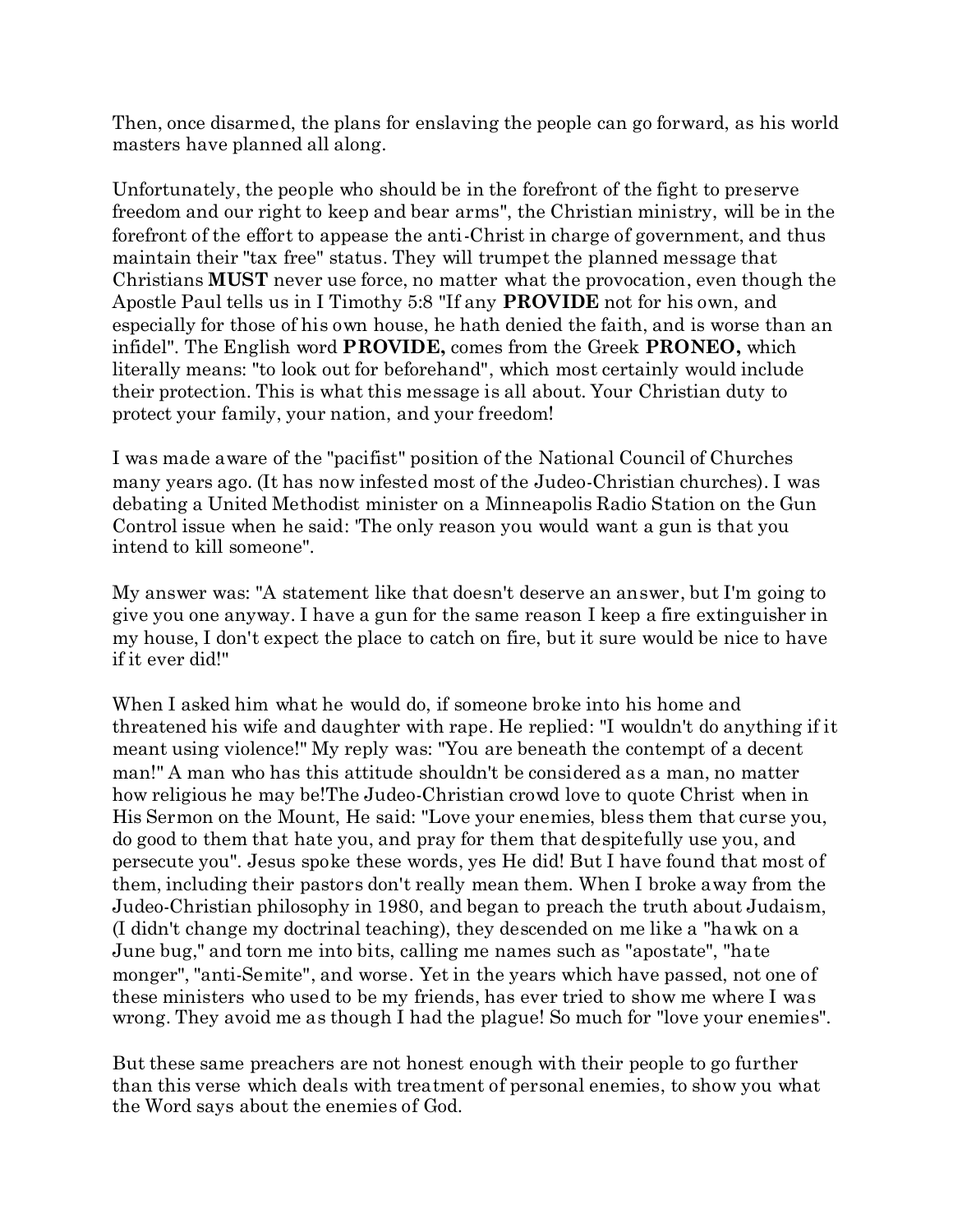Then, once disarmed, the plans for enslaving the people can go forward, as his world masters have planned all along.

Unfortunately, the people who should be in the forefront of the fight to preserve freedom and our right to keep and bear arms", the Christian ministry, will be in the forefront of the effort to appease the anti-Christ in charge of government, and thus maintain their "tax free" status. They will trumpet the planned message that Christians **MUST** never use force, no matter what the provocation, even though the Apostle Paul tells us in I Timothy 5:8 "If any **PROVIDE** not for his own, and especially for those of his own house, he hath denied the faith, and is worse than an infidel". The English word **PROVIDE,** comes from the Greek **PRONEO,** which literally means: "to look out for beforehand", which most certainly would include their protection. This is what this message is all about. Your Christian duty to protect your family, your nation, and your freedom!

I was made aware of the "pacifist" position of the National Council of Churches many years ago. (It has now infested most of the Judeo-Christian churches). I was debating a United Methodist minister on a Minneapolis Radio Station on the Gun Control issue when he said: 'The only reason you would want a gun is that you intend to kill someone".

My answer was: "A statement like that doesn't deserve an answer, but I'm going to give you one anyway. I have a gun for the same reason I keep a fire extinguisher in my house, I don't expect the place to catch on fire, but it sure would be nice to have if it ever did!"

When I asked him what he would do, if someone broke into his home and threatened his wife and daughter with rape. He replied: "I wouldn't do anything if it meant using violence!" My reply was: "You are beneath the contempt of a decent man!" A man who has this attitude shouldn't be considered as a man, no matter how religious he may be!The Judeo-Christian crowd love to quote Christ when in His Sermon on the Mount, He said: "Love your enemies, bless them that curse you, do good to them that hate you, and pray for them that despitefully use you, and persecute you". Jesus spoke these words, yes He did! But I have found that most of them, including their pastors don't really mean them. When I broke away from the Judeo-Christian philosophy in 1980, and began to preach the truth about Judaism, (I didn't change my doctrinal teaching), they descended on me like a "hawk on a June bug," and torn me into bits, calling me names such as "apostate", "hate monger", "anti-Semite", and worse. Yet in the years which have passed, not one of these ministers who used to be my friends, has ever tried to show me where I was wrong. They avoid me as though I had the plague! So much for "love your enemies".

But these same preachers are not honest enough with their people to go further than this verse which deals with treatment of personal enemies, to show you what the Word says about the enemies of God.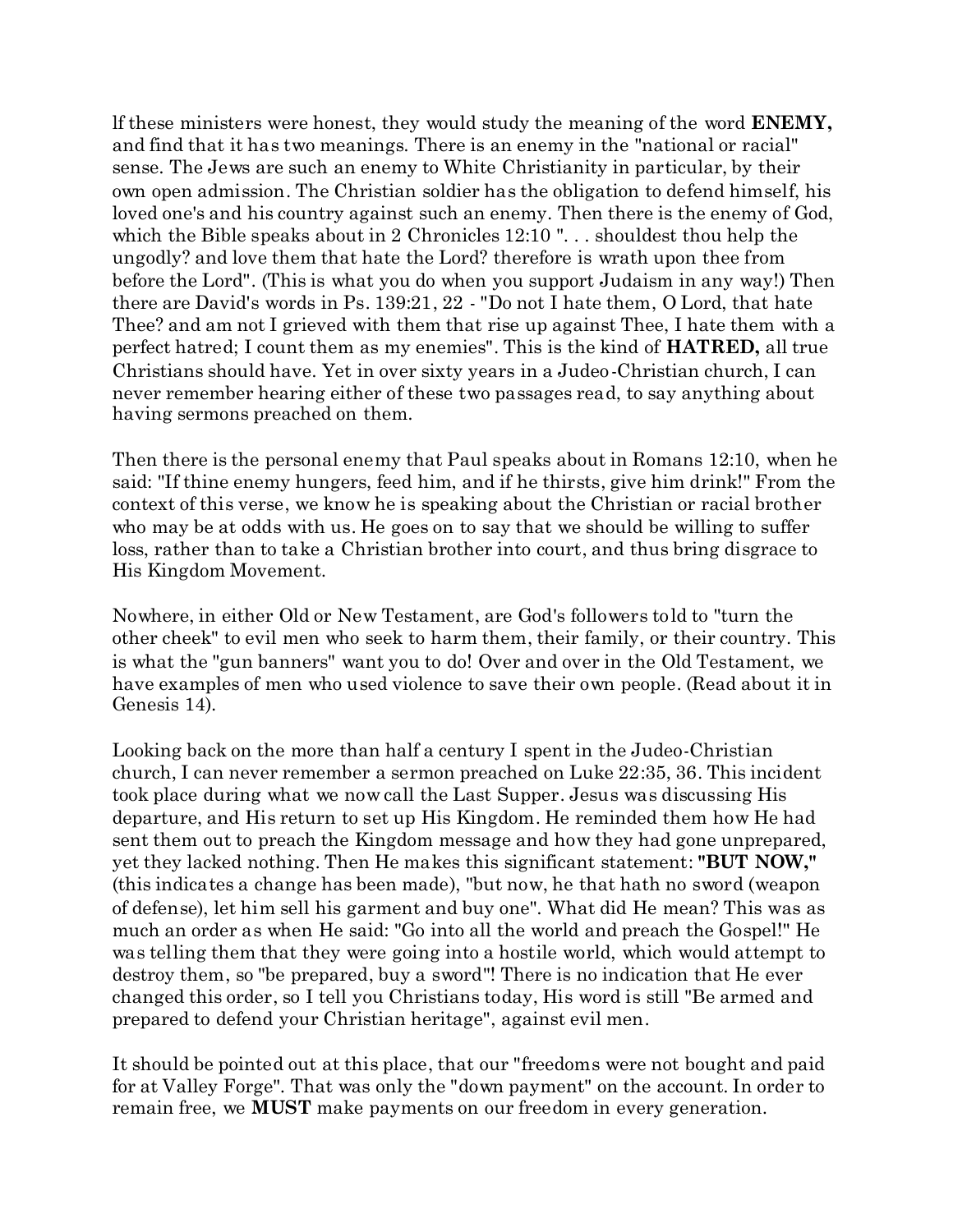lf these ministers were honest, they would study the meaning of the word **ENEMY,** and find that it has two meanings. There is an enemy in the "national or racial" sense. The Jews are such an enemy to White Christianity in particular, by their own open admission. The Christian soldier has the obligation to defend himself, his loved one's and his country against such an enemy. Then there is the enemy of God, which the Bible speaks about in 2 Chronicles 12:10"... shouldest thou help the ungodly? and love them that hate the Lord? therefore is wrath upon thee from before the Lord". (This is what you do when you support Judaism in any way!) Then there are David's words in Ps. 139:21, 22 - "Do not I hate them, O Lord, that hate Thee? and am not I grieved with them that rise up against Thee, I hate them with a perfect hatred; I count them as my enemies". This is the kind of **HATRED,** all true Christians should have. Yet in over sixty years in a Judeo-Christian church, I can never remember hearing either of these two passages read, to say anything about having sermons preached on them.

Then there is the personal enemy that Paul speaks about in Romans 12:10, when he said: "If thine enemy hungers, feed him, and if he thirsts, give him drink!" From the context of this verse, we know he is speaking about the Christian or racial brother who may be at odds with us. He goes on to say that we should be willing to suffer loss, rather than to take a Christian brother into court, and thus bring disgrace to His Kingdom Movement.

Nowhere, in either Old or New Testament, are God's followers told to "turn the other cheek" to evil men who seek to harm them, their family, or their country. This is what the "gun banners" want you to do! Over and over in the Old Testament, we have examples of men who used violence to save their own people. (Read about it in Genesis 14).

Looking back on the more than half a century I spent in the Judeo-Christian church, I can never remember a sermon preached on Luke 22:35, 36. This incident took place during what we now call the Last Supper. Jesus was discussing His departure, and His return to set up His Kingdom. He reminded them how He had sent them out to preach the Kingdom message and how they had gone unprepared, yet they lacked nothing. Then He makes this significant statement: **"BUT NOW,"** (this indicates a change has been made), "but now, he that hath no sword (weapon of defense), let him sell his garment and buy one". What did He mean? This was as much an order as when He said: "Go into all the world and preach the Gospel!" He was telling them that they were going into a hostile world, which would attempt to destroy them, so "be prepared, buy a sword"! There is no indication that He ever changed this order, so I tell you Christians today, His word is still "Be armed and prepared to defend your Christian heritage", against evil men.

It should be pointed out at this place, that our "freedoms were not bought and paid for at Valley Forge". That was only the "down payment" on the account. In order to remain free, we **MUST** make payments on our freedom in every generation.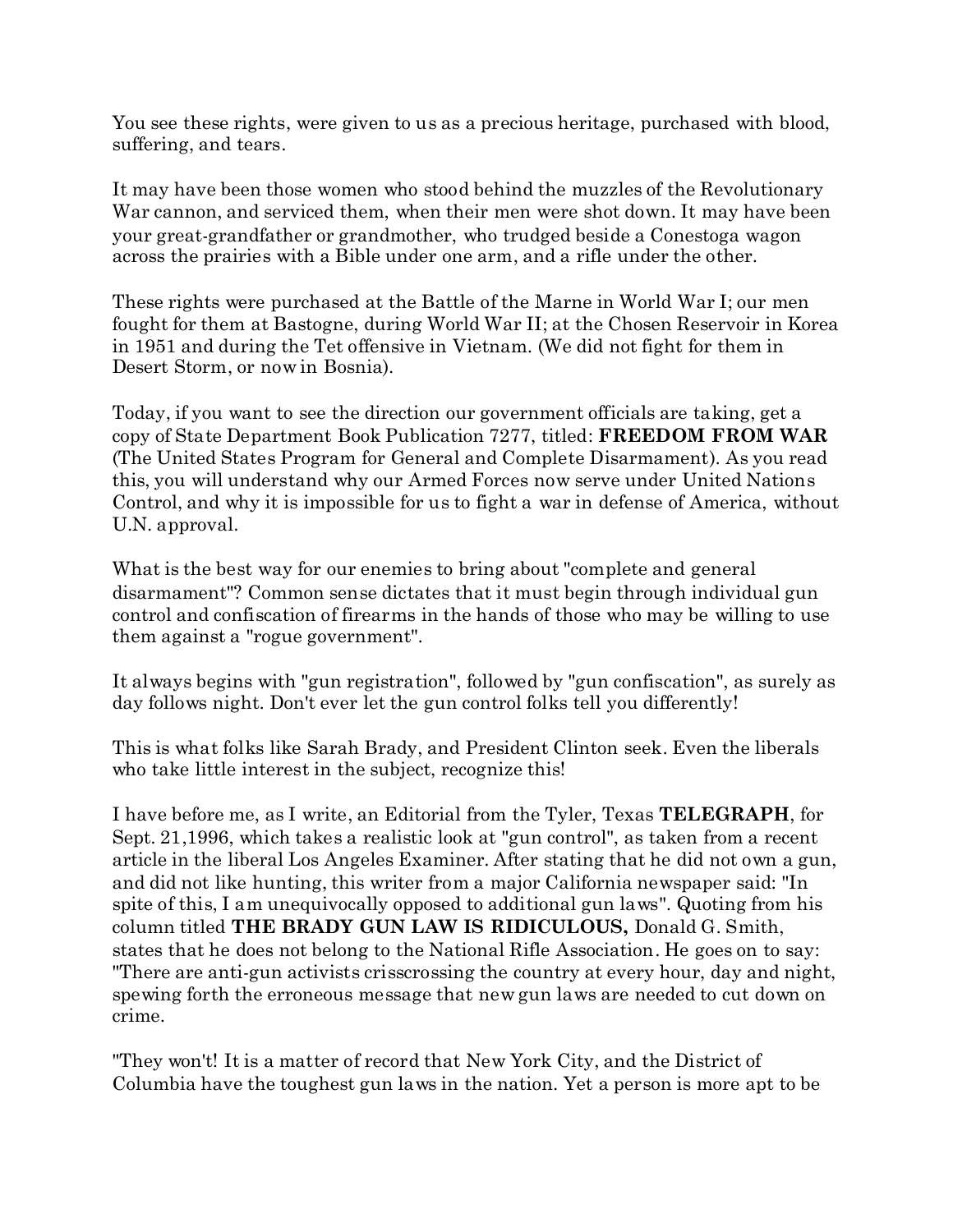You see these rights, were given to us as a precious heritage, purchased with blood, suffering, and tears.

It may have been those women who stood behind the muzzles of the Revolutionary War cannon, and serviced them, when their men were shot down. It may have been your great-grandfather or grandmother, who trudged beside a Conestoga wagon across the prairies with a Bible under one arm, and a rifle under the other.

These rights were purchased at the Battle of the Marne in World War I; our men fought for them at Bastogne, during World War II; at the Chosen Reservoir in Korea in 1951 and during the Tet offensive in Vietnam. (We did not fight for them in Desert Storm, or now in Bosnia).

Today, if you want to see the direction our government officials are taking, get a copy of State Department Book Publication 7277, titled: **FREEDOM FROM WAR** (The United States Program for General and Complete Disarmament). As you read this, you will understand why our Armed Forces now serve under United Nations Control, and why it is impossible for us to fight a war in defense of America, without U.N. approval.

What is the best way for our enemies to bring about "complete and general disarmament"? Common sense dictates that it must begin through individual gun control and confiscation of firearms in the hands of those who may be willing to use them against a "rogue government".

It always begins with "gun registration", followed by "gun confiscation", as surely as day follows night. Don't ever let the gun control folks tell you differently!

This is what folks like Sarah Brady, and President Clinton seek. Even the liberals who take little interest in the subject, recognize this!

I have before me, as I write, an Editorial from the Tyler, Texas **TELEGRAPH**, for Sept. 21,1996, which takes a realistic look at "gun control", as taken from a recent article in the liberal Los Angeles Examiner. After stating that he did not own a gun, and did not like hunting, this writer from a major California newspaper said: "In spite of this, I am unequivocally opposed to additional gun laws". Quoting from his column titled **THE BRADY GUN LAW IS RIDICULOUS,** Donald G. Smith, states that he does not belong to the National Rifle Association. He goes on to say: "There are anti-gun activists crisscrossing the country at every hour, day and night, spewing forth the erroneous message that new gun laws are needed to cut down on crime.

"They won't! It is a matter of record that New York City, and the District of Columbia have the toughest gun laws in the nation. Yet a person is more apt to be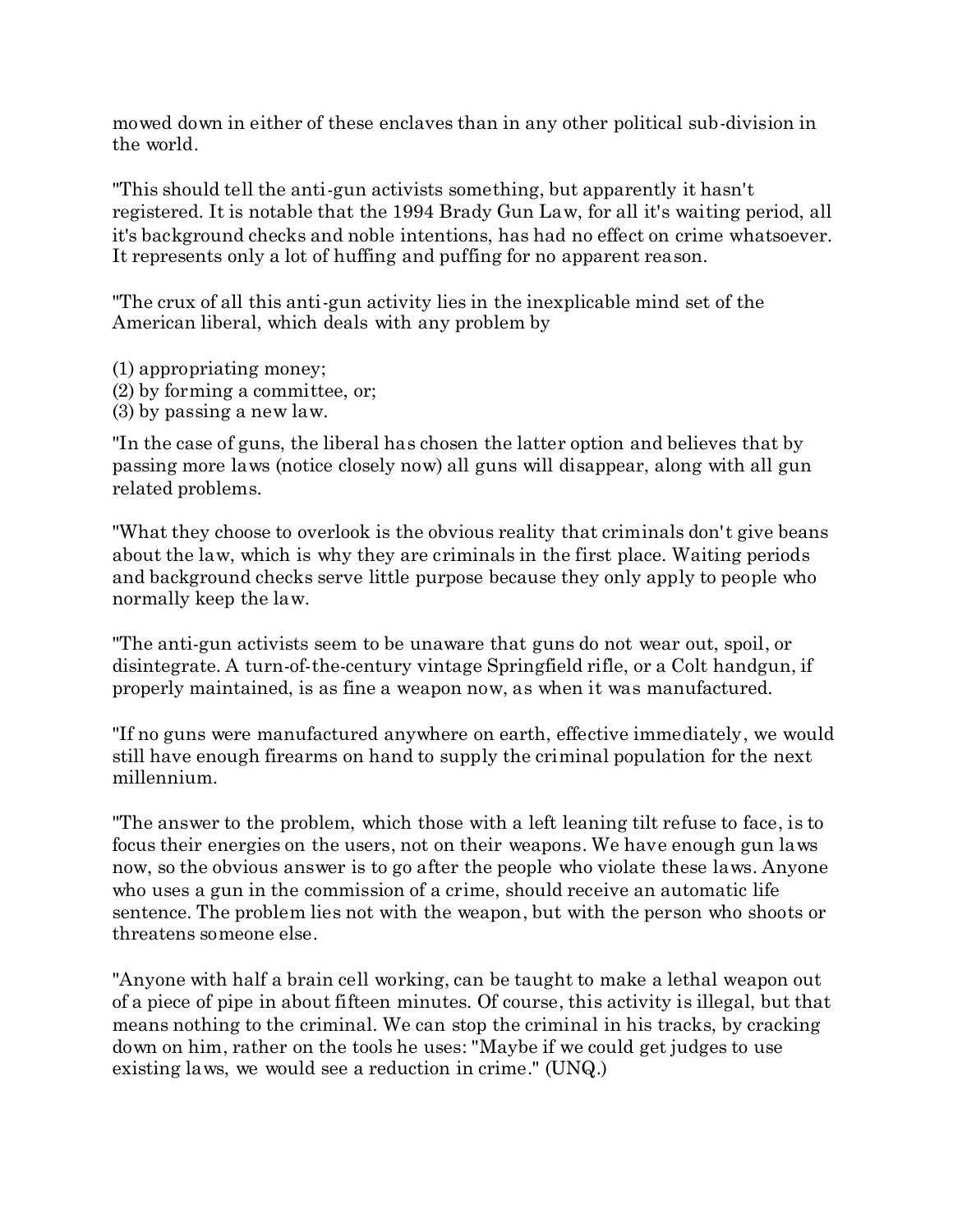mowed down in either of these enclaves than in any other political sub-division in the world.

"This should tell the anti-gun activists something, but apparently it hasn't registered. It is notable that the 1994 Brady Gun Law, for all it's waiting period, all it's background checks and noble intentions, has had no effect on crime whatsoever. It represents only a lot of huffing and puffing for no apparent reason.

"The crux of all this anti-gun activity lies in the inexplicable mind set of the American liberal, which deals with any problem by

- (1) appropriating money;
- (2) by forming a committee, or;
- (3) by passing a new law.

"In the case of guns, the liberal has chosen the latter option and believes that by passing more laws (notice closely now) all guns will disappear, along with all gun related problems.

"What they choose to overlook is the obvious reality that criminals don't give beans about the law, which is why they are criminals in the first place. Waiting periods and background checks serve little purpose because they only apply to people who normally keep the law.

"The anti-gun activists seem to be unaware that guns do not wear out, spoil, or disintegrate. A turn-of-the-century vintage Springfield rifle, or a Colt handgun, if properly maintained, is as fine a weapon now, as when it was manufactured.

"If no guns were manufactured anywhere on earth, effective immediately, we would still have enough firearms on hand to supply the criminal population for the next millennium.

"The answer to the problem, which those with a left leaning tilt refuse to face, is to focus their energies on the users, not on their weapons. We have enough gun laws now, so the obvious answer is to go after the people who violate these laws. Anyone who uses a gun in the commission of a crime, should receive an automatic life sentence. The problem lies not with the weapon, but with the person who shoots or threatens someone else.

"Anyone with half a brain cell working, can be taught to make a lethal weapon out of a piece of pipe in about fifteen minutes. Of course, this activity is illegal, but that means nothing to the criminal. We can stop the criminal in his tracks, by cracking down on him, rather on the tools he uses: "Maybe if we could get judges to use existing laws, we would see a reduction in crime." (UNQ.)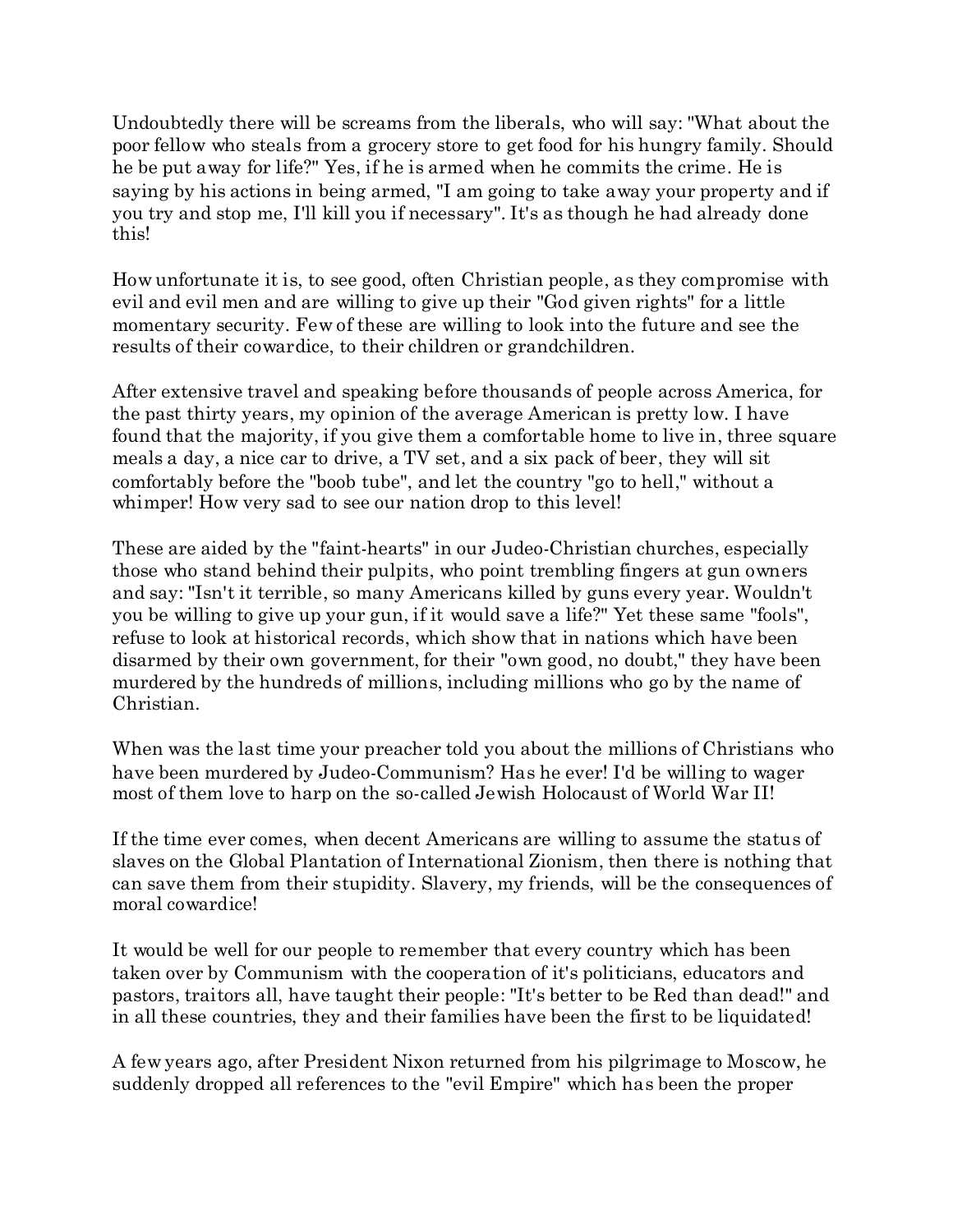Undoubtedly there will be screams from the liberals, who will say: "What about the poor fellow who steals from a grocery store to get food for his hungry family. Should he be put away for life?" Yes, if he is armed when he commits the crime. He is saying by his actions in being armed, "I am going to take away your property and if you try and stop me, I'll kill you if necessary". It's as though he had already done this!

How unfortunate it is, to see good, often Christian people, as they compromise with evil and evil men and are willing to give up their "God given rights" for a little momentary security. Few of these are willing to look into the future and see the results of their cowardice, to their children or grandchildren.

After extensive travel and speaking before thousands of people across America, for the past thirty years, my opinion of the average American is pretty low. I have found that the majority, if you give them a comfortable home to live in, three square meals a day, a nice car to drive, a TV set, and a six pack of beer, they will sit comfortably before the "boob tube", and let the country "go to hell," without a whimper! How very sad to see our nation drop to this level!

These are aided by the "faint-hearts" in our Judeo-Christian churches, especially those who stand behind their pulpits, who point trembling fingers at gun owners and say: "Isn't it terrible, so many Americans killed by guns every year. Wouldn't you be willing to give up your gun, if it would save a life?" Yet these same "fools", refuse to look at historical records, which show that in nations which have been disarmed by their own government, for their "own good, no doubt," they have been murdered by the hundreds of millions, including millions who go by the name of Christian.

When was the last time your preacher told you about the millions of Christians who have been murdered by Judeo-Communism? Has he ever! I'd be willing to wager most of them love to harp on the so-called Jewish Holocaust of World War II!

If the time ever comes, when decent Americans are willing to assume the status of slaves on the Global Plantation of International Zionism, then there is nothing that can save them from their stupidity. Slavery, my friends, will be the consequences of moral cowardice!

It would be well for our people to remember that every country which has been taken over by Communism with the cooperation of it's politicians, educators and pastors, traitors all, have taught their people: "It's better to be Red than dead!" and in all these countries, they and their families have been the first to be liquidated!

A few years ago, after President Nixon returned from his pilgrimage to Moscow, he suddenly dropped all references to the "evil Empire" which has been the proper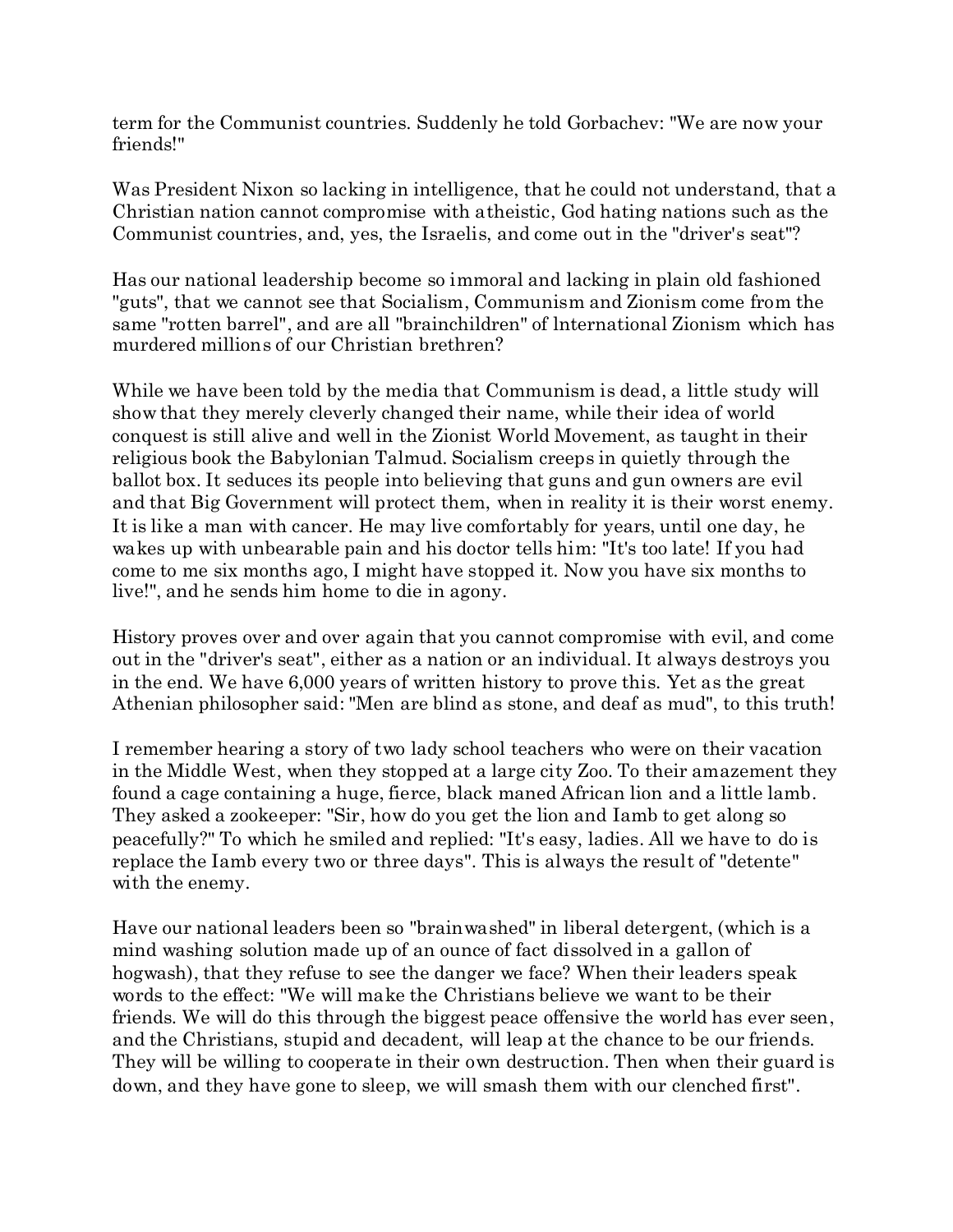term for the Communist countries. Suddenly he told Gorbachev: "We are now your friends!"

Was President Nixon so lacking in intelligence, that he could not understand, that a Christian nation cannot compromise with atheistic, God hating nations such as the Communist countries, and, yes, the Israelis, and come out in the "driver's seat"?

Has our national leadership become so immoral and lacking in plain old fashioned "guts", that we cannot see that Socialism, Communism and Zionism come from the same "rotten barrel", and are all "brainchildren" of lnternational Zionism which has murdered millions of our Christian brethren?

While we have been told by the media that Communism is dead, a little study will show that they merely cleverly changed their name, while their idea of world conquest is still alive and well in the Zionist World Movement, as taught in their religious book the Babylonian Talmud. Socialism creeps in quietly through the ballot box. It seduces its people into believing that guns and gun owners are evil and that Big Government will protect them, when in reality it is their worst enemy. It is like a man with cancer. He may live comfortably for years, until one day, he wakes up with unbearable pain and his doctor tells him: "It's too late! If you had come to me six months ago, I might have stopped it. Now you have six months to live!", and he sends him home to die in agony.

History proves over and over again that you cannot compromise with evil, and come out in the "driver's seat", either as a nation or an individual. It always destroys you in the end. We have 6,000 years of written history to prove this. Yet as the great Athenian philosopher said: "Men are blind as stone, and deaf as mud", to this truth!

I remember hearing a story of two lady school teachers who were on their vacation in the Middle West, when they stopped at a large city Zoo. To their amazement they found a cage containing a huge, fierce, black maned African lion and a little lamb. They asked a zookeeper: "Sir, how do you get the lion and Iamb to get along so peacefully?" To which he smiled and replied: "It's easy, ladies. All we have to do is replace the Iamb every two or three days". This is always the result of "detente" with the enemy.

Have our national leaders been so "brainwashed" in liberal detergent, (which is a mind washing solution made up of an ounce of fact dissolved in a gallon of hogwash), that they refuse to see the danger we face? When their leaders speak words to the effect: "We will make the Christians believe we want to be their friends. We will do this through the biggest peace offensive the world has ever seen, and the Christians, stupid and decadent, will leap at the chance to be our friends. They will be willing to cooperate in their own destruction. Then when their guard is down, and they have gone to sleep, we will smash them with our clenched first".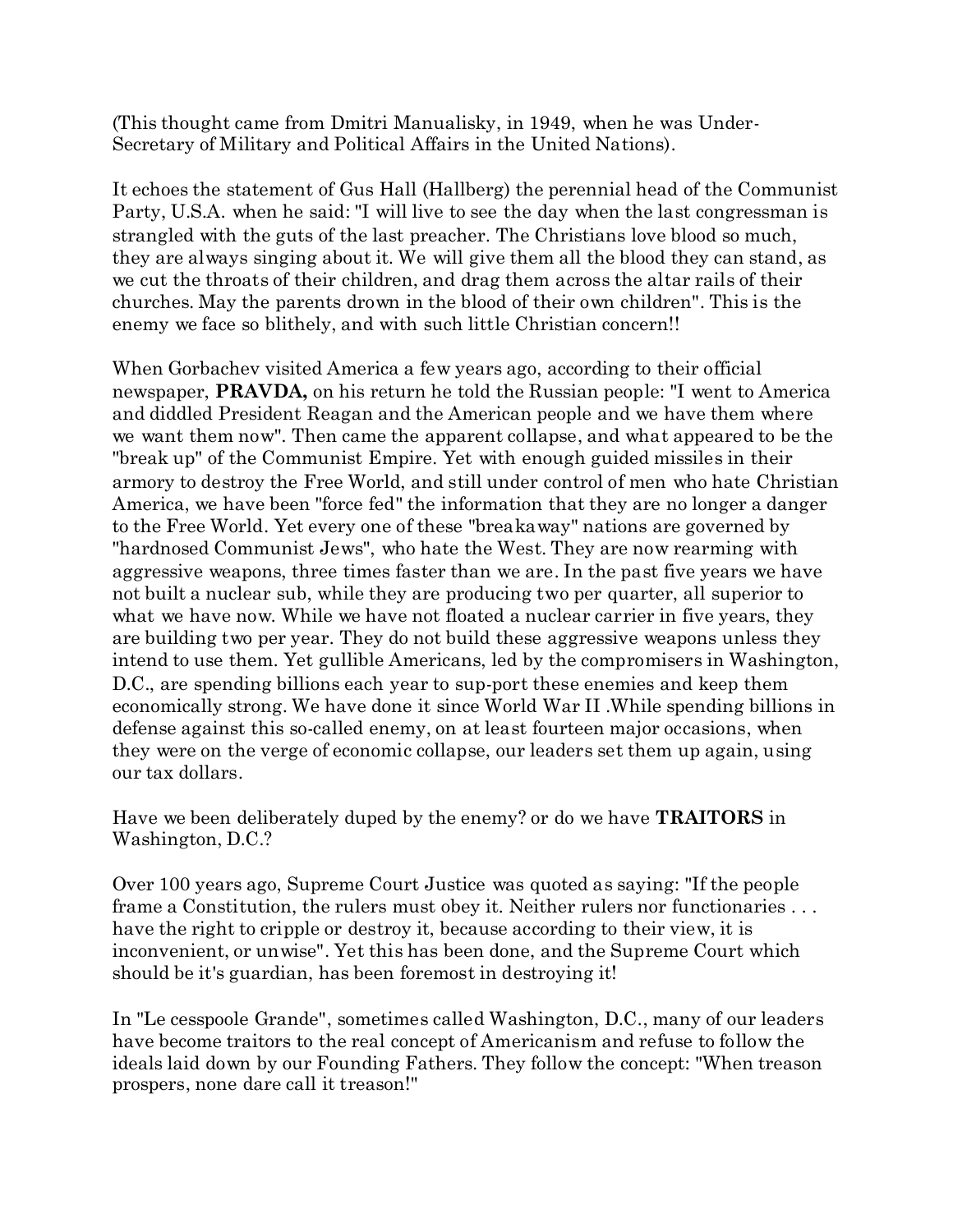(This thought came from Dmitri Manualisky, in 1949, when he was Under-Secretary of Military and Political Affairs in the United Nations).

It echoes the statement of Gus Hall (Hallberg) the perennial head of the Communist Party, U.S.A. when he said: "I will live to see the day when the last congressman is strangled with the guts of the last preacher. The Christians love blood so much, they are always singing about it. We will give them all the blood they can stand, as we cut the throats of their children, and drag them across the altar rails of their churches. May the parents drown in the blood of their own children". This is the enemy we face so blithely, and with such little Christian concern!!

When Gorbachev visited America a few years ago, according to their official newspaper, **PRAVDA,** on his return he told the Russian people: "I went to America and diddled President Reagan and the American people and we have them where we want them now". Then came the apparent collapse, and what appeared to be the "break up" of the Communist Empire. Yet with enough guided missiles in their armory to destroy the Free World, and still under control of men who hate Christian America, we have been "force fed" the information that they are no longer a danger to the Free World. Yet every one of these "breakaway" nations are governed by "hardnosed Communist Jews", who hate the West. They are now rearming with aggressive weapons, three times faster than we are. In the past five years we have not built a nuclear sub, while they are producing two per quarter, all superior to what we have now. While we have not floated a nuclear carrier in five years, they are building two per year. They do not build these aggressive weapons unless they intend to use them. Yet gullible Americans, led by the compromisers in Washington, D.C., are spending billions each year to sup-port these enemies and keep them economically strong. We have done it since World War II .While spending billions in defense against this so-called enemy, on at least fourteen major occasions, when they were on the verge of economic collapse, our leaders set them up again, using our tax dollars.

Have we been deliberately duped by the enemy? or do we have **TRAITORS** in Washington, D.C.?

Over 100 years ago, Supreme Court Justice was quoted as saying: "If the people frame a Constitution, the rulers must obey it. Neither rulers nor functionaries . . . have the right to cripple or destroy it, because according to their view, it is inconvenient, or unwise". Yet this has been done, and the Supreme Court which should be it's guardian, has been foremost in destroying it!

In "Le cesspoole Grande", sometimes called Washington, D.C., many of our leaders have become traitors to the real concept of Americanism and refuse to follow the ideals laid down by our Founding Fathers. They follow the concept: "When treason prospers, none dare call it treason!"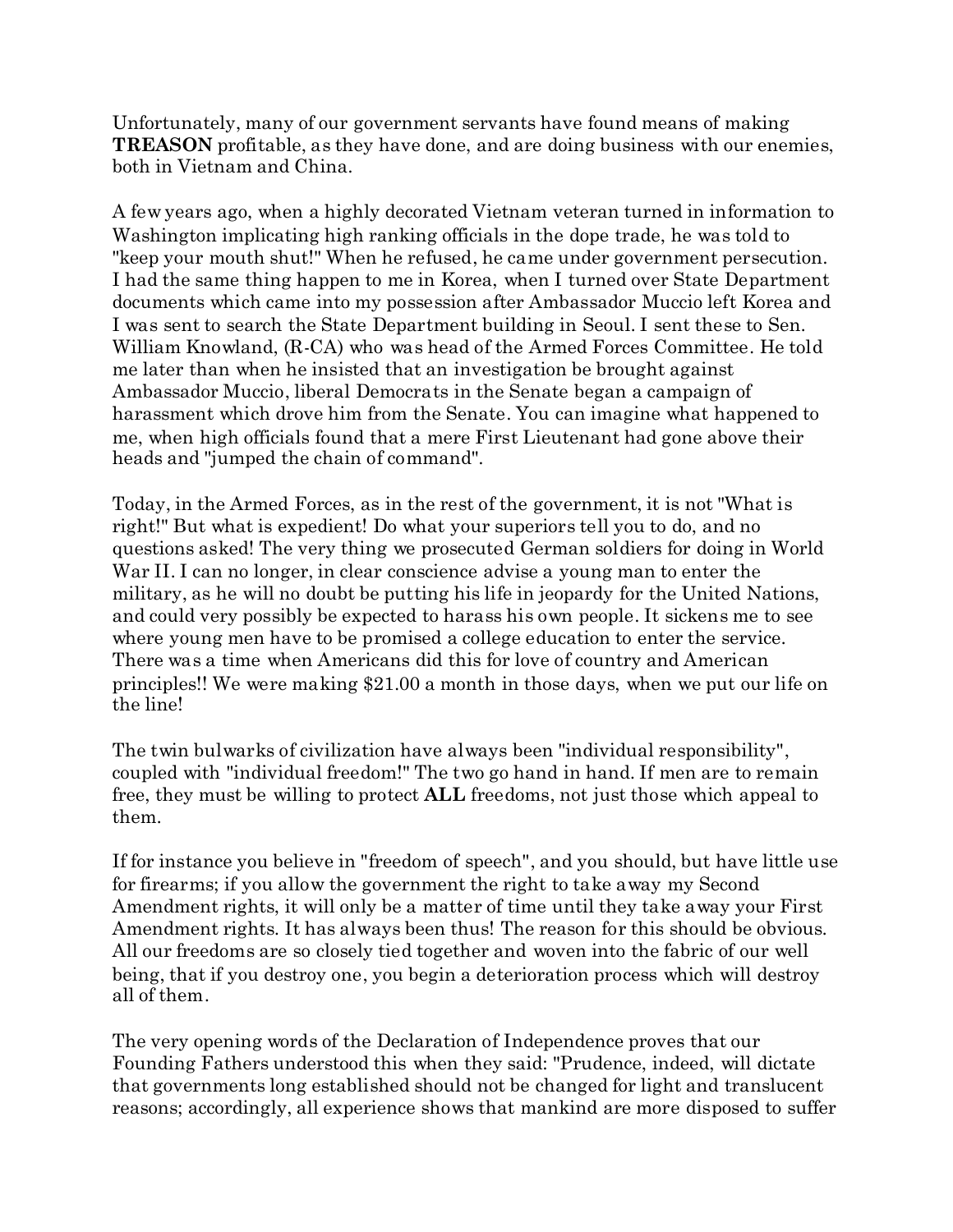Unfortunately, many of our government servants have found means of making **TREASON** profitable, as they have done, and are doing business with our enemies, both in Vietnam and China.

A few years ago, when a highly decorated Vietnam veteran turned in information to Washington implicating high ranking officials in the dope trade, he was told to "keep your mouth shut!" When he refused, he came under government persecution. I had the same thing happen to me in Korea, when I turned over State Department documents which came into my possession after Ambassador Muccio left Korea and I was sent to search the State Department building in Seoul. I sent these to Sen. William Knowland, (R-CA) who was head of the Armed Forces Committee. He told me later than when he insisted that an investigation be brought against Ambassador Muccio, liberal Democrats in the Senate began a campaign of harassment which drove him from the Senate. You can imagine what happened to me, when high officials found that a mere First Lieutenant had gone above their heads and "jumped the chain of command".

Today, in the Armed Forces, as in the rest of the government, it is not "What is right!" But what is expedient! Do what your superiors tell you to do, and no questions asked! The very thing we prosecuted German soldiers for doing in World War II. I can no longer, in clear conscience advise a young man to enter the military, as he will no doubt be putting his life in jeopardy for the United Nations, and could very possibly be expected to harass his own people. It sickens me to see where young men have to be promised a college education to enter the service. There was a time when Americans did this for love of country and American principles!! We were making \$21.00 a month in those days, when we put our life on the line!

The twin bulwarks of civilization have always been "individual responsibility", coupled with "individual freedom!" The two go hand in hand. If men are to remain free, they must be willing to protect **ALL** freedoms, not just those which appeal to them.

If for instance you believe in "freedom of speech", and you should, but have little use for firearms; if you allow the government the right to take away my Second Amendment rights, it will only be a matter of time until they take away your First Amendment rights. It has always been thus! The reason for this should be obvious. All our freedoms are so closely tied together and woven into the fabric of our well being, that if you destroy one, you begin a deterioration process which will destroy all of them.

The very opening words of the Declaration of Independence proves that our Founding Fathers understood this when they said: "Prudence, indeed, will dictate that governments long established should not be changed for light and translucent reasons; accordingly, all experience shows that mankind are more disposed to suffer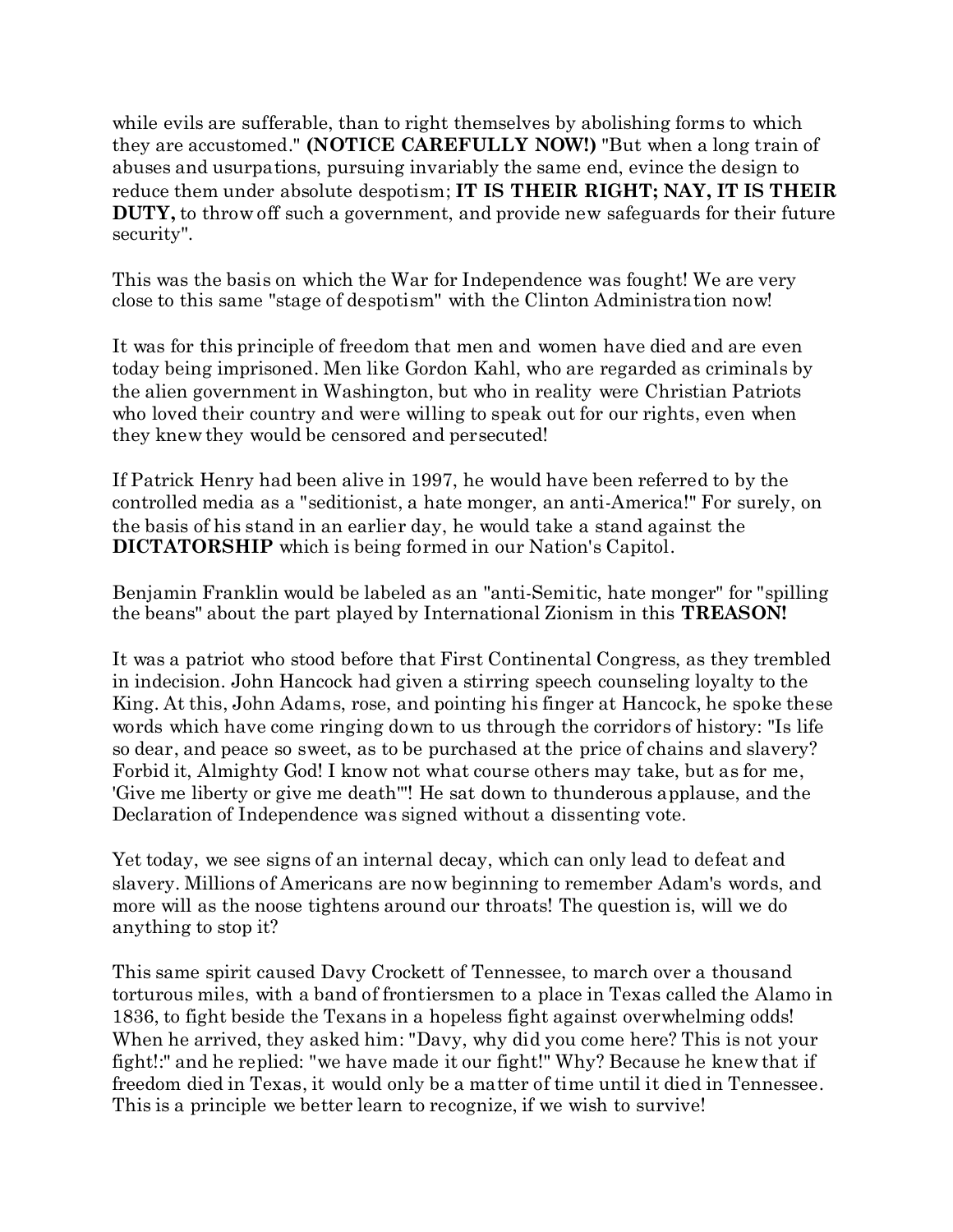while evils are sufferable, than to right themselves by abolishing forms to which they are accustomed." **(NOTICE CAREFULLY NOW!)** "But when a long train of abuses and usurpations, pursuing invariably the same end, evince the design to reduce them under absolute despotism; **IT IS THEIR RIGHT; NAY, IT IS THEIR DUTY,** to throw off such a government, and provide new safeguards for their future security".

This was the basis on which the War for Independence was fought! We are very close to this same "stage of despotism" with the Clinton Administration now!

It was for this principle of freedom that men and women have died and are even today being imprisoned. Men like Gordon Kahl, who are regarded as criminals by the alien government in Washington, but who in reality were Christian Patriots who loved their country and were willing to speak out for our rights, even when they knew they would be censored and persecuted!

If Patrick Henry had been alive in 1997, he would have been referred to by the controlled media as a "seditionist, a hate monger, an anti-America!" For surely, on the basis of his stand in an earlier day, he would take a stand against the **DICTATORSHIP** which is being formed in our Nation's Capitol.

Benjamin Franklin would be labeled as an "anti-Semitic, hate monger" for "spilling the beans" about the part played by International Zionism in this **TREASON!**

It was a patriot who stood before that First Continental Congress, as they trembled in indecision. John Hancock had given a stirring speech counseling loyalty to the King. At this, John Adams, rose, and pointing his finger at Hancock, he spoke these words which have come ringing down to us through the corridors of history: "Is life so dear, and peace so sweet, as to be purchased at the price of chains and slavery? Forbid it, Almighty God! I know not what course others may take, but as for me, 'Give me liberty or give me death"'! He sat down to thunderous applause, and the Declaration of Independence was signed without a dissenting vote.

Yet today, we see signs of an internal decay, which can only lead to defeat and slavery. Millions of Americans are now beginning to remember Adam's words, and more will as the noose tightens around our throats! The question is, will we do anything to stop it?

This same spirit caused Davy Crockett of Tennessee, to march over a thousand torturous miles, with a band of frontiersmen to a place in Texas called the Alamo in 1836, to fight beside the Texans in a hopeless fight against overwhelming odds! When he arrived, they asked him: "Davy, why did you come here? This is not your fight!:" and he replied: "we have made it our fight!" Why? Because he knew that if freedom died in Texas, it would only be a matter of time until it died in Tennessee. This is a principle we better learn to recognize, if we wish to survive!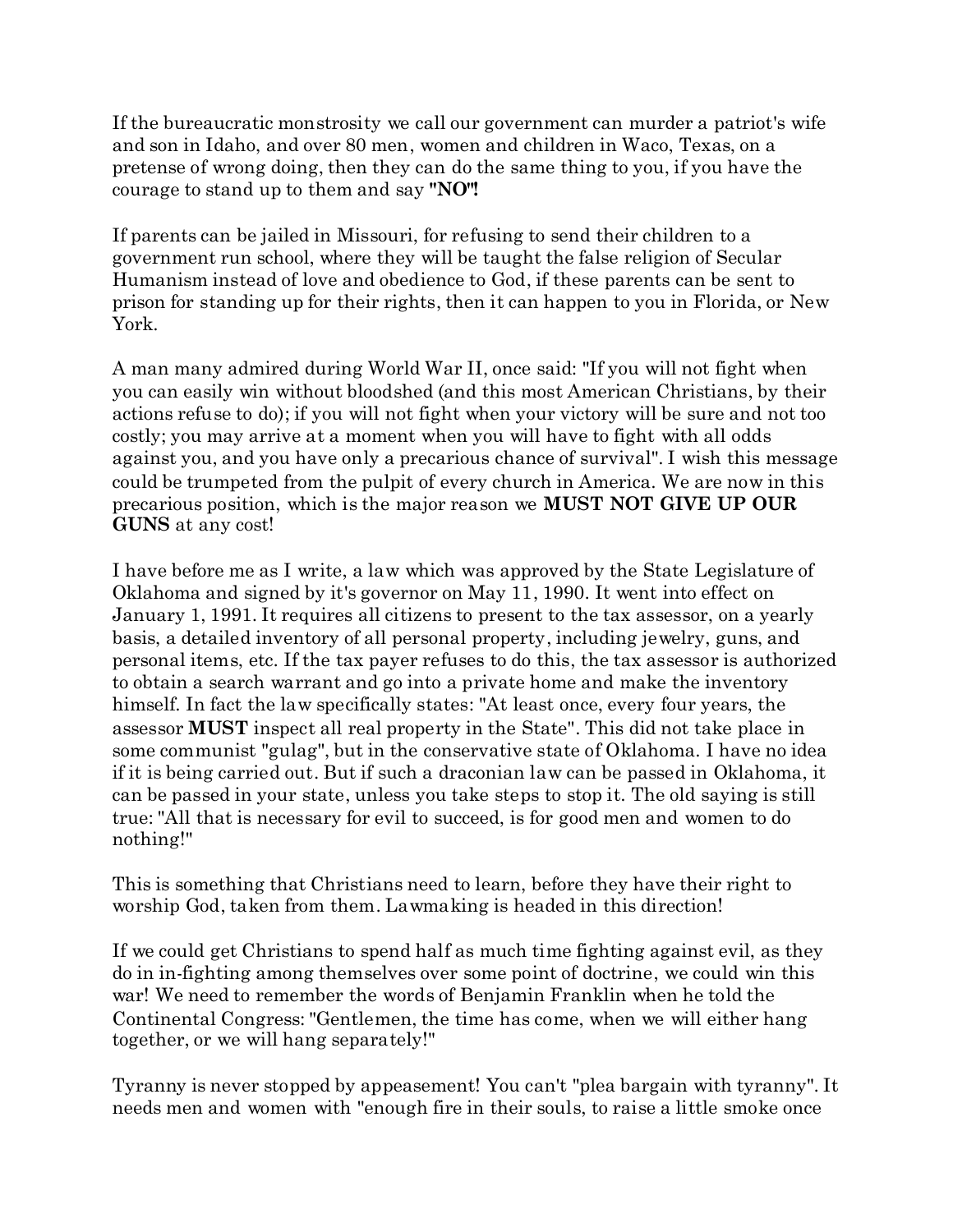If the bureaucratic monstrosity we call our government can murder a patriot's wife and son in Idaho, and over 80 men, women and children in Waco, Texas, on a pretense of wrong doing, then they can do the same thing to you, if you have the courage to stand up to them and say **"NO"!**

If parents can be jailed in Missouri, for refusing to send their children to a government run school, where they will be taught the false religion of Secular Humanism instead of love and obedience to God, if these parents can be sent to prison for standing up for their rights, then it can happen to you in Florida, or New York.

A man many admired during World War II, once said: "If you will not fight when you can easily win without bloodshed (and this most American Christians, by their actions refuse to do); if you will not fight when your victory will be sure and not too costly; you may arrive at a moment when you will have to fight with all odds against you, and you have only a precarious chance of survival". I wish this message could be trumpeted from the pulpit of every church in America. We are now in this precarious position, which is the major reason we **MUST NOT GIVE UP OUR GUNS** at any cost!

I have before me as I write, a law which was approved by the State Legislature of Oklahoma and signed by it's governor on May 11, 1990. It went into effect on January 1, 1991. It requires all citizens to present to the tax assessor, on a yearly basis, a detailed inventory of all personal property, including jewelry, guns, and personal items, etc. If the tax payer refuses to do this, the tax assessor is authorized to obtain a search warrant and go into a private home and make the inventory himself. In fact the law specifically states: "At least once, every four years, the assessor **MUST** inspect all real property in the State". This did not take place in some communist "gulag", but in the conservative state of Oklahoma. I have no idea if it is being carried out. But if such a draconian law can be passed in Oklahoma, it can be passed in your state, unless you take steps to stop it. The old saying is still true: "All that is necessary for evil to succeed, is for good men and women to do nothing!"

This is something that Christians need to learn, before they have their right to worship God, taken from them. Lawmaking is headed in this direction!

If we could get Christians to spend half as much time fighting against evil, as they do in in-fighting among themselves over some point of doctrine, we could win this war! We need to remember the words of Benjamin Franklin when he told the Continental Congress: "Gentlemen, the time has come, when we will either hang together, or we will hang separately!"

Tyranny is never stopped by appeasement! You can't "plea bargain with tyranny". It needs men and women with "enough fire in their souls, to raise a little smoke once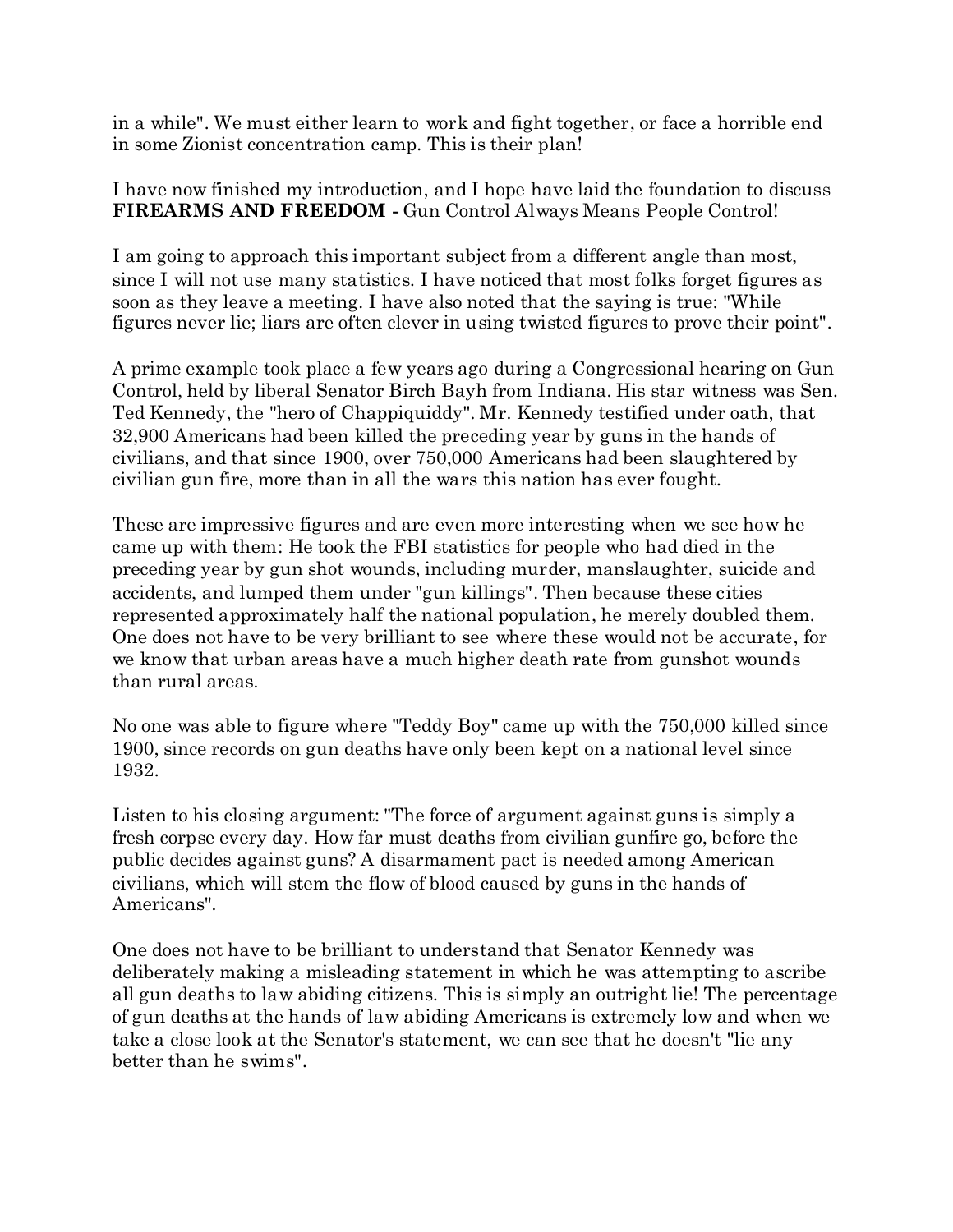in a while". We must either learn to work and fight together, or face a horrible end in some Zionist concentration camp. This is their plan!

#### I have now finished my introduction, and I hope have laid the foundation to discuss **FIREARMS AND FREEDOM -** Gun Control Always Means People Control!

I am going to approach this important subject from a different angle than most, since I will not use many statistics. I have noticed that most folks forget figures as soon as they leave a meeting. I have also noted that the saying is true: "While figures never lie; liars are often clever in using twisted figures to prove their point".

A prime example took place a few years ago during a Congressional hearing on Gun Control, held by liberal Senator Birch Bayh from Indiana. His star witness was Sen. Ted Kennedy, the "hero of Chappiquiddy". Mr. Kennedy testified under oath, that 32,900 Americans had been killed the preceding year by guns in the hands of civilians, and that since 1900, over 750,000 Americans had been slaughtered by civilian gun fire, more than in all the wars this nation has ever fought.

These are impressive figures and are even more interesting when we see how he came up with them: He took the FBI statistics for people who had died in the preceding year by gun shot wounds, including murder, manslaughter, suicide and accidents, and lumped them under "gun killings". Then because these cities represented approximately half the national population, he merely doubled them. One does not have to be very brilliant to see where these would not be accurate, for we know that urban areas have a much higher death rate from gunshot wounds than rural areas.

No one was able to figure where "Teddy Boy" came up with the 750,000 killed since 1900, since records on gun deaths have only been kept on a national level since 1932.

Listen to his closing argument: "The force of argument against guns is simply a fresh corpse every day. How far must deaths from civilian gunfire go, before the public decides against guns? A disarmament pact is needed among American civilians, which will stem the flow of blood caused by guns in the hands of Americans".

One does not have to be brilliant to understand that Senator Kennedy was deliberately making a misleading statement in which he was attempting to ascribe all gun deaths to law abiding citizens. This is simply an outright lie! The percentage of gun deaths at the hands of law abiding Americans is extremely low and when we take a close look at the Senator's statement, we can see that he doesn't "lie any better than he swims".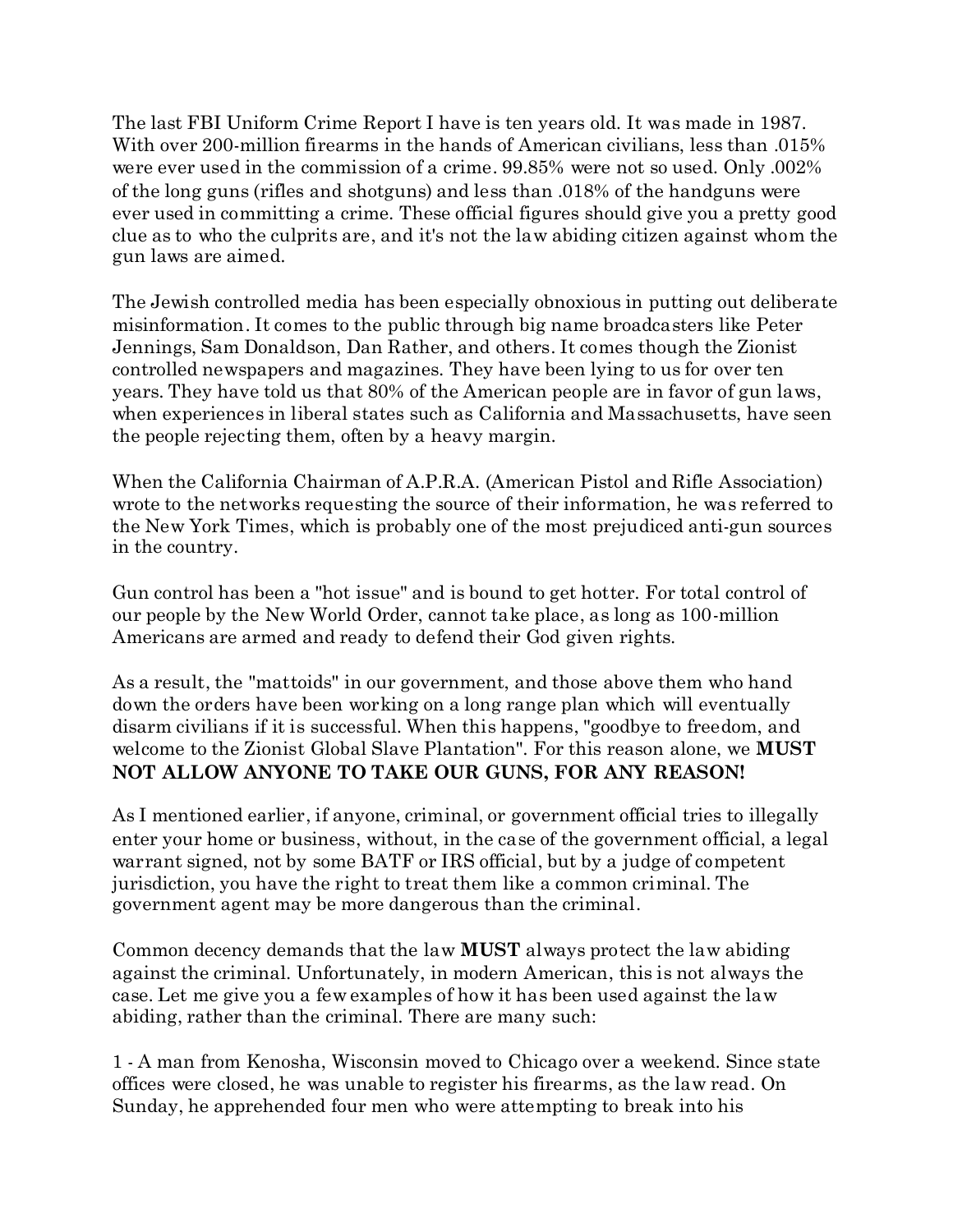The last FBI Uniform Crime Report I have is ten years old. It was made in 1987. With over 200-million firearms in the hands of American civilians, less than .015% were ever used in the commission of a crime. 99.85% were not so used. Only .002% of the long guns (rifles and shotguns) and less than .018% of the handguns were ever used in committing a crime. These official figures should give you a pretty good clue as to who the culprits are, and it's not the law abiding citizen against whom the gun laws are aimed.

The Jewish controlled media has been especially obnoxious in putting out deliberate misinformation. It comes to the public through big name broadcasters like Peter Jennings, Sam Donaldson, Dan Rather, and others. It comes though the Zionist controlled newspapers and magazines. They have been lying to us for over ten years. They have told us that 80% of the American people are in favor of gun laws, when experiences in liberal states such as California and Massachusetts, have seen the people rejecting them, often by a heavy margin.

When the California Chairman of A.P.R.A. (American Pistol and Rifle Association) wrote to the networks requesting the source of their information, he was referred to the New York Times, which is probably one of the most prejudiced anti-gun sources in the country.

Gun control has been a "hot issue" and is bound to get hotter. For total control of our people by the New World Order, cannot take place, as long as 100-million Americans are armed and ready to defend their God given rights.

As a result, the "mattoids" in our government, and those above them who hand down the orders have been working on a long range plan which will eventually disarm civilians if it is successful. When this happens, "goodbye to freedom, and welcome to the Zionist Global Slave Plantation". For this reason alone, we **MUST NOT ALLOW ANYONE TO TAKE OUR GUNS, FOR ANY REASON!**

As I mentioned earlier, if anyone, criminal, or government official tries to illegally enter your home or business, without, in the case of the government official, a legal warrant signed, not by some BATF or IRS official, but by a judge of competent jurisdiction, you have the right to treat them like a common criminal. The government agent may be more dangerous than the criminal.

Common decency demands that the law **MUST** always protect the law abiding against the criminal. Unfortunately, in modern American, this is not always the case. Let me give you a few examples of how it has been used against the law abiding, rather than the criminal. There are many such:

1 - A man from Kenosha, Wisconsin moved to Chicago over a weekend. Since state offices were closed, he was unable to register his firearms, as the law read. On Sunday, he apprehended four men who were attempting to break into his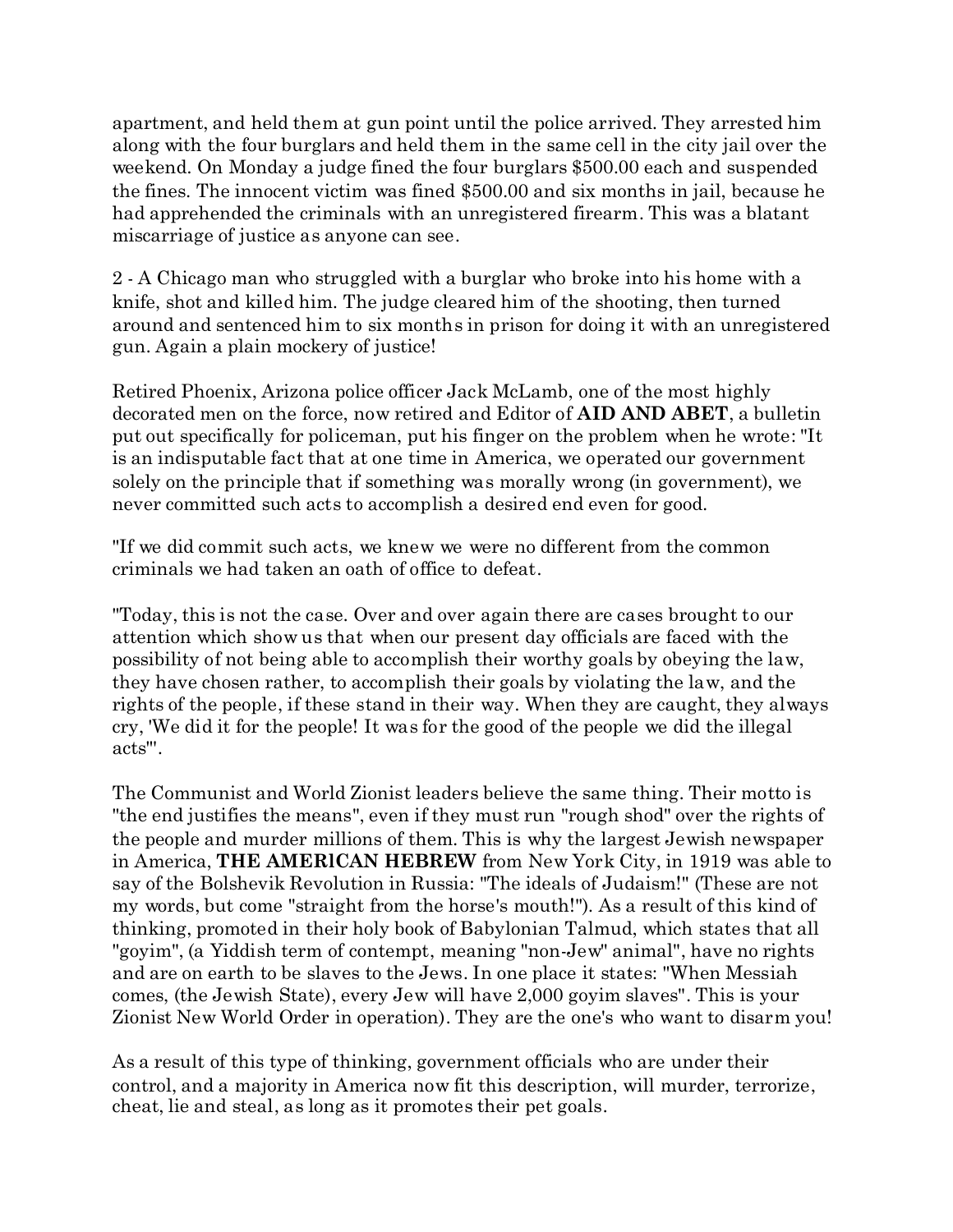apartment, and held them at gun point until the police arrived. They arrested him along with the four burglars and held them in the same cell in the city jail over the weekend. On Monday a judge fined the four burglars \$500.00 each and suspended the fines. The innocent victim was fined \$500.00 and six months in jail, because he had apprehended the criminals with an unregistered firearm. This was a blatant miscarriage of justice as anyone can see.

2 - A Chicago man who struggled with a burglar who broke into his home with a knife, shot and killed him. The judge cleared him of the shooting, then turned around and sentenced him to six months in prison for doing it with an unregistered gun. Again a plain mockery of justice!

Retired Phoenix, Arizona police officer Jack McLamb, one of the most highly decorated men on the force, now retired and Editor of **AID AND ABET**, a bulletin put out specifically for policeman, put his finger on the problem when he wrote: "It is an indisputable fact that at one time in America, we operated our government solely on the principle that if something was morally wrong (in government), we never committed such acts to accomplish a desired end even for good.

"If we did commit such acts, we knew we were no different from the common criminals we had taken an oath of office to defeat.

"Today, this is not the case. Over and over again there are cases brought to our attention which show us that when our present day officials are faced with the possibility of not being able to accomplish their worthy goals by obeying the law, they have chosen rather, to accomplish their goals by violating the law, and the rights of the people, if these stand in their way. When they are caught, they always cry, 'We did it for the people! It was for the good of the people we did the illegal acts"'.

The Communist and World Zionist leaders believe the same thing. Their motto is "the end justifies the means", even if they must run "rough shod" over the rights of the people and murder millions of them. This is why the largest Jewish newspaper in America, **THE AMERlCAN HEBREW** from New York City, in 1919 was able to say of the Bolshevik Revolution in Russia: "The ideals of Judaism!" (These are not my words, but come "straight from the horse's mouth!"). As a result of this kind of thinking, promoted in their holy book of Babylonian Talmud, which states that all "goyim", (a Yiddish term of contempt, meaning "non-Jew" animal", have no rights and are on earth to be slaves to the Jews. In one place it states: "When Messiah comes, (the Jewish State), every Jew will have 2,000 goyim slaves". This is your Zionist New World Order in operation). They are the one's who want to disarm you!

As a result of this type of thinking, government officials who are under their control, and a majority in America now fit this description, will murder, terrorize, cheat, lie and steal, as long as it promotes their pet goals.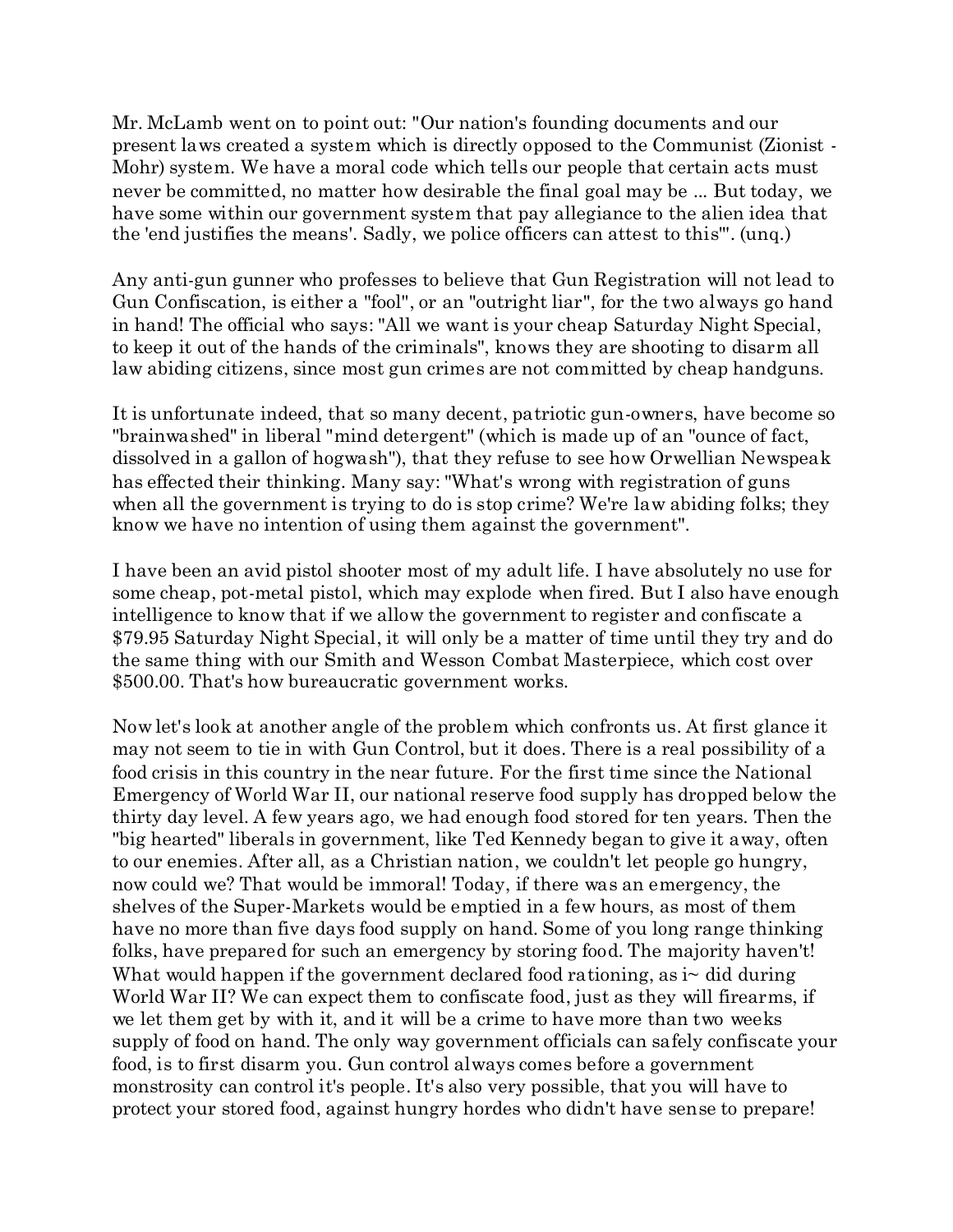Mr. McLamb went on to point out: "Our nation's founding documents and our present laws created a system which is directly opposed to the Communist (Zionist - Mohr) system. We have a moral code which tells our people that certain acts must never be committed, no matter how desirable the final goal may be ... But today, we have some within our government system that pay allegiance to the alien idea that the 'end justifies the means'. Sadly, we police officers can attest to this"'. (unq.)

Any anti-gun gunner who professes to believe that Gun Registration will not lead to Gun Confiscation, is either a "fool", or an "outright liar", for the two always go hand in hand! The official who says: "All we want is your cheap Saturday Night Special, to keep it out of the hands of the criminals", knows they are shooting to disarm all law abiding citizens, since most gun crimes are not committed by cheap handguns.

It is unfortunate indeed, that so many decent, patriotic gun-owners, have become so "brainwashed" in liberal "mind detergent" (which is made up of an "ounce of fact, dissolved in a gallon of hogwash"), that they refuse to see how Orwellian Newspeak has effected their thinking. Many say: "What's wrong with registration of guns when all the government is trying to do is stop crime? We're law abiding folks; they know we have no intention of using them against the government".

I have been an avid pistol shooter most of my adult life. I have absolutely no use for some cheap, pot-metal pistol, which may explode when fired. But I also have enough intelligence to know that if we allow the government to register and confiscate a \$79.95 Saturday Night Special, it will only be a matter of time until they try and do the same thing with our Smith and Wesson Combat Masterpiece, which cost over \$500.00. That's how bureaucratic government works.

Now let's look at another angle of the problem which confronts us. At first glance it may not seem to tie in with Gun Control, but it does. There is a real possibility of a food crisis in this country in the near future. For the first time since the National Emergency of World War II, our national reserve food supply has dropped below the thirty day level. A few years ago, we had enough food stored for ten years. Then the "big hearted" liberals in government, like Ted Kennedy began to give it away, often to our enemies. After all, as a Christian nation, we couldn't let people go hungry, now could we? That would be immoral! Today, if there was an emergency, the shelves of the Super-Markets would be emptied in a few hours, as most of them have no more than five days food supply on hand. Some of you long range thinking folks, have prepared for such an emergency by storing food. The majority haven't! What would happen if the government declared food rationing, as  $i<sup>th</sup>$  did during World War II? We can expect them to confiscate food, just as they will firearms, if we let them get by with it, and it will be a crime to have more than two weeks supply of food on hand. The only way government officials can safely confiscate your food, is to first disarm you. Gun control always comes before a government monstrosity can control it's people. It's also very possible, that you will have to protect your stored food, against hungry hordes who didn't have sense to prepare!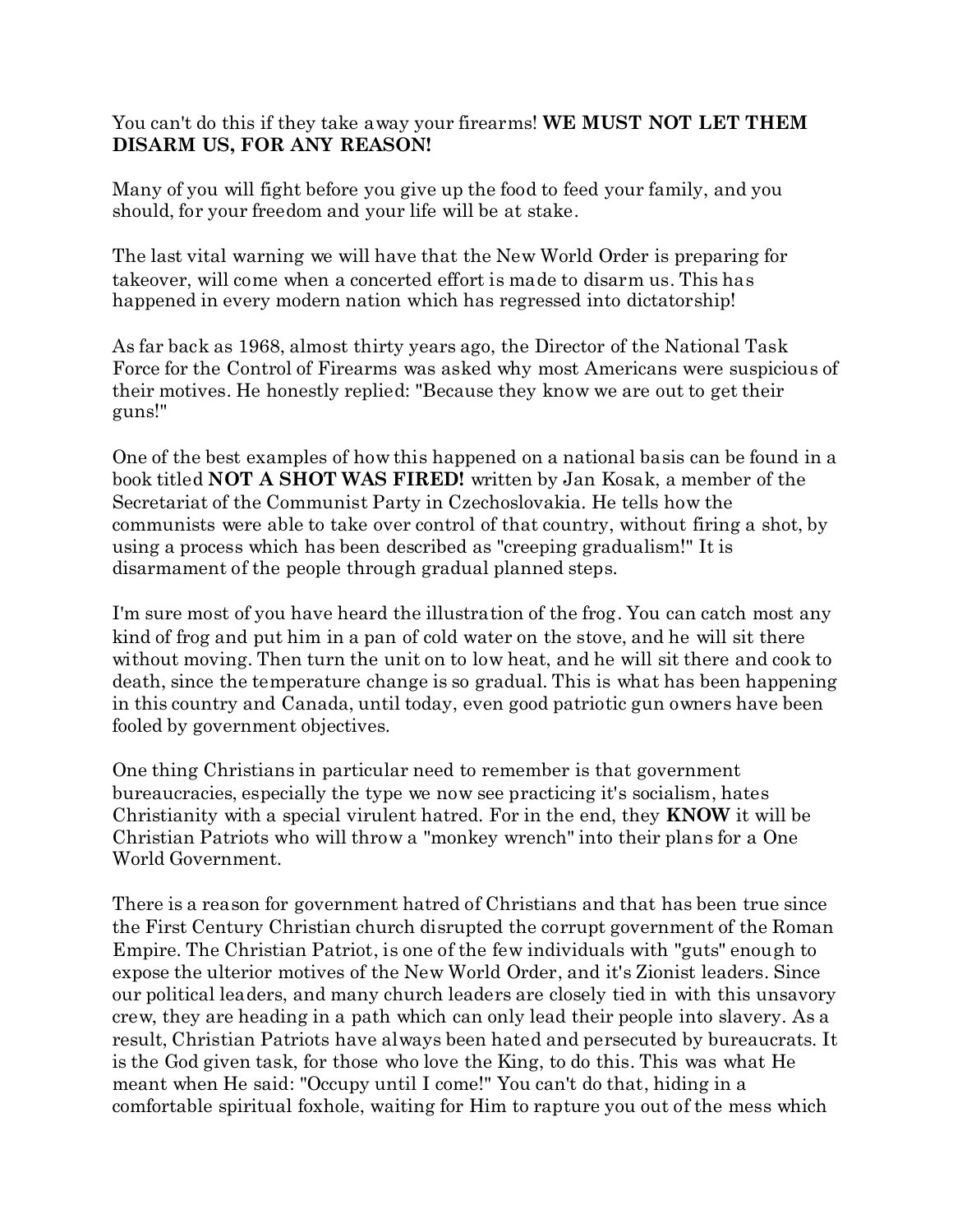#### You can't do this if they take away your firearms! **WE MUST NOT LET THEM DISARM US, FOR ANY REASON!**

Many of you will fight before you give up the food to feed your family, and you should, for your freedom and your life will be at stake.

The last vital warning we will have that the New World Order is preparing for takeover, will come when a concerted effort is made to disarm us. This has happened in every modern nation which has regressed into dictatorship!

As far back as 1968, almost thirty years ago, the Director of the National Task Force for the Control of Firearms was asked why most Americans were suspicious of their motives. He honestly replied: "Because they know we are out to get their guns!"

One of the best examples of how this happened on a national basis can be found in a book titled **NOT A SHOT WAS FIRED!** written by Jan Kosak, a member of the Secretariat of the Communist Party in Czechoslovakia. He tells how the communists were able to take over control of that country, without firing a shot, by using a process which has been described as "creeping gradualism!" It is disarmament of the people through gradual planned steps.

I'm sure most of you have heard the illustration of the frog. You can catch most any kind of frog and put him in a pan of cold water on the stove, and he will sit there without moving. Then turn the unit on to low heat, and he will sit there and cook to death, since the temperature change is so gradual. This is what has been happening in this country and Canada, until today, even good patriotic gun owners have been fooled by government objectives.

One thing Christians in particular need to remember is that government bureaucracies, especially the type we now see practicing it's socialism, hates Christianity with a special virulent hatred. For in the end, they **KNOW** it will be Christian Patriots who will throw a "monkey wrench" into their plans for a One World Government.

There is a reason for government hatred of Christians and that has been true since the First Century Christian church disrupted the corrupt government of the Roman Empire. The Christian Patriot, is one of the few individuals with "guts" enough to expose the ulterior motives of the New World Order, and it's Zionist leaders. Since our political leaders, and many church leaders are closely tied in with this unsavory crew, they are heading in a path which can only lead their people into slavery. As a result, Christian Patriots have always been hated and persecuted by bureaucrats. It is the God given task, for those who love the King, to do this. This was what He meant when He said: "Occupy until I come!" You can't do that, hiding in a comfortable spiritual foxhole, waiting for Him to rapture you out of the mess which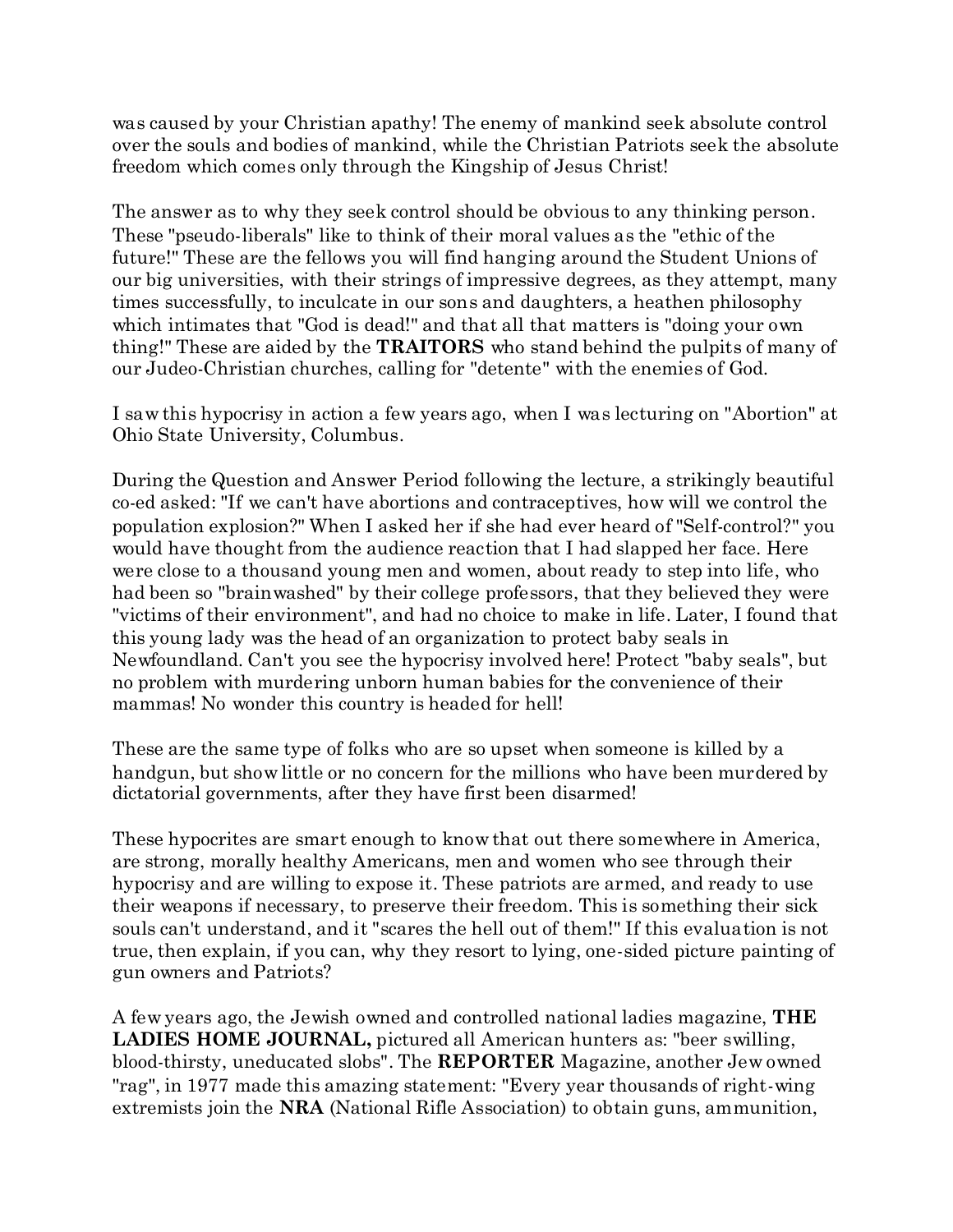was caused by your Christian apathy! The enemy of mankind seek absolute control over the souls and bodies of mankind, while the Christian Patriots seek the absolute freedom which comes only through the Kingship of Jesus Christ!

The answer as to why they seek control should be obvious to any thinking person. These "pseudo-liberals" like to think of their moral values as the "ethic of the future!" These are the fellows you will find hanging around the Student Unions of our big universities, with their strings of impressive degrees, as they attempt, many times successfully, to inculcate in our sons and daughters, a heathen philosophy which intimates that "God is dead!" and that all that matters is "doing your own thing!" These are aided by the **TRAITORS** who stand behind the pulpits of many of our Judeo-Christian churches, calling for "detente" with the enemies of God.

I saw this hypocrisy in action a few years ago, when I was lecturing on "Abortion" at Ohio State University, Columbus.

During the Question and Answer Period following the lecture, a strikingly beautiful co-ed asked: "If we can't have abortions and contraceptives, how will we control the population explosion?" When I asked her if she had ever heard of "Self-control?" you would have thought from the audience reaction that I had slapped her face. Here were close to a thousand young men and women, about ready to step into life, who had been so "brainwashed" by their college professors, that they believed they were "victims of their environment", and had no choice to make in life. Later, I found that this young lady was the head of an organization to protect baby seals in Newfoundland. Can't you see the hypocrisy involved here! Protect "baby seals", but no problem with murdering unborn human babies for the convenience of their mammas! No wonder this country is headed for hell!

These are the same type of folks who are so upset when someone is killed by a handgun, but show little or no concern for the millions who have been murdered by dictatorial governments, after they have first been disarmed!

These hypocrites are smart enough to know that out there somewhere in America, are strong, morally healthy Americans, men and women who see through their hypocrisy and are willing to expose it. These patriots are armed, and ready to use their weapons if necessary, to preserve their freedom. This is something their sick souls can't understand, and it "scares the hell out of them!" If this evaluation is not true, then explain, if you can, why they resort to lying, one-sided picture painting of gun owners and Patriots?

A few years ago, the Jewish owned and controlled national ladies magazine, **THE LADIES HOME JOURNAL,** pictured all American hunters as: "beer swilling, blood-thirsty, uneducated slobs". The **REPORTER** Magazine, another Jew owned "rag", in 1977 made this amazing statement: "Every year thousands of right-wing extremists join the **NRA** (National Rifle Association) to obtain guns, ammunition,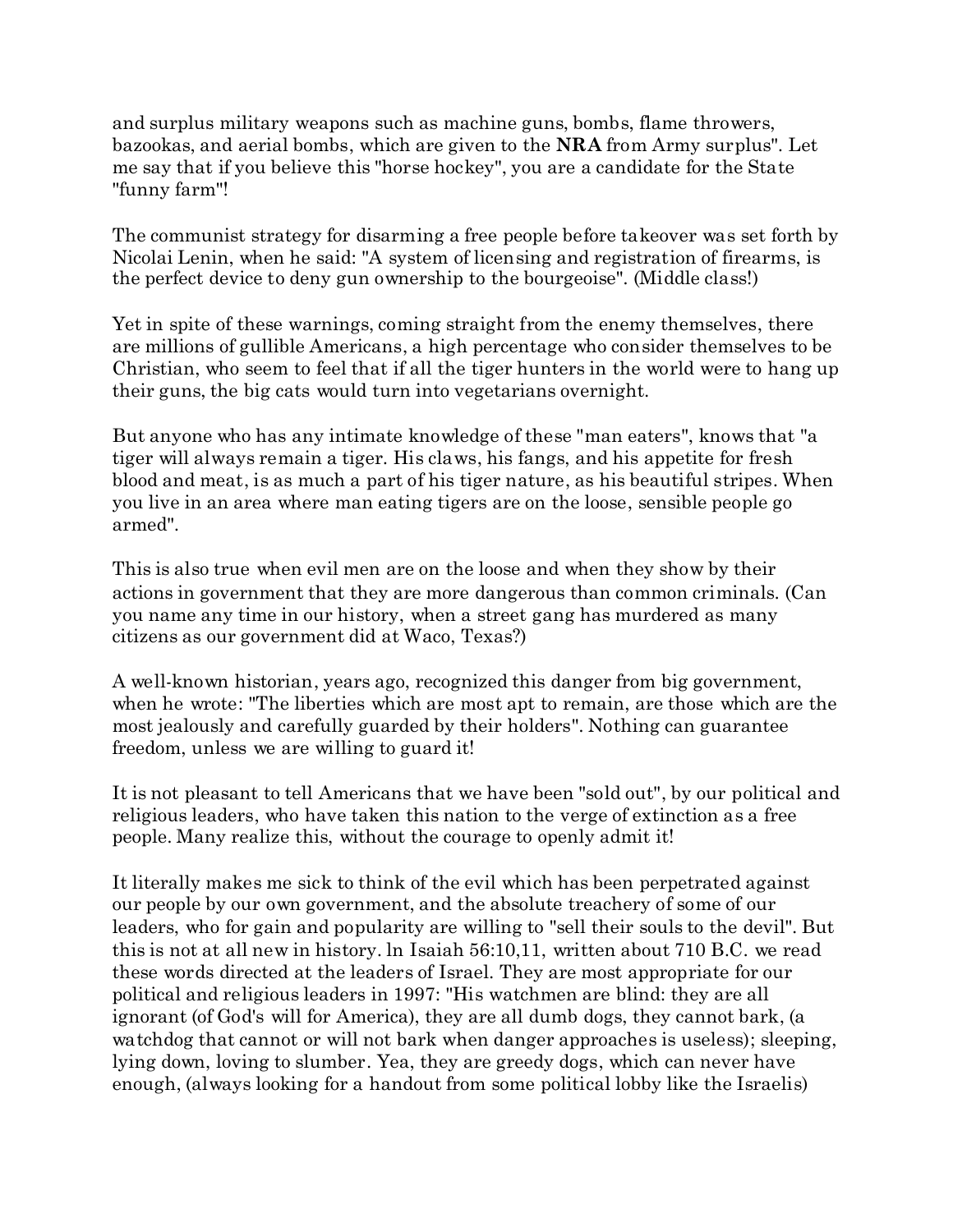and surplus military weapons such as machine guns, bombs, flame throwers, bazookas, and aerial bombs, which are given to the **NRA** from Army surplus". Let me say that if you believe this "horse hockey", you are a candidate for the State "funny farm"!

The communist strategy for disarming a free people before takeover was set forth by Nicolai Lenin, when he said: "A system of licensing and registration of firearms, is the perfect device to deny gun ownership to the bourgeoise". (Middle class!)

Yet in spite of these warnings, coming straight from the enemy themselves, there are millions of gullible Americans, a high percentage who consider themselves to be Christian, who seem to feel that if all the tiger hunters in the world were to hang up their guns, the big cats would turn into vegetarians overnight.

But anyone who has any intimate knowledge of these "man eaters", knows that "a tiger will always remain a tiger. His claws, his fangs, and his appetite for fresh blood and meat, is as much a part of his tiger nature, as his beautiful stripes. When you live in an area where man eating tigers are on the loose, sensible people go armed".

This is also true when evil men are on the loose and when they show by their actions in government that they are more dangerous than common criminals. (Can you name any time in our history, when a street gang has murdered as many citizens as our government did at Waco, Texas?)

A well-known historian, years ago, recognized this danger from big government, when he wrote: "The liberties which are most apt to remain, are those which are the most jealously and carefully guarded by their holders". Nothing can guarantee freedom, unless we are willing to guard it!

It is not pleasant to tell Americans that we have been "sold out", by our political and religious leaders, who have taken this nation to the verge of extinction as a free people. Many realize this, without the courage to openly admit it!

It literally makes me sick to think of the evil which has been perpetrated against our people by our own government, and the absolute treachery of some of our leaders, who for gain and popularity are willing to "sell their souls to the devil". But this is not at all new in history. ln Isaiah 56:10,11, written about 710 B.C. we read these words directed at the leaders of Israel. They are most appropriate for our political and religious leaders in 1997: "His watchmen are blind: they are all ignorant (of God's will for America), they are all dumb dogs, they cannot bark, (a watchdog that cannot or will not bark when danger approaches is useless); sleeping, lying down, loving to slumber. Yea, they are greedy dogs, which can never have enough, (always looking for a handout from some political lobby like the Israelis)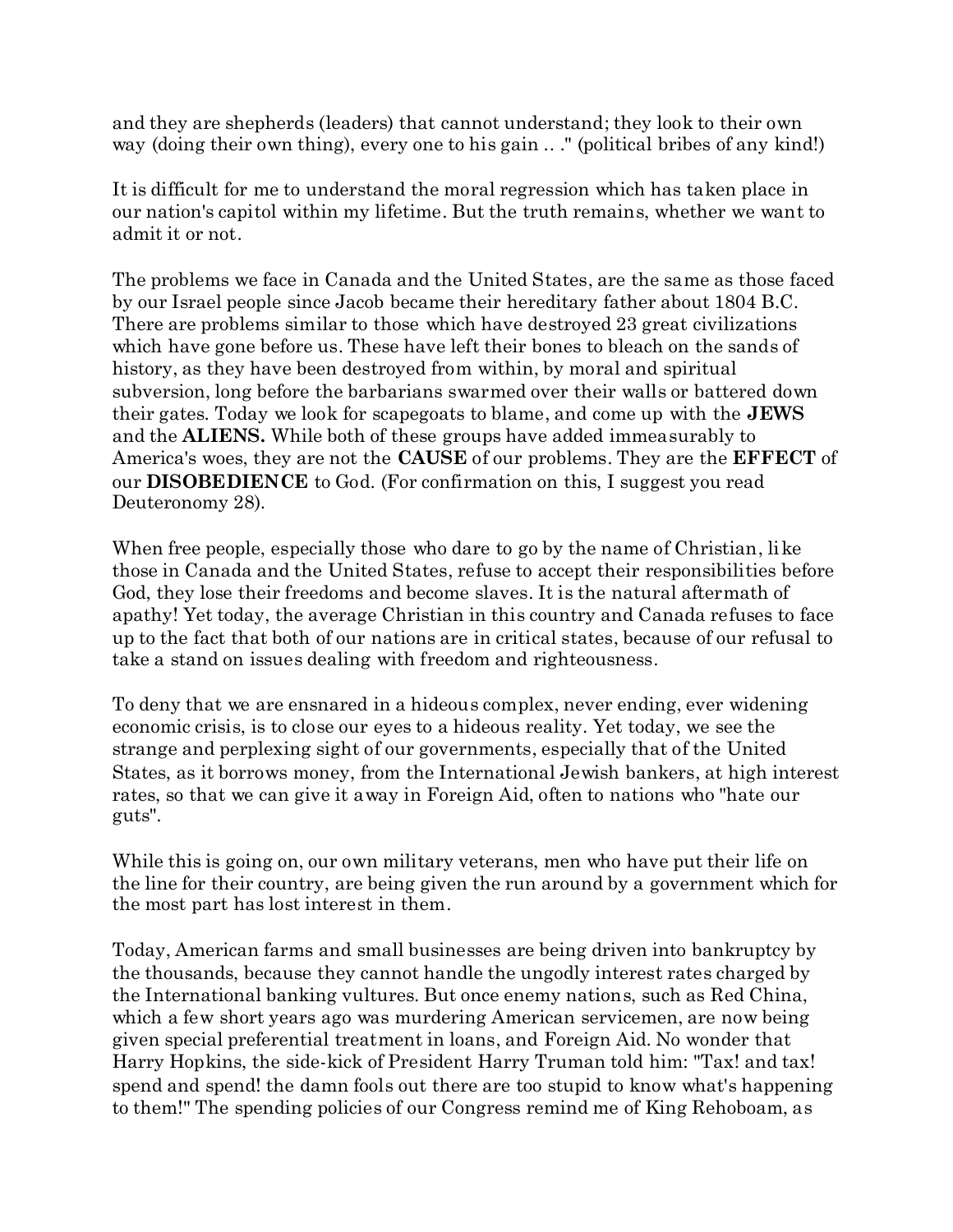and they are shepherds (leaders) that cannot understand; they look to their own way (doing their own thing), every one to his gain .. ." (political bribes of any kind!)

It is difficult for me to understand the moral regression which has taken place in our nation's capitol within my lifetime. But the truth remains, whether we want to admit it or not.

The problems we face in Canada and the United States, are the same as those faced by our Israel people since Jacob became their hereditary father about 1804 B.C. There are problems similar to those which have destroyed 23 great civilizations which have gone before us. These have left their bones to bleach on the sands of history, as they have been destroyed from within, by moral and spiritual subversion, long before the barbarians swarmed over their walls or battered down their gates. Today we look for scapegoats to blame, and come up with the **JEWS** and the **ALIENS.** While both of these groups have added immeasurably to America's woes, they are not the **CAUSE** of our problems. They are the **EFFECT** of our **DISOBEDIENCE** to God. (For confirmation on this, I suggest you read Deuteronomy 28).

When free people, especially those who dare to go by the name of Christian, like those in Canada and the United States, refuse to accept their responsibilities before God, they lose their freedoms and become slaves. It is the natural aftermath of apathy! Yet today, the average Christian in this country and Canada refuses to face up to the fact that both of our nations are in critical states, because of our refusal to take a stand on issues dealing with freedom and righteousness.

To deny that we are ensnared in a hideous complex, never ending, ever widening economic crisis, is to close our eyes to a hideous reality. Yet today, we see the strange and perplexing sight of our governments, especially that of the United States, as it borrows money, from the International Jewish bankers, at high interest rates, so that we can give it away in Foreign Aid, often to nations who "hate our guts".

While this is going on, our own military veterans, men who have put their life on the line for their country, are being given the run around by a government which for the most part has lost interest in them.

Today, American farms and small businesses are being driven into bankruptcy by the thousands, because they cannot handle the ungodly interest rates charged by the International banking vultures. But once enemy nations, such as Red China, which a few short years ago was murdering American servicemen, are now being given special preferential treatment in loans, and Foreign Aid. No wonder that Harry Hopkins, the side-kick of President Harry Truman told him: "Tax! and tax! spend and spend! the damn fools out there are too stupid to know what's happening to them!" The spending policies of our Congress remind me of King Rehoboam, as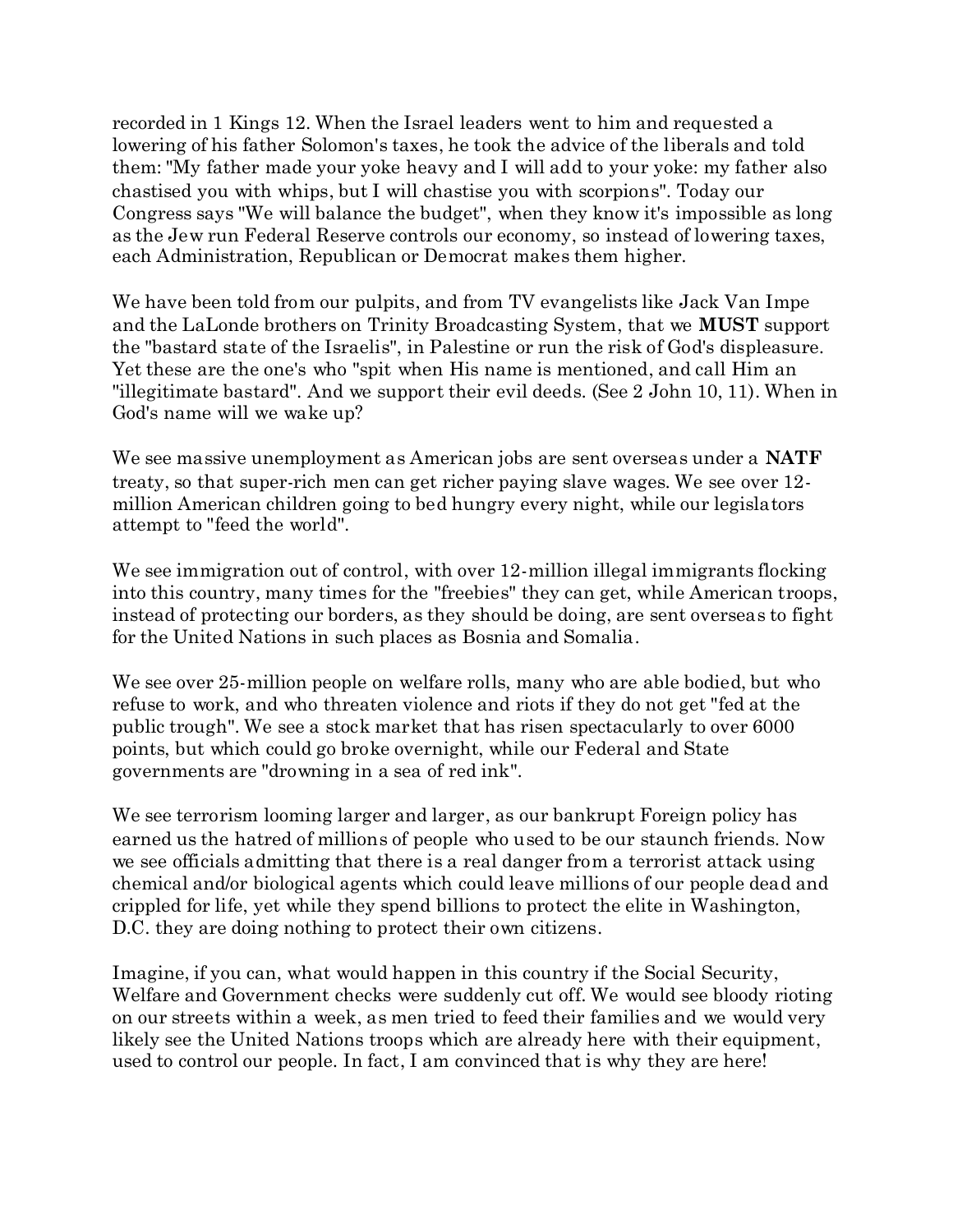recorded in 1 Kings 12. When the Israel leaders went to him and requested a lowering of his father Solomon's taxes, he took the advice of the liberals and told them: "My father made your yoke heavy and I will add to your yoke: my father also chastised you with whips, but I will chastise you with scorpions". Today our Congress says "We will balance the budget", when they know it's impossible as long as the Jew run Federal Reserve controls our economy, so instead of lowering taxes, each Administration, Republican or Democrat makes them higher.

We have been told from our pulpits, and from TV evangelists like Jack Van Impe and the LaLonde brothers on Trinity Broadcasting System, that we **MUST** support the "bastard state of the Israelis", in Palestine or run the risk of God's displeasure. Yet these are the one's who "spit when His name is mentioned, and call Him an "illegitimate bastard". And we support their evil deeds. (See 2 John 10, 11). When in God's name will we wake up?

We see massive unemployment as American jobs are sent overseas under a **NATF**  treaty, so that super-rich men can get richer paying slave wages. We see over 12 million American children going to bed hungry every night, while our legislators attempt to "feed the world".

We see immigration out of control, with over 12-million illegal immigrants flocking into this country, many times for the "freebies" they can get, while American troops, instead of protecting our borders, as they should be doing, are sent overseas to fight for the United Nations in such places as Bosnia and Somalia.

We see over 25-million people on welfare rolls, many who are able bodied, but who refuse to work, and who threaten violence and riots if they do not get "fed at the public trough". We see a stock market that has risen spectacularly to over 6000 points, but which could go broke overnight, while our Federal and State governments are "drowning in a sea of red ink".

We see terrorism looming larger and larger, as our bankrupt Foreign policy has earned us the hatred of millions of people who used to be our staunch friends. Now we see officials admitting that there is a real danger from a terrorist attack using chemical and/or biological agents which could leave millions of our people dead and crippled for life, yet while they spend billions to protect the elite in Washington, D.C. they are doing nothing to protect their own citizens.

Imagine, if you can, what would happen in this country if the Social Security, Welfare and Government checks were suddenly cut off. We would see bloody rioting on our streets within a week, as men tried to feed their families and we would very likely see the United Nations troops which are already here with their equipment, used to control our people. In fact, I am convinced that is why they are here!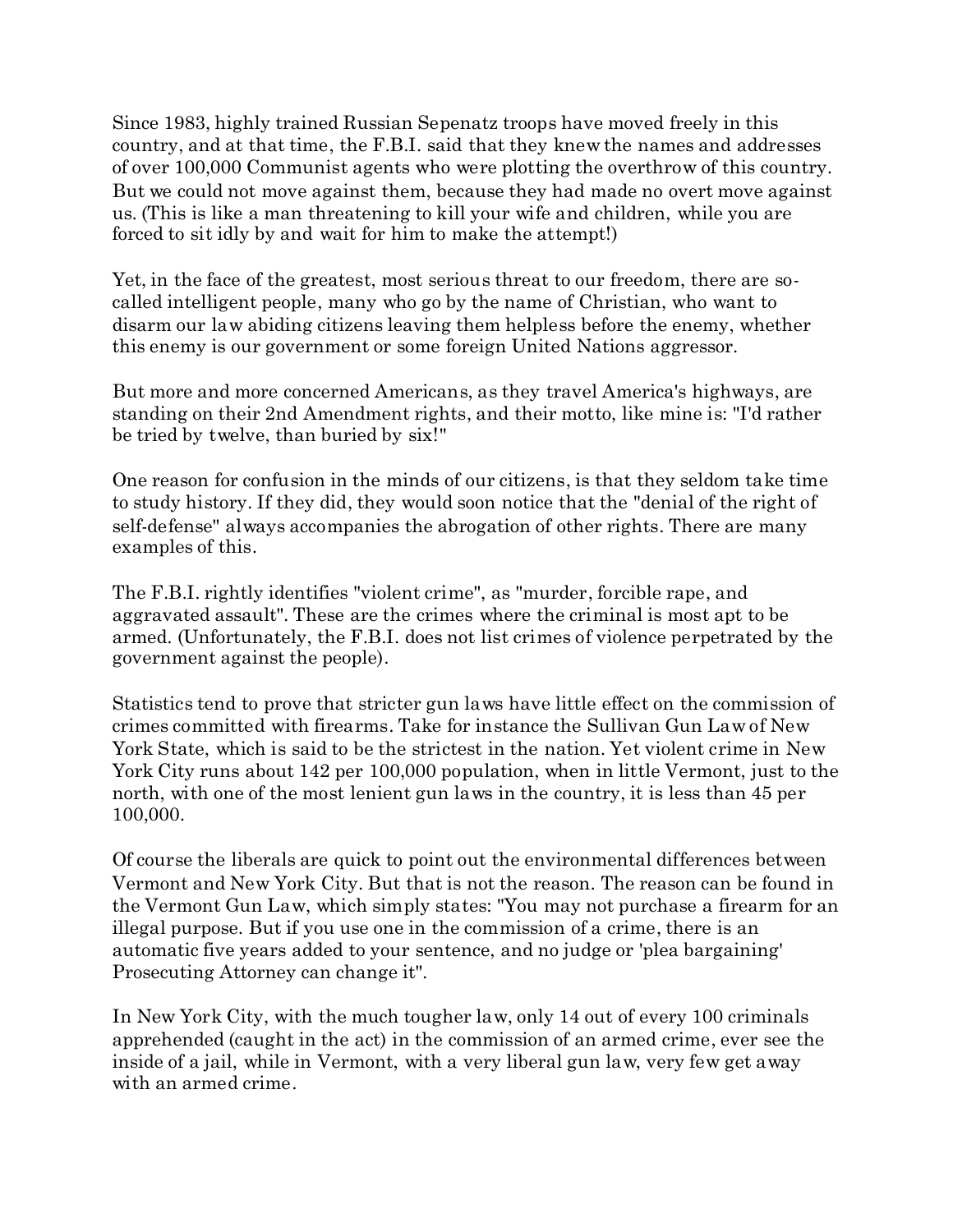Since 1983, highly trained Russian Sepenatz troops have moved freely in this country, and at that time, the F.B.I. said that they knew the names and addresses of over 100,000 Communist agents who were plotting the overthrow of this country. But we could not move against them, because they had made no overt move against us. (This is like a man threatening to kill your wife and children, while you are forced to sit idly by and wait for him to make the attempt!)

Yet, in the face of the greatest, most serious threat to our freedom, there are socalled intelligent people, many who go by the name of Christian, who want to disarm our law abiding citizens leaving them helpless before the enemy, whether this enemy is our government or some foreign United Nations aggressor.

But more and more concerned Americans, as they travel America's highways, are standing on their 2nd Amendment rights, and their motto, like mine is: "I'd rather be tried by twelve, than buried by six!"

One reason for confusion in the minds of our citizens, is that they seldom take time to study history. If they did, they would soon notice that the "denial of the right of self-defense" always accompanies the abrogation of other rights. There are many examples of this.

The F.B.I. rightly identifies "violent crime", as "murder, forcible rape, and aggravated assault". These are the crimes where the criminal is most apt to be armed. (Unfortunately, the F.B.I. does not list crimes of violence perpetrated by the government against the people).

Statistics tend to prove that stricter gun laws have little effect on the commission of crimes committed with firearms. Take for instance the Sullivan Gun Law of New York State, which is said to be the strictest in the nation. Yet violent crime in New York City runs about 142 per 100,000 population, when in little Vermont, just to the north, with one of the most lenient gun laws in the country, it is less than 45 per 100,000.

Of course the liberals are quick to point out the environmental differences between Vermont and New York City. But that is not the reason. The reason can be found in the Vermont Gun Law, which simply states: "You may not purchase a firearm for an illegal purpose. But if you use one in the commission of a crime, there is an automatic five years added to your sentence, and no judge or 'plea bargaining' Prosecuting Attorney can change it".

In New York City, with the much tougher law, only 14 out of every 100 criminals apprehended (caught in the act) in the commission of an armed crime, ever see the inside of a jail, while in Vermont, with a very liberal gun law, very few get away with an armed crime.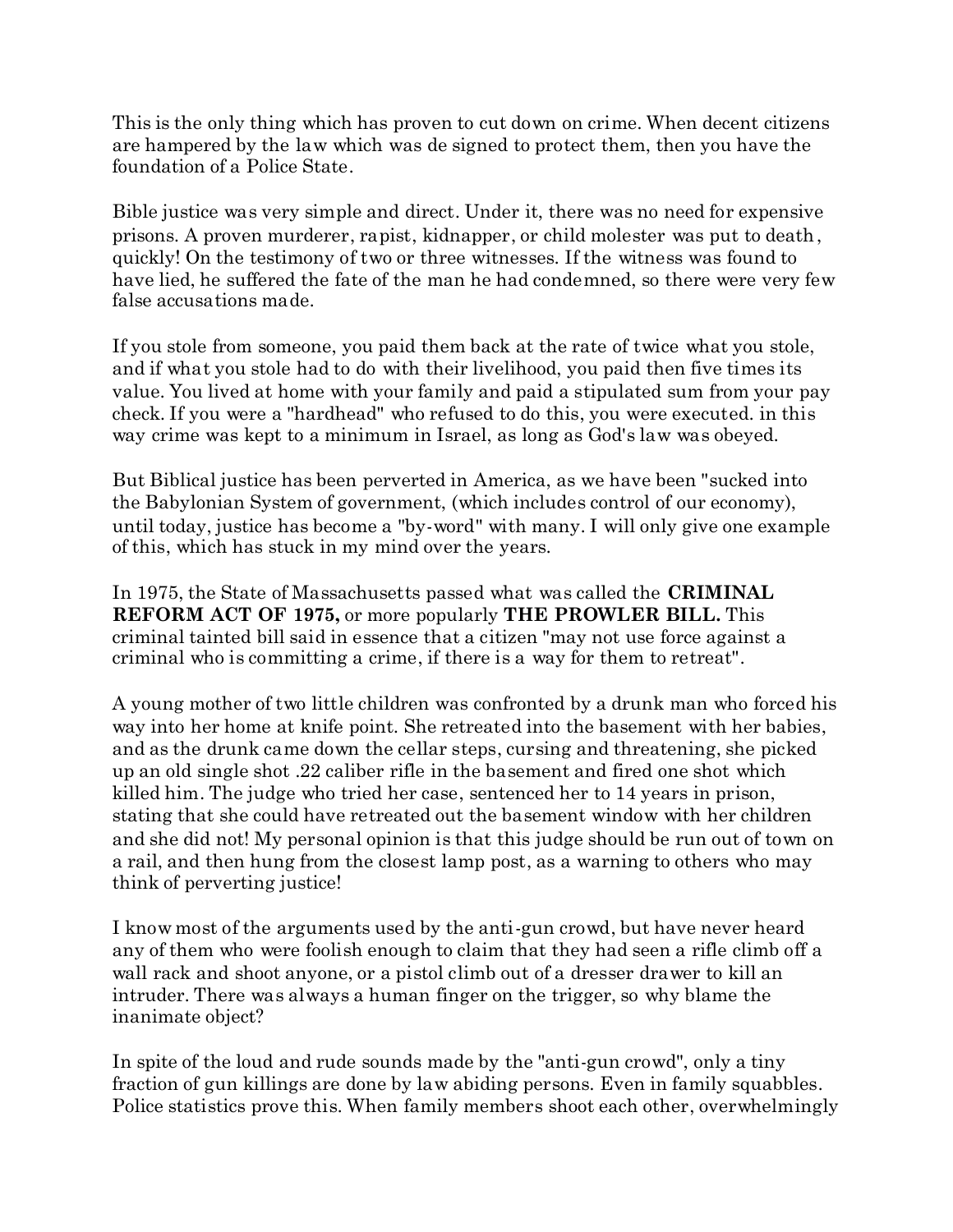This is the only thing which has proven to cut down on crime. When decent citizens are hampered by the law which was de signed to protect them, then you have the foundation of a Police State.

Bible justice was very simple and direct. Under it, there was no need for expensive prisons. A proven murderer, rapist, kidnapper, or child molester was put to death, quickly! On the testimony of two or three witnesses. If the witness was found to have lied, he suffered the fate of the man he had condemned, so there were very few false accusations made.

If you stole from someone, you paid them back at the rate of twice what you stole, and if what you stole had to do with their livelihood, you paid then five times its value. You lived at home with your family and paid a stipulated sum from your pay check. If you were a "hardhead" who refused to do this, you were executed. in this way crime was kept to a minimum in Israel, as long as God's law was obeyed.

But Biblical justice has been perverted in America, as we have been "sucked into the Babylonian System of government, (which includes control of our economy), until today, justice has become a "by-word" with many. I will only give one example of this, which has stuck in my mind over the years.

In 1975, the State of Massachusetts passed what was called the **CRIMINAL REFORM ACT OF 1975,** or more popularly **THE PROWLER BILL.** This criminal tainted bill said in essence that a citizen "may not use force against a criminal who is committing a crime, if there is a way for them to retreat".

A young mother of two little children was confronted by a drunk man who forced his way into her home at knife point. She retreated into the basement with her babies, and as the drunk came down the cellar steps, cursing and threatening, she picked up an old single shot .22 caliber rifle in the basement and fired one shot which killed him. The judge who tried her case, sentenced her to 14 years in prison, stating that she could have retreated out the basement window with her children and she did not! My personal opinion is that this judge should be run out of town on a rail, and then hung from the closest lamp post, as a warning to others who may think of perverting justice!

I know most of the arguments used by the anti-gun crowd, but have never heard any of them who were foolish enough to claim that they had seen a rifle climb off a wall rack and shoot anyone, or a pistol climb out of a dresser drawer to kill an intruder. There was always a human finger on the trigger, so why blame the inanimate object?

In spite of the loud and rude sounds made by the "anti-gun crowd", only a tiny fraction of gun killings are done by law abiding persons. Even in family squabbles. Police statistics prove this. When family members shoot each other, overwhelmingly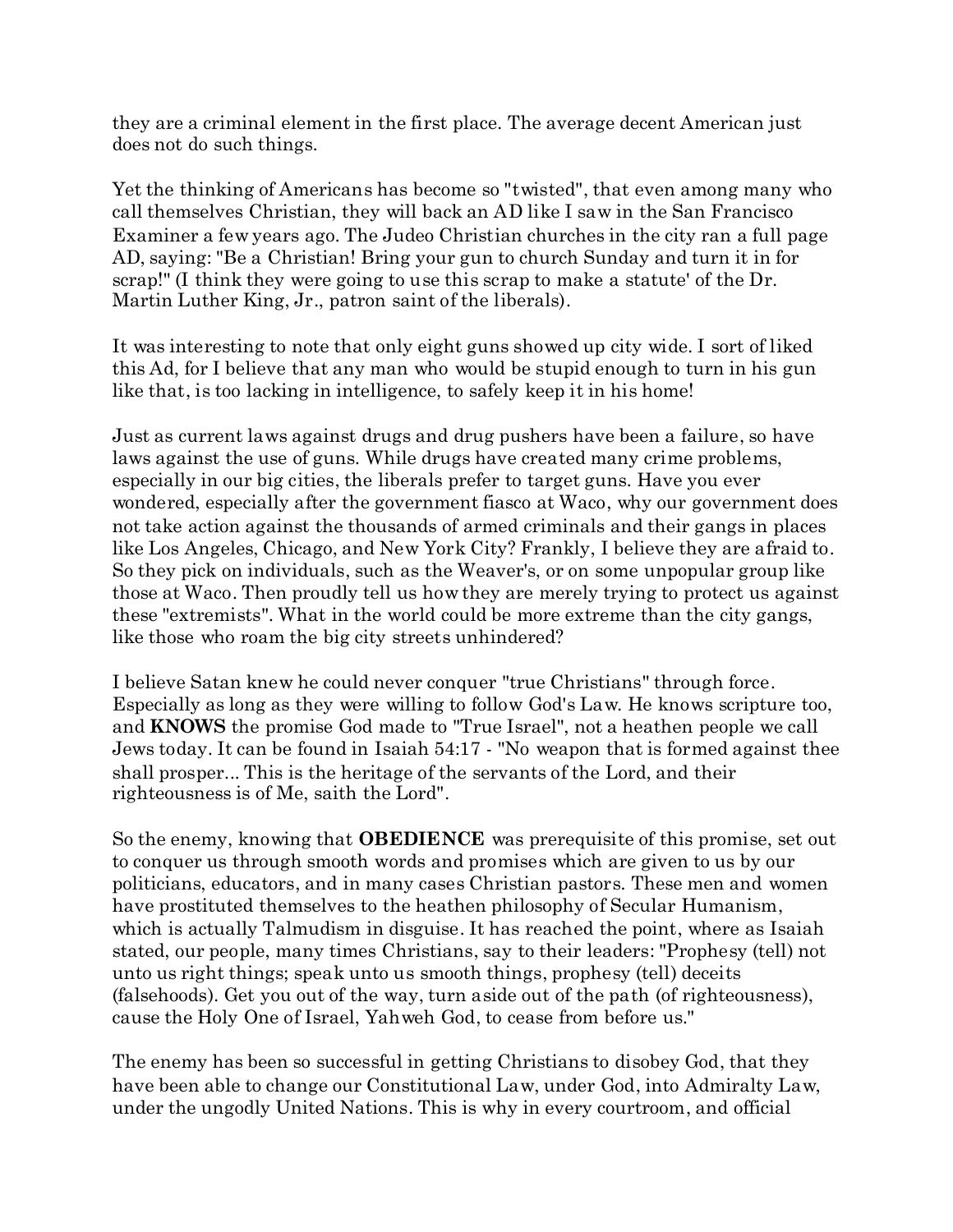they are a criminal element in the first place. The average decent American just does not do such things.

Yet the thinking of Americans has become so "twisted", that even among many who call themselves Christian, they will back an AD like I saw in the San Francisco Examiner a few years ago. The Judeo Christian churches in the city ran a full page AD, saying: "Be a Christian! Bring your gun to church Sunday and turn it in for scrap!" (I think they were going to use this scrap to make a statute' of the Dr. Martin Luther King, Jr., patron saint of the liberals).

It was interesting to note that only eight guns showed up city wide. I sort of liked this Ad, for I believe that any man who would be stupid enough to turn in his gun like that, is too lacking in intelligence, to safely keep it in his home!

Just as current laws against drugs and drug pushers have been a failure, so have laws against the use of guns. While drugs have created many crime problems, especially in our big cities, the liberals prefer to target guns. Have you ever wondered, especially after the government fiasco at Waco, why our government does not take action against the thousands of armed criminals and their gangs in places like Los Angeles, Chicago, and New York City? Frankly, I believe they are afraid to. So they pick on individuals, such as the Weaver's, or on some unpopular group like those at Waco. Then proudly tell us how they are merely trying to protect us against these "extremists". What in the world could be more extreme than the city gangs, like those who roam the big city streets unhindered?

I believe Satan knew he could never conquer "true Christians" through force. Especially as long as they were willing to follow God's Law. He knows scripture too, and **KNOWS** the promise God made to "True Israel", not a heathen people we call Jews today. It can be found in Isaiah 54:17 - "No weapon that is formed against thee shall prosper... This is the heritage of the servants of the Lord, and their righteousness is of Me, saith the Lord".

So the enemy, knowing that **OBEDIENCE** was prerequisite of this promise, set out to conquer us through smooth words and promises which are given to us by our politicians, educators, and in many cases Christian pastors. These men and women have prostituted themselves to the heathen philosophy of Secular Humanism, which is actually Talmudism in disguise. It has reached the point, where as Isaiah stated, our people, many times Christians, say to their leaders: "Prophesy (tell) not unto us right things; speak unto us smooth things, prophesy (tell) deceits (falsehoods). Get you out of the way, turn aside out of the path (of righteousness), cause the Holy One of Israel, Yahweh God, to cease from before us."

The enemy has been so successful in getting Christians to disobey God, that they have been able to change our Constitutional Law, under God, into Admiralty Law, under the ungodly United Nations. This is why in every courtroom, and official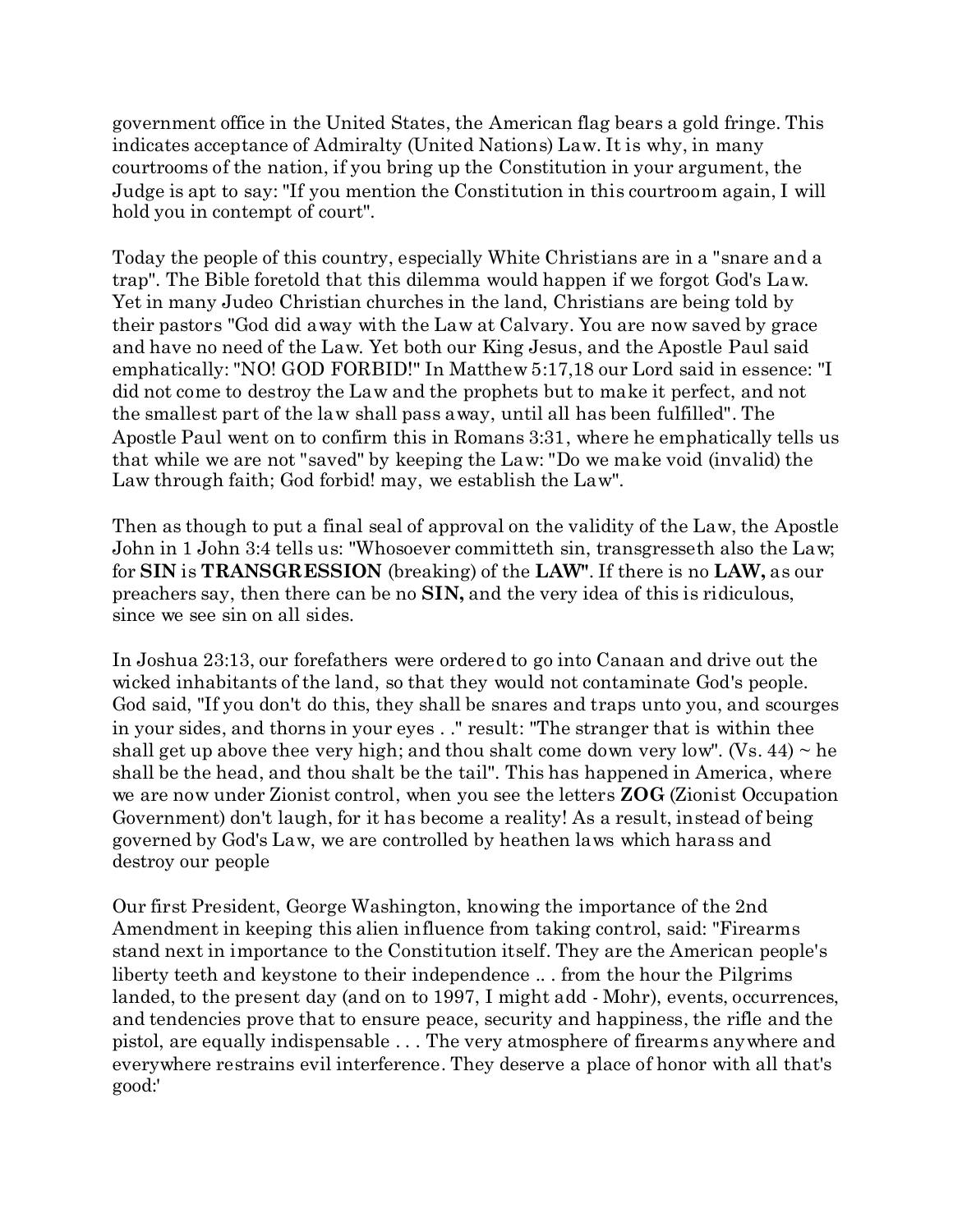government office in the United States, the American flag bears a gold fringe. This indicates acceptance of Admiralty (United Nations) Law. It is why, in many courtrooms of the nation, if you bring up the Constitution in your argument, the Judge is apt to say: "If you mention the Constitution in this courtroom again, I will hold you in contempt of court".

Today the people of this country, especially White Christians are in a "snare and a trap". The Bible foretold that this dilemma would happen if we forgot God's Law. Yet in many Judeo Christian churches in the land, Christians are being told by their pastors "God did away with the Law at Calvary. You are now saved by grace and have no need of the Law. Yet both our King Jesus, and the Apostle Paul said emphatically: "NO! GOD FORBID!" In Matthew 5:17,18 our Lord said in essence: "I did not come to destroy the Law and the prophets but to make it perfect, and not the smallest part of the law shall pass away, until all has been fulfilled". The Apostle Paul went on to confirm this in Romans 3:31, where he emphatically tells us that while we are not "saved" by keeping the Law: "Do we make void (invalid) the Law through faith; God forbid! may, we establish the Law".

Then as though to put a final seal of approval on the validity of the Law, the Apostle John in 1 John 3:4 tells us: "Whosoever committeth sin, transgresseth also the Law; for **SIN** is **TRANSGRESSION** (breaking) of the **LAW"**. If there is no **LAW,** as our preachers say, then there can be no **SIN,** and the very idea of this is ridiculous, since we see sin on all sides.

In Joshua 23:13, our forefathers were ordered to go into Canaan and drive out the wicked inhabitants of the land, so that they would not contaminate God's people. God said, "If you don't do this, they shall be snares and traps unto you, and scourges in your sides, and thorns in your eyes . ." result: "The stranger that is within thee shall get up above thee very high; and thou shalt come down very low". (Vs. 44)  $\sim$  he shall be the head, and thou shalt be the tail". This has happened in America, where we are now under Zionist control, when you see the letters **ZOG** (Zionist Occupation Government) don't laugh, for it has become a reality! As a result, instead of being governed by God's Law, we are controlled by heathen laws which harass and destroy our people

Our first President, George Washington, knowing the importance of the 2nd Amendment in keeping this alien influence from taking control, said: "Firearms stand next in importance to the Constitution itself. They are the American people's liberty teeth and keystone to their independence .. . from the hour the Pilgrims landed, to the present day (and on to 1997, I might add - Mohr), events, occurrences, and tendencies prove that to ensure peace, security and happiness, the rifle and the pistol, are equally indispensable . . . The very atmosphere of firearms anywhere and everywhere restrains evil interference. They deserve a place of honor with all that's good:'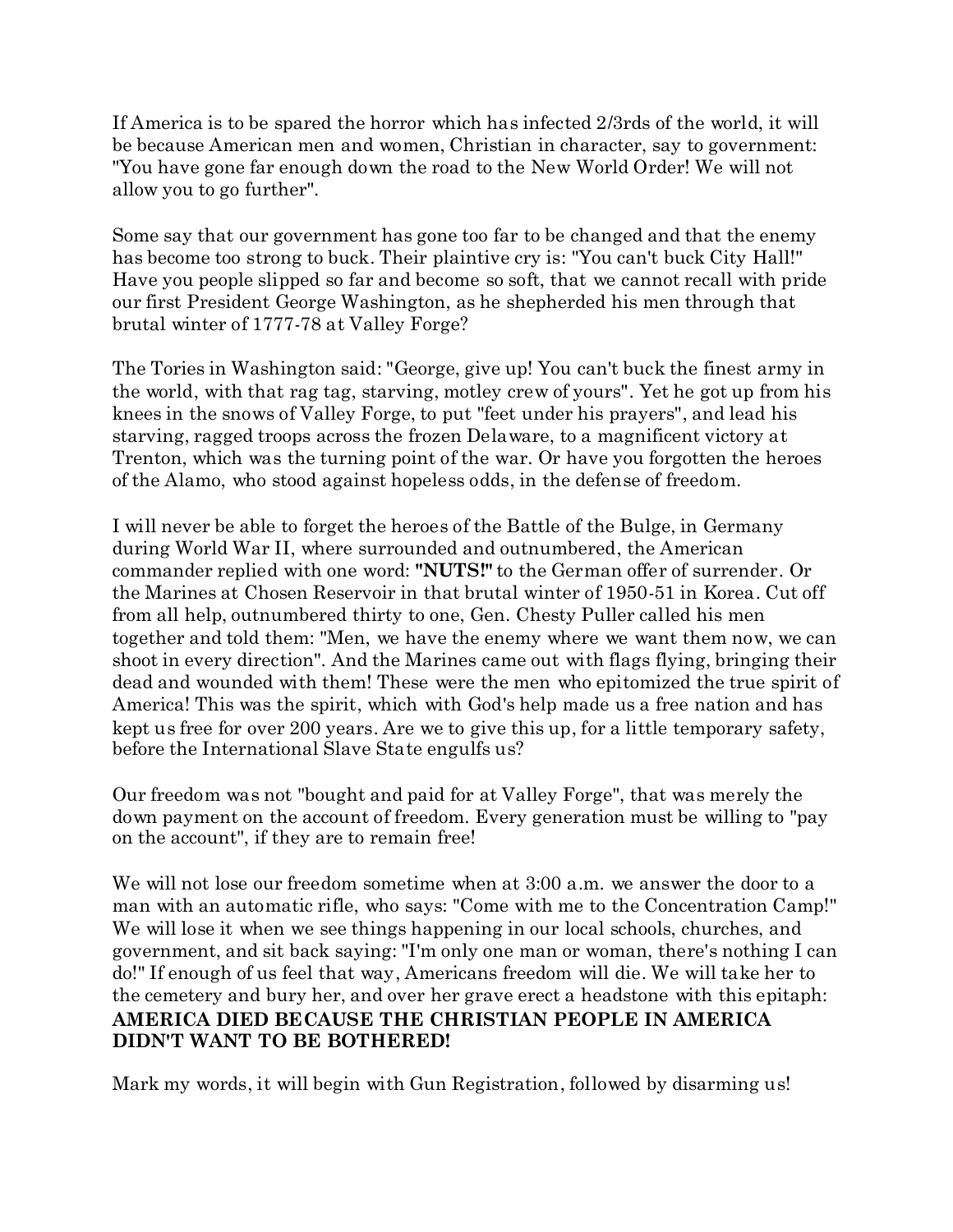If America is to be spared the horror which has infected 2/3rds of the world, it will be because American men and women, Christian in character, say to government: "You have gone far enough down the road to the New World Order! We will not allow you to go further".

Some say that our government has gone too far to be changed and that the enemy has become too strong to buck. Their plaintive cry is: "You can't buck City Hall!" Have you people slipped so far and become so soft, that we cannot recall with pride our first President George Washington, as he shepherded his men through that brutal winter of 1777-78 at Valley Forge?

The Tories in Washington said: "George, give up! You can't buck the finest army in the world, with that rag tag, starving, motley crew of yours". Yet he got up from his knees in the snows of Valley Forge, to put "feet under his prayers", and lead his starving, ragged troops across the frozen Delaware, to a magnificent victory at Trenton, which was the turning point of the war. Or have you forgotten the heroes of the Alamo, who stood against hopeless odds, in the defense of freedom.

I will never be able to forget the heroes of the Battle of the Bulge, in Germany during World War II, where surrounded and outnumbered, the American commander replied with one word: **"NUTS!"** to the German offer of surrender. Or the Marines at Chosen Reservoir in that brutal winter of 1950-51 in Korea. Cut off from all help, outnumbered thirty to one, Gen. Chesty Puller called his men together and told them: "Men, we have the enemy where we want them now, we can shoot in every direction". And the Marines came out with flags flying, bringing their dead and wounded with them! These were the men who epitomized the true spirit of America! This was the spirit, which with God's help made us a free nation and has kept us free for over 200 years. Are we to give this up, for a little temporary safety, before the International Slave State engulfs us?

Our freedom was not "bought and paid for at Valley Forge", that was merely the down payment on the account of freedom. Every generation must be willing to "pay on the account", if they are to remain free!

We will not lose our freedom sometime when at 3:00 a.m. we answer the door to a man with an automatic rifle, who says: "Come with me to the Concentration Camp!" We will lose it when we see things happening in our local schools, churches, and government, and sit back saying: "I'm only one man or woman, there's nothing I can do!" If enough of us feel that way, Americans freedom will die. We will take her to the cemetery and bury her, and over her grave erect a headstone with this epitaph: **AMERICA DIED BECAUSE THE CHRISTIAN PEOPLE IN AMERICA DIDN'T WANT TO BE BOTHERED!**

Mark my words, it will begin with Gun Registration, followed by disarming us!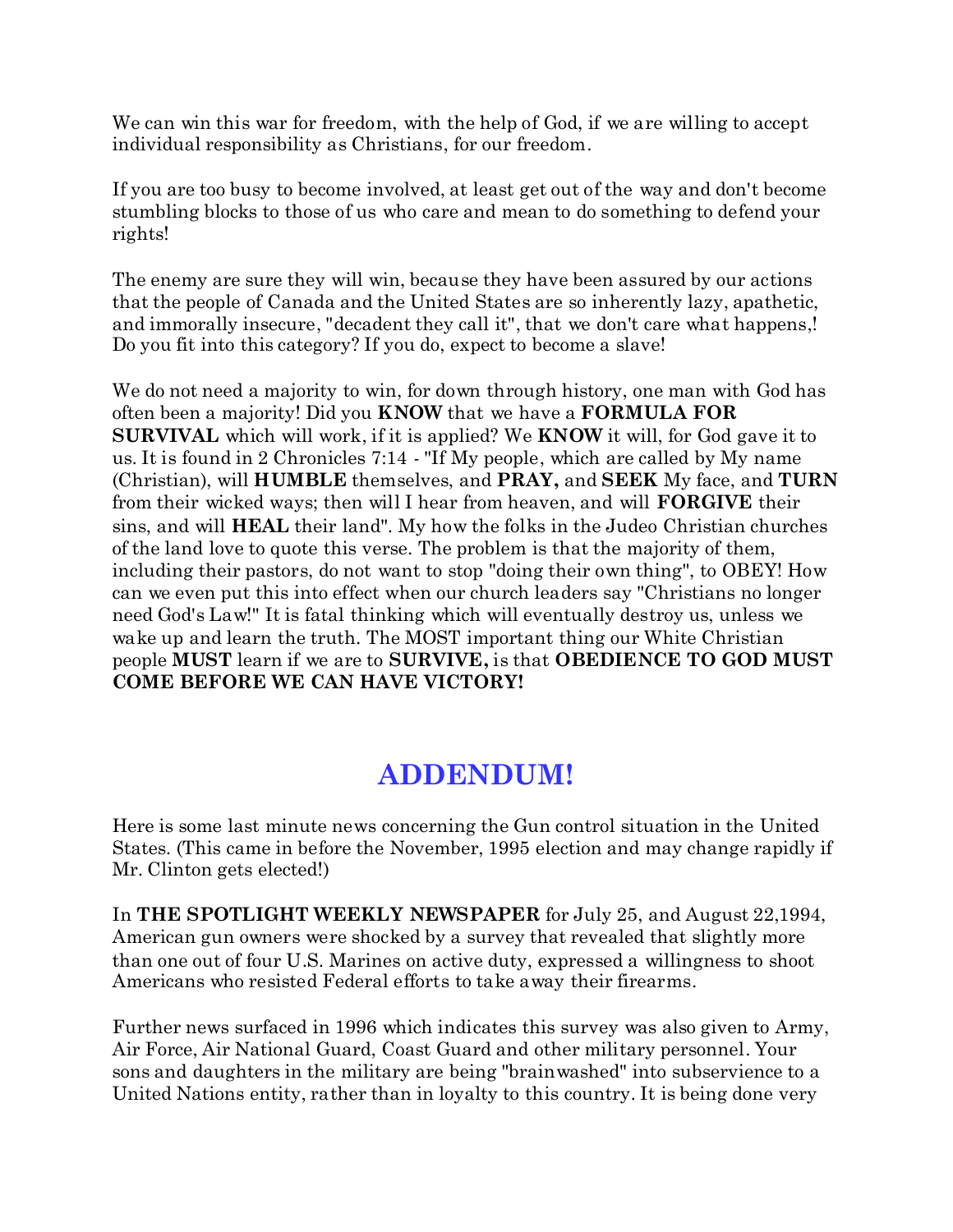We can win this war for freedom, with the help of God, if we are willing to accept individual responsibility as Christians, for our freedom.

If you are too busy to become involved, at least get out of the way and don't become stumbling blocks to those of us who care and mean to do something to defend your rights!

The enemy are sure they will win, because they have been assured by our actions that the people of Canada and the United States are so inherently lazy, apathetic, and immorally insecure, "decadent they call it", that we don't care what happens,! Do you fit into this category? If you do, expect to become a slave!

We do not need a majority to win, for down through history, one man with God has often been a majority! Did you **KNOW** that we have a **FORMULA FOR SURVIVAL** which will work, if it is applied? We **KNOW** it will, for God gave it to us. It is found in 2 Chronicles 7:14 - "If My people, which are called by My name (Christian), will **HUMBLE** themselves, and **PRAY,** and **SEEK** My face, and **TURN** from their wicked ways; then will I hear from heaven, and will **FORGIVE** their sins, and will **HEAL** their land". My how the folks in the Judeo Christian churches of the land love to quote this verse. The problem is that the majority of them, including their pastors, do not want to stop "doing their own thing", to OBEY! How can we even put this into effect when our church leaders say "Christians no longer need God's Law!" It is fatal thinking which will eventually destroy us, unless we wake up and learn the truth. The MOST important thing our White Christian people **MUST** learn if we are to **SURVIVE,** is that **OBEDIENCE TO GOD MUST COME BEFORE WE CAN HAVE VICTORY!**

# **ADDENDUM!**

Here is some last minute news concerning the Gun control situation in the United States. (This came in before the November, 1995 election and may change rapidly if Mr. Clinton gets elected!)

In **THE SPOTLIGHT WEEKLY NEWSPAPER** for July 25, and August 22,1994, American gun owners were shocked by a survey that revealed that slightly more than one out of four U.S. Marines on active duty, expressed a willingness to shoot Americans who resisted Federal efforts to take away their firearms.

Further news surfaced in 1996 which indicates this survey was also given to Army, Air Force, Air National Guard, Coast Guard and other military personnel. Your sons and daughters in the military are being "brainwashed" into subservience to a United Nations entity, rather than in loyalty to this country. It is being done very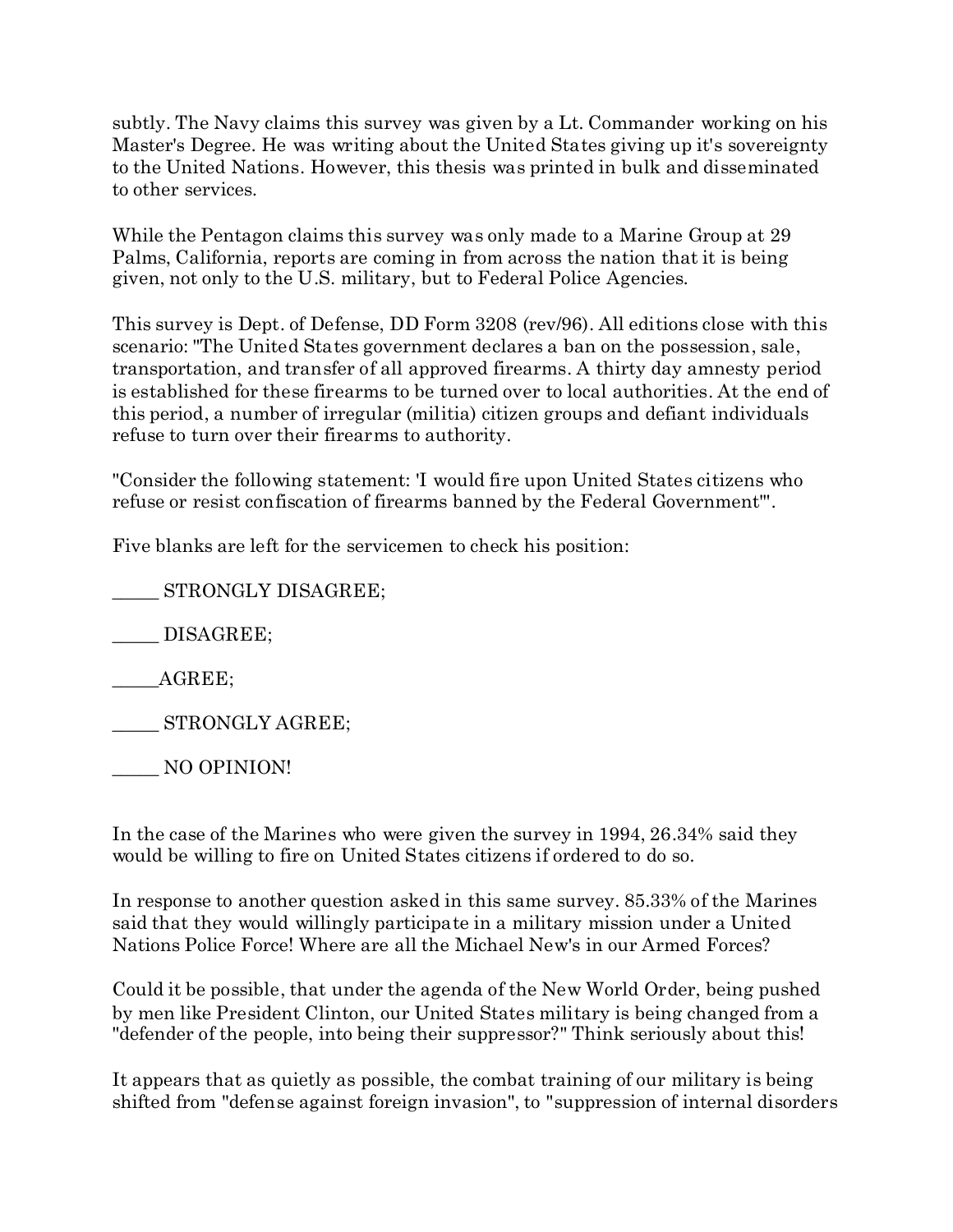subtly. The Navy claims this survey was given by a Lt. Commander working on his Master's Degree. He was writing about the United States giving up it's sovereignty to the United Nations. However, this thesis was printed in bulk and disseminated to other services.

While the Pentagon claims this survey was only made to a Marine Group at 29 Palms, California, reports are coming in from across the nation that it is being given, not only to the U.S. military, but to Federal Police Agencies.

This survey is Dept. of Defense, DD Form 3208 (rev/96). All editions close with this scenario: "The United States government declares a ban on the possession, sale, transportation, and transfer of all approved firearms. A thirty day amnesty period is established for these firearms to be turned over to local authorities. At the end of this period, a number of irregular (militia) citizen groups and defiant individuals refuse to turn over their firearms to authority.

"Consider the following statement: 'I would fire upon United States citizens who refuse or resist confiscation of firearms banned by the Federal Government"'.

Five blanks are left for the servicemen to check his position:

STRONGLY DISAGREE; DISAGREE;

\_\_\_\_\_AGREE;

\_\_\_\_\_ STRONGLY AGREE;

\_\_\_\_\_ NO OPINION!

In the case of the Marines who were given the survey in 1994, 26.34% said they would be willing to fire on United States citizens if ordered to do so.

In response to another question asked in this same survey. 85.33% of the Marines said that they would willingly participate in a military mission under a United Nations Police Force! Where are all the Michael New's in our Armed Forces?

Could it be possible, that under the agenda of the New World Order, being pushed by men like President Clinton, our United States military is being changed from a "defender of the people, into being their suppressor?" Think seriously about this!

It appears that as quietly as possible, the combat training of our military is being shifted from "defense against foreign invasion", to "suppression of internal disorders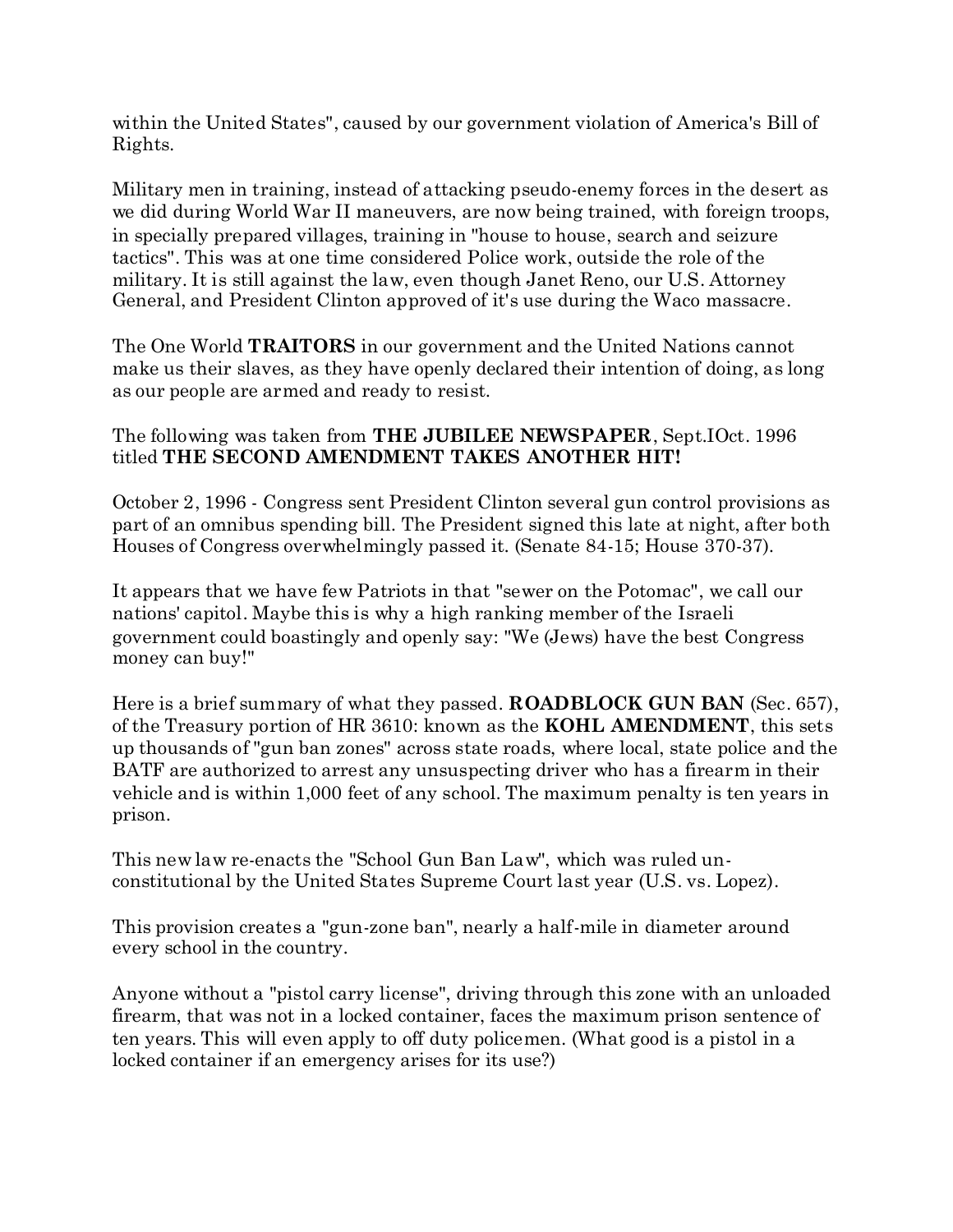within the United States", caused by our government violation of America's Bill of Rights.

Military men in training, instead of attacking pseudo-enemy forces in the desert as we did during World War II maneuvers, are now being trained, with foreign troops, in specially prepared villages, training in "house to house, search and seizure tactics". This was at one time considered Police work, outside the role of the military. It is still against the law, even though Janet Reno, our U.S. Attorney General, and President Clinton approved of it's use during the Waco massacre.

The One World **TRAITORS** in our government and the United Nations cannot make us their slaves, as they have openly declared their intention of doing, as long as our people are armed and ready to resist.

The following was taken from **THE JUBILEE NEWSPAPER**, Sept.IOct. 1996 titled **THE SECOND AMENDMENT TAKES ANOTHER HIT!**

October 2, 1996 - Congress sent President Clinton several gun control provisions as part of an omnibus spending bill. The President signed this late at night, after both Houses of Congress overwhelmingly passed it. (Senate 84-15; House 370-37).

It appears that we have few Patriots in that "sewer on the Potomac", we call our nations' capitol. Maybe this is why a high ranking member of the Israeli government could boastingly and openly say: "We (Jews) have the best Congress money can buy!"

Here is a brief summary of what they passed. **ROADBLOCK GUN BAN** (Sec. 657), of the Treasury portion of HR 3610: known as the **KOHL AMENDMENT**, this sets up thousands of "gun ban zones" across state roads, where local, state police and the BATF are authorized to arrest any unsuspecting driver who has a firearm in their vehicle and is within 1,000 feet of any school. The maximum penalty is ten years in prison.

This new law re-enacts the "School Gun Ban Law", which was ruled unconstitutional by the United States Supreme Court last year (U.S. vs. Lopez).

This provision creates a "gun-zone ban", nearly a half-mile in diameter around every school in the country.

Anyone without a "pistol carry license", driving through this zone with an unloaded firearm, that was not in a locked container, faces the maximum prison sentence of ten years. This will even apply to off duty policemen. (What good is a pistol in a locked container if an emergency arises for its use?)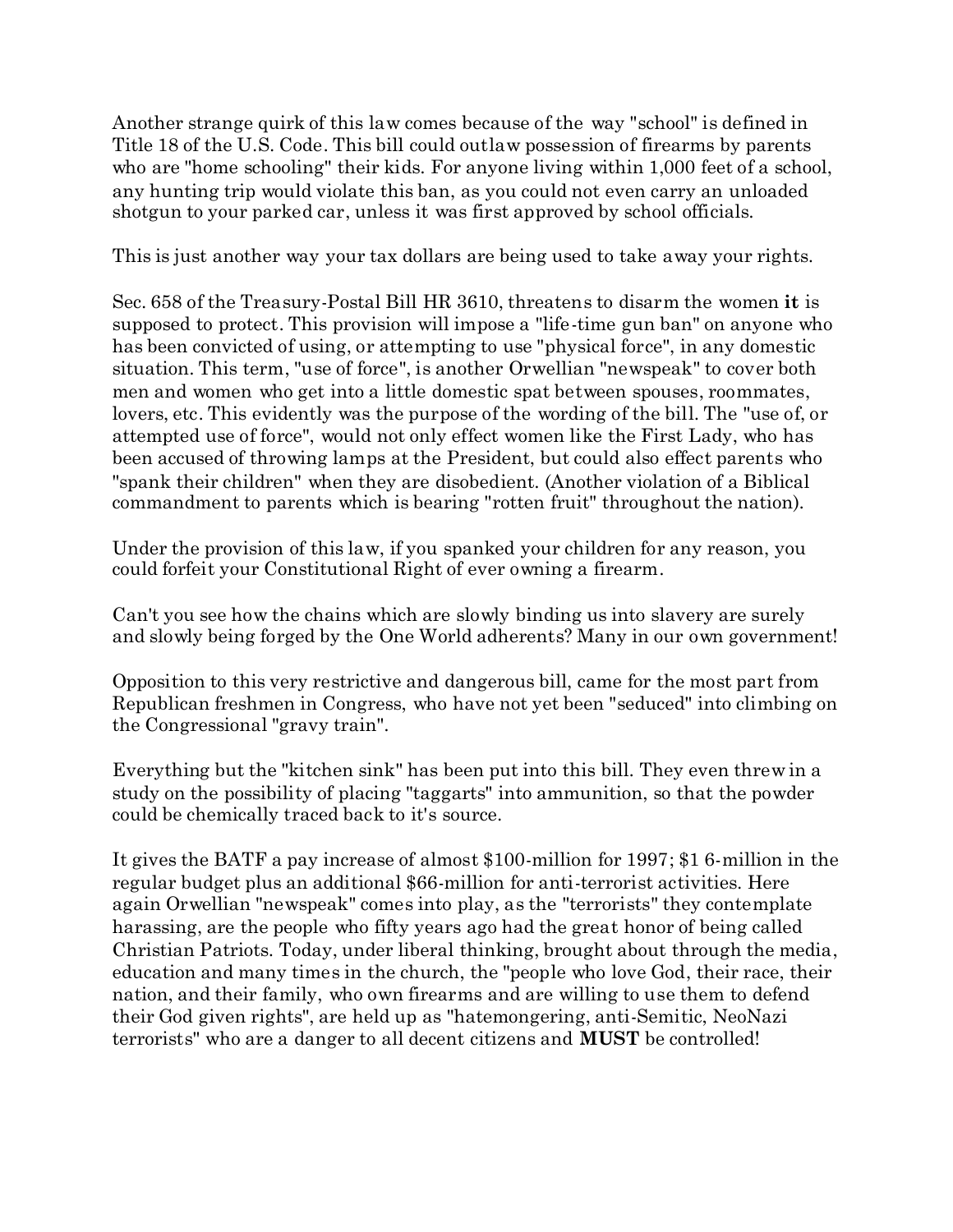Another strange quirk of this law comes because of the way "school" is defined in Title 18 of the U.S. Code. This bill could outlaw possession of firearms by parents who are "home schooling" their kids. For anyone living within 1,000 feet of a school, any hunting trip would violate this ban, as you could not even carry an unloaded shotgun to your parked car, unless it was first approved by school officials.

This is just another way your tax dollars are being used to take away your rights.

Sec. 658 of the Treasury-Postal Bill HR 3610, threatens to disarm the women **it** is supposed to protect. This provision will impose a "life-time gun ban" on anyone who has been convicted of using, or attempting to use "physical force", in any domestic situation. This term, "use of force", is another Orwellian "newspeak" to cover both men and women who get into a little domestic spat between spouses, roommates, lovers, etc. This evidently was the purpose of the wording of the bill. The "use of, or attempted use of force", would not only effect women like the First Lady, who has been accused of throwing lamps at the President, but could also effect parents who "spank their children" when they are disobedient. (Another violation of a Biblical commandment to parents which is bearing "rotten fruit" throughout the nation).

Under the provision of this law, if you spanked your children for any reason, you could forfeit your Constitutional Right of ever owning a firearm.

Can't you see how the chains which are slowly binding us into slavery are surely and slowly being forged by the One World adherents? Many in our own government!

Opposition to this very restrictive and dangerous bill, came for the most part from Republican freshmen in Congress, who have not yet been "seduced" into climbing on the Congressional "gravy train".

Everything but the "kitchen sink" has been put into this bill. They even threw in a study on the possibility of placing "taggarts" into ammunition, so that the powder could be chemically traced back to it's source.

It gives the BATF a pay increase of almost \$100-million for 1997; \$1 6-million in the regular budget plus an additional \$66-million for anti-terrorist activities. Here again Orwellian "newspeak" comes into play, as the "terrorists" they contemplate harassing, are the people who fifty years ago had the great honor of being called Christian Patriots. Today, under liberal thinking, brought about through the media, education and many times in the church, the "people who love God, their race, their nation, and their family, who own firearms and are willing to use them to defend their God given rights", are held up as "hatemongering, anti-Semitic, NeoNazi terrorists" who are a danger to all decent citizens and **MUST** be controlled!